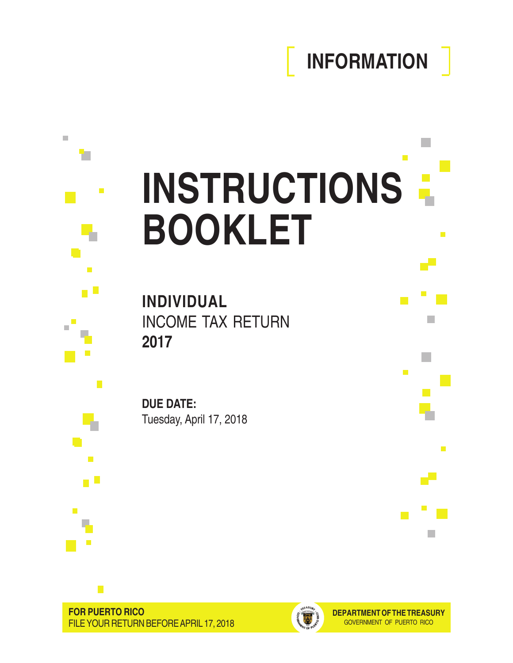# **INFORMATION**

 $\mathbb{R}^n$ 

 $\mathbb{R}^n$ 

 $\mathcal{L}_{\mathcal{A}}$ 

 $\mathcal{L}^{\text{max}}$ 

p.

 $\blacksquare$ 

اللي

П

# $\blacksquare$ **INSTRUCTIONS BOOKLET** r F

**INDIVIDUAL** INCOME TAX RETURN **2017**

**DUE DATE:** Tuesday, April 17, 2018

 $\mathbb{R}^d$ 

v.

п

 $\blacksquare$ 

 $\mathcal{L}_{\mathcal{A}}$ 

 $\mathcal{C}$ 

 $\overline{\mathcal{A}}$ 

n II

 $\blacksquare$ 

Ļ.

 $\overline{\phantom{a}}$ 

 $\mathbb{R}^2$ 

П  $\overline{\phantom{a}}$ 

 $\mathbb{R}^2$ 





**DEPARTMENT OF THE TREASURY** GOVERNMENT OF PUERTO RICO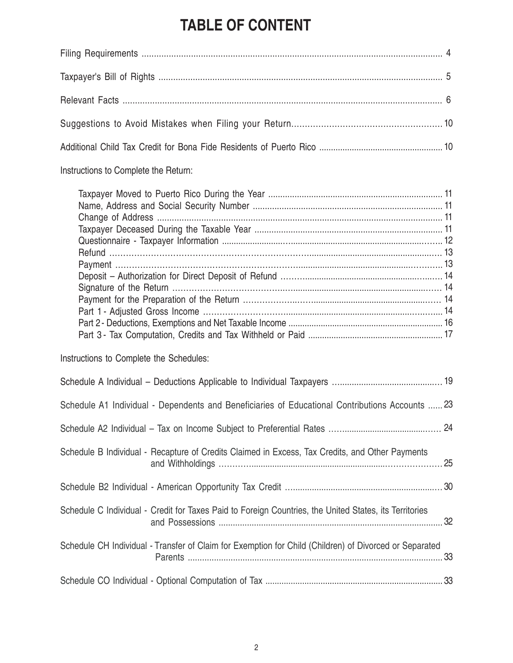# **TABLE OF CONTENT**

| Instructions to Complete the Return:                                                                   |  |
|--------------------------------------------------------------------------------------------------------|--|
|                                                                                                        |  |
| Instructions to Complete the Schedules:                                                                |  |
|                                                                                                        |  |
| Schedule A1 Individual - Dependents and Beneficiaries of Educational Contributions Accounts  23        |  |
|                                                                                                        |  |
| Schedule B Individual - Recapture of Credits Claimed in Excess, Tax Credits, and Other Payments        |  |
|                                                                                                        |  |
| Schedule C Individual - Credit for Taxes Paid to Foreign Countries, the United States, its Territories |  |
| Schedule CH Individual - Transfer of Claim for Exemption for Child (Children) of Divorced or Separated |  |
|                                                                                                        |  |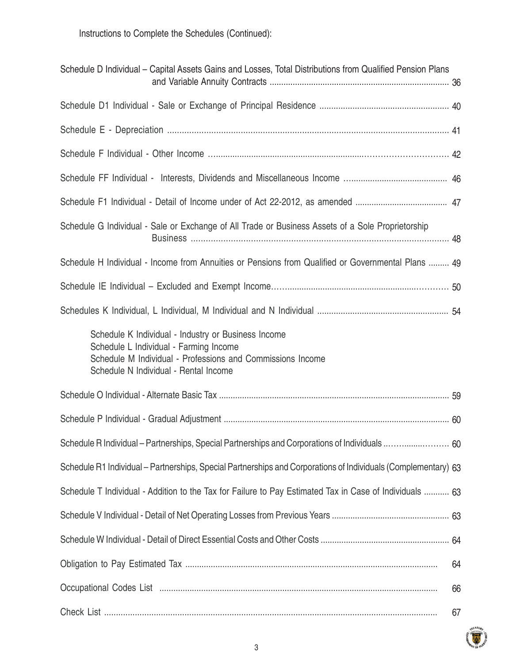Instructions to Complete the Schedules (Continued):

| Schedule D Individual – Capital Assets Gains and Losses, Total Distributions from Qualified Pension Plans                                                                                            |  |
|------------------------------------------------------------------------------------------------------------------------------------------------------------------------------------------------------|--|
|                                                                                                                                                                                                      |  |
|                                                                                                                                                                                                      |  |
|                                                                                                                                                                                                      |  |
|                                                                                                                                                                                                      |  |
|                                                                                                                                                                                                      |  |
| Schedule G Individual - Sale or Exchange of All Trade or Business Assets of a Sole Proprietorship                                                                                                    |  |
| Schedule H Individual - Income from Annuities or Pensions from Qualified or Governmental Plans  49                                                                                                   |  |
|                                                                                                                                                                                                      |  |
|                                                                                                                                                                                                      |  |
| Schedule K Individual - Industry or Business Income<br>Schedule L Individual - Farming Income<br>Schedule M Individual - Professions and Commissions Income<br>Schedule N Individual - Rental Income |  |
|                                                                                                                                                                                                      |  |
|                                                                                                                                                                                                      |  |
| Schedule R Individual - Partnerships, Special Partnerships and Corporations of Individuals  60                                                                                                       |  |
| Schedule R1 Individual – Partnerships, Special Partnerships and Corporations of Individuals (Complementary) 63                                                                                       |  |
| Schedule T Individual - Addition to the Tax for Failure to Pay Estimated Tax in Case of Individuals  63                                                                                              |  |
|                                                                                                                                                                                                      |  |
|                                                                                                                                                                                                      |  |
| 64                                                                                                                                                                                                   |  |
| 66                                                                                                                                                                                                   |  |
| 67                                                                                                                                                                                                   |  |

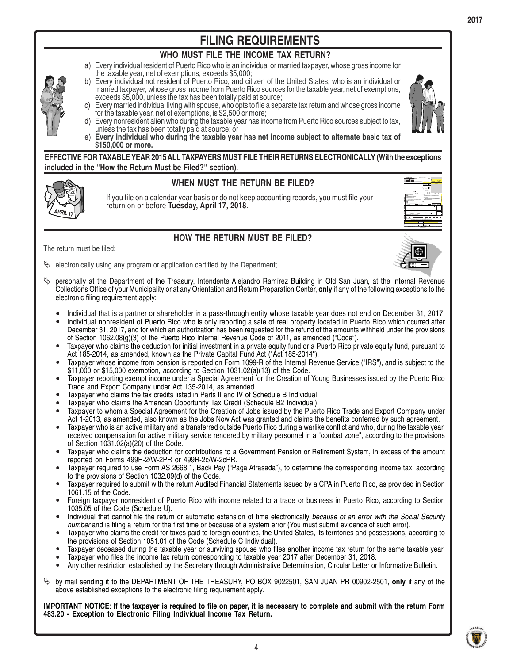

# **WHO MUST FILE THE INCOME TAX RETURN?**

- a) Every individual resident of Puerto Rico who is an individual or married taxpayer, whose gross income for the taxable year, net of exemptions, exceeds \$5,000;
- Every individual not resident of Puerto Rico, and citizen of the United States, who is an individual or b) married taxpayer, whose gross income from Puerto Rico sources for the taxable year, net of exemptions, exceeds \$5,000, unless the tax has been totally paid at source;
- Every married individual living with spouse, who opts to file a separate tax return and whose gross income for the taxable year, net of exemptions, is \$2,500 or more; c)



- Every nonresident alien who during the taxable year has income from Puerto Rico sources subject to tax, unless the tax has been totally paid at source; or d)
- **Every individual who during the taxable year has net income subject to alternate basic tax of \$150,000 or more.** e)

**EFFECTIVE FOR TAXABLE YEAR 2015 ALL TAXPAYERS MUST FILE THEIR RETURNS ELECTRONICALLY (With the exceptions included in the "How the Return Must be Filed?" section).**



# **WHEN MUST THE RETURN BE FILED?**

If you file on a calendar year basis or do not keep accounting records, you must file your return on or before **Tuesday, April 17, 2018**.



# **HOW THE RETURN MUST BE FILED?**

The return must be filed:

electronically using any program or application certified by the Department;  $\phi$ 

- 
- personally at the Department of the Treasury, Intendente Alejandro Ramírez Building in Old San Juan, at the Internal Revenue Collections Office of your Municipality or at any Orientation and Return Preparation Center, **only** if any of the following exceptions to the electronic filing requirement apply: ª
	- Individual that is a partner or shareholder in a pass-through entity whose taxable year does not end on December 31, 2017. Individual nonresident of Puerto Rico who is only reporting a sale of real property located in Puerto Rico which ocurred after • •
	- December 31, 2017, and for which an authorization has been requested for the refund of the amounts withheld under the provisions of Section 1062.08(g)(3) of the Puerto Rico Internal Revenue Code of 2011, as amended ("Code").
	- Taxpayer who claims the deduction for initial investment in a private equity fund or a Puerto Rico private equity fund, pursuant to Act 185-2014, as amended, known as the Private Capital Fund Act ("Act 185-2014"). •
	- Taxpayer whose income from pension is reported on Form 1099-R of the Internal Revenue Service ("IRS"), and is subject to the \$11,000 or \$15,000 exemption, according to Section 1031.02(a)(13) of the Code. •
	- Taxpayer reporting exempt income under a Special Agreement for the Creation of Young Businesses issued by the Puerto Rico Trade and Export Company under Act 135-2014, as amended. •
	- Taxpayer who claims the tax credits listed in Parts II and IV of Schedule B Individual. •
	- Taxpayer who claims the American Opportunity Tax Credit (Schedule B2 Individual). •
	- Taxpayer to whom a Special Agreement for the Creation of Jobs issued by the Puerto Rico Trade and Export Company under Act 1-2013, as amended, also known as the Jobs Now Act was granted and claims the benefits conferred by such agreement. •
	- Taxpayer who is an active military and is transferred outside Puerto Rico during a warlike conflict and who, during the taxable year, received compensation for active military service rendered by military personnel in a "combat zone", according to the provisions of Section 1031.02(a)(20) of the Code. •
	- Taxpayer who claims the deduction for contributions to a Government Pension or Retirement System, in excess of the amount reported on Forms 499R-2/W-2PR or 499R-2c/W-2cPR. •
	- Taxpayer required to use Form AS 2668.1, Back Pay ("Paga Atrasada"), to determine the corresponding income tax, according to the provisions of Section 1032.09(d) of the Code. •
	- Taxpayer required to submit with the return Audited Financial Statements issued by a CPA in Puerto Rico, as provided in Section 1061.15 of the Code. •
	- Foreign taxpayer nonresident of Puerto Rico with income related to a trade or business in Puerto Rico, according to Section 1035.05 of the Code (Schedule U). •
	- Individual that cannot file the return or automatic extension of time electronically *because of an error with the Social Security number* and is filing a return for the first time or because of a system error (You must submit evidence of such error). •
	- Taxpayer who claims the credit for taxes paid to foreign countries, the United States, its territories and possessions, according to the provisions of Section 1051.01 of the Code (Schedule C Individual). •
	- Taxpayer deceased during the taxable year or surviving spouse who files another income tax return for the same taxable year. Taxpayer who files the income tax return corresponding to taxable year 2017 after December 31, 2018. • •
	- Any other restriction established by the Secretary through Administrative Determination, Circular Letter or Informative Bulletin. •
- by mail sending it to the DEPARTMENT OF THE TREASURY, PO BOX 9022501, SAN JUAN PR 00902-2501, **only** if any of the above established exceptions to the electronic filing requirement apply. ª

**IMPORTANT NOTICE**: **If the taxpayer is required to file on paper, it is necessary to complete and submit with the return Form 483.20 - Exception to Electronic Filing Individual Income Tax Return.**

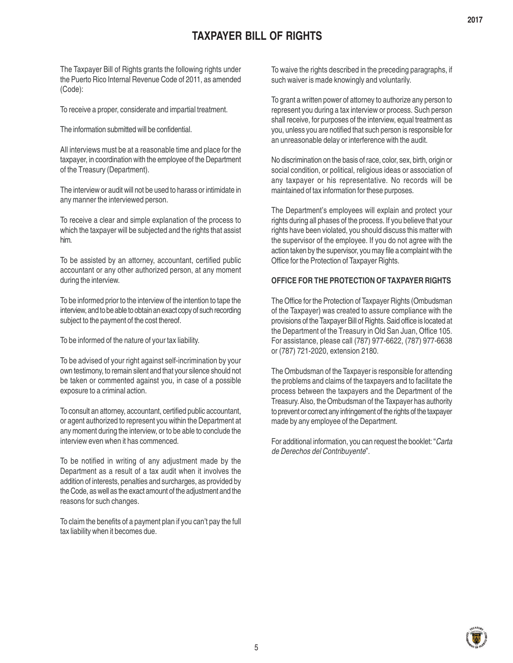# **TAXPAYER BILL OF RIGHTS**

The Taxpayer Bill of Rights grants the following rights under the Puerto Rico Internal Revenue Code of 2011, as amended (Code):

To receive a proper, considerate and impartial treatment.

The information submitted will be confidential.

All interviews must be at a reasonable time and place for the taxpayer, in coordination with the employee of the Department of the Treasury (Department).

The interview or audit will not be used to harass or intimidate in any manner the interviewed person.

To receive a clear and simple explanation of the process to which the taxpayer will be subjected and the rights that assist him.

To be assisted by an attorney, accountant, certified public accountant or any other authorized person, at any moment during the interview.

To be informed prior to the interview of the intention to tape the interview, and to be able to obtain an exact copy of such recording subject to the payment of the cost thereof.

To be informed of the nature of your tax liability.

To be advised of your right against self-incrimination by your own testimony, to remain silent and that your silence should not be taken or commented against you, in case of a possible exposure to a criminal action.

To consult an attorney, accountant, certified public accountant, or agent authorized to represent you within the Department at any moment during the interview, or to be able to conclude the interview even when it has commenced.

To be notified in writing of any adjustment made by the Department as a result of a tax audit when it involves the addition of interests, penalties and surcharges, as provided by the Code, as well as the exact amount of the adjustment and the reasons for such changes.

To claim the benefits of a payment plan if you can't pay the full tax liability when it becomes due.

To waive the rights described in the preceding paragraphs, if such waiver is made knowingly and voluntarily.

To grant a written power of attorney to authorize any person to represent you during a tax interview or process. Such person shall receive, for purposes of the interview, equal treatment as you, unless you are notified that such person is responsible for an unreasonable delay or interference with the audit.

No discrimination on the basis of race, color, sex, birth, origin or social condition, or political, religious ideas or association of any taxpayer or his representative. No records will be maintained of tax information for these purposes.

The Department's employees will explain and protect your rights during all phases of the process. If you believe that your rights have been violated, you should discuss this matter with the supervisor of the employee. If you do not agree with the action taken by the supervisor, you may file a complaint with the Office for the Protection of Taxpayer Rights.

# **OFFICE FOR THE PROTECTION OF TAXPAYER RIGHTS**

The Office for the Protection of Taxpayer Rights (Ombudsman of the Taxpayer) was created to assure compliance with the provisions of the Taxpayer Bill of Rights. Said office is located at the Department of the Treasury in Old San Juan, Office 105. For assistance, please call (787) 977-6622, (787) 977-6638 or (787) 721-2020, extension 2180.

The Ombudsman of the Taxpayer is responsible for attending the problems and claims of the taxpayers and to facilitate the process between the taxpayers and the Department of the Treasury. Also, the Ombudsman of the Taxpayer has authority to prevent or correct any infringement of the rights of the taxpayer made by any employee of the Department.

For additional information, you can request the booklet: "*Carta de Derechos del Contribuyente*".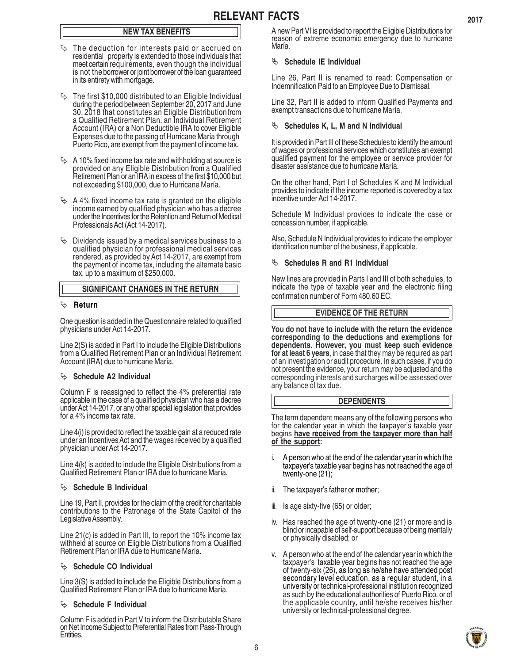# **NEW TAX BENEFITS**

- $\%$  The deduction for interests paid or accrued on residential property is extended to those individuals that meet certain requirements, even though the individual is not the borrower or joint borrower of the loan guaranteed in its entirety with mortgage.
- $\%$  The first \$10,000 distributed to an Eligible Individual during the period between September 20, 2017 and June 30, 2018 that constitutes an Eligible Distribution from a Qualified Retirement Plan, an Individual Retirement Account (IRA) or a Non Deductible IRA to cover Eligible Expenses due to the passing of Hurricane María through Puerto Rico, are exempt from the payment of income tax.
- $\%$  A 10% fixed income tax rate and withholding at source is provided on any Eligible Distribution from a Qualified Retirement Plan or an IRA in excess of the first \$10,000 but not exceeding \$100,000, due to Hurricane María.
- $\&$  A 4% fixed income tax rate is granted on the eligible income earned by qualified physician who has a decree under the Incentives for the Retention and Return of Medical Professionals Act (Act 14-2017).
- $\&$  Dividends issued by a medical services business to a qualified physician for professional medical services rendered, as provided by Act 14-2017, are exempt from the payment of income tax, including the alternate basic tax, up to a maximum of \$250,000.

#### **SIGNIFICANT CHANGES IN THE RETURN**

#### ª **Return**

One question is added in the Questionnaire related to qualified physicians under Act 14-2017.

Line 2(S) is added in Part I to include the Eligible Distributions from a Qualified Retirement Plan or an Individual Retirement Account (IRA) due to hurricane María.

#### $\%$  Schedule A2 Individual

Column F is reassigned to reflect the 4% preferential rate applicable in the case of a qualified physician who has a decree under Act 14-2017, or any other special legislation that provides for a 4% income tax rate.

Line 4(i) is provided to reflect the taxable gain at a reduced rate under an Incentives Act and the wages received by a qualified physician under Act 14-2017.

Line 4(k) is added to include the Eligible Distributions from a Qualified Retirement Plan or IRA due to hurricane María.

#### $\%$  Schedule B Individual

Line 19, Part II, provides for the claim of the credit for charitable contributions to the Patronage of the State Capitol of the Legislative Assembly.

Line 21(c) is added in Part III, to report the 10% income tax withheld at source on Eligible Distributions from a Qualified Retirement Plan or IRA due to Hurricane María.

### $\%$  Schedule CO Individual

Line 3(S) is added to include the Eligible Distributions from a Qualified Retirement Plan or IRA due to hurricane María.

#### $\%$  Schedule F Individual

Column F is added in Part V to inform the Distributable Share on Net Income Subject to Preferential Rates from Pass-Through Entities.

A new Part VI is provided to report the Eligible Distributions for reason of extreme economic emergency due to hurricane María.

#### $\%$  Schedule IE Individual

Line 26, Part II is renamed to read: Compensation or Indemnification Paid to an Employee Due to Dismissal.

Line 32, Part II is added to inform Qualified Payments and exempt transactions due to hurricane María.

#### <sup> $\&$ </sup> Schedules K, L, M and N Individual

It is provided in Part III of these Schedules to identify the amount of wages or professional services which constitutes an exempt qualified payment for the employee or service provider for disaster assistance due to hurricane María.

On the other hand, Part I of Schedules K and M Individual provides to indicate if the income reported is covered by a tax incentive under Act 14-2017.

Schedule M Individual provides to indicate the case or concession number, if applicable.

Also, Schedule N Individual provides to indicate the employer identification number of the business, if applicable.

#### <sup> $\&$ </sup> Schedules R and R1 Individual

New lines are provided in Parts I and III of both schedules, to indicate the type of taxable year and the electronic filing confirmation number of Form 480.60 EC.

#### **EVIDENCE OF THE RETURN**

**You do not have to include with the return the evidence corresponding to the deductions and exemptions for dependents**. **However, you must keep such evidence for at least 6 years**, in case that they may be required as part of an investigation or audit procedure. In such cases, if you do not present the evidence, your return may be adjusted and the corresponding interests and surcharges will be assessed over any balance of tax due.

#### **DEPENDENTS**

The term dependent means any of the following persons who for the calendar year in which the taxpayer's taxable year begins **have received from the taxpayer more than half of the support:**

- i. A person who at the end of the calendar year in which the taxpayer's taxable year begins has not reached the age of twenty-one (21);
- ii. The taxpayer's father or mother;
- iii. Is age sixty-five (65) or older;
- iv. Has reached the age of twenty-one (21) or more and is blind or incapable of self-support because of being mentally or physically disabled; or
- v. A person who at the end of the calendar year in which the taxpayer's taxable year begins has not reached the age of twenty-six (26), as long as he/she have attended post secondary level education, as a regular student, in a university or technical**-**professional institution recognized as such by the educational authorities of Puerto Rico, or of the applicable country, until he/she receives his/her university or technical-professional degree.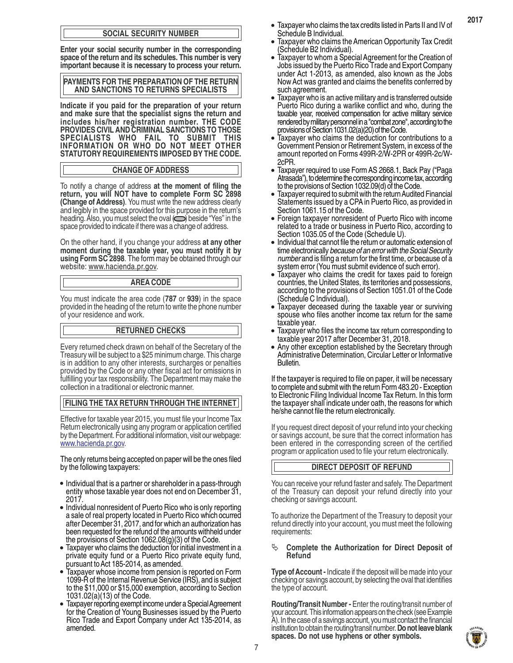#### **SOCIAL SECURITY NUMBER**

**Enter your social security number in the corresponding space of the return and its schedules. This number is very important because it is necessary to process your return.**

**PAYMENTS FOR THE PREPARATION OF THE RETURN AND SANCTIONS TO RETURNS SPECIALISTS**

**Indicate if you paid for the preparation of your return and make sure that the specialist signs the return and includes his/her registration number. THE CODE PROVIDES CIVIL AND CRIMINAL SANCTIONS TO THOSE SPECIALISTS WHO FAIL TO SUBMIT THIS INFORMATION OR WHO DO NOT MEET OTHER STATUTORY REQUIREMENTS IMPOSED BY THE CODE.**

#### **CHANGE OF ADDRESS**

To notify a change of address **at the moment of filing the return, you will NOT have to complete Form SC 2898 (Change of Address)**. You must write the new address clearly and legibly in the space provided for this purpose in the return's heading. Also, you must select the oval  $\bigodot$  beside "Yes" in the space provided to indicate if there was a change of address.

On the other hand, if you change your address **at any other moment during the taxable year, you must notify it by using Form SC 2898**. The form may be obtained through our website: www.hacienda.pr.gov.

#### **AREA CODE**

You must indicate the area code (**787** or **939**) in the space provided in the heading of the return to write the phone number of your residence and work.

#### **RETURNED CHECKS**

Every returned check drawn on behalf of the Secretary of the Treasury will be subject to a \$25 minimum charge. This charge is in addition to any other interests, surcharges or penalties provided by the Code or any other fiscal act for omissions in fulfilling your tax responsibility. The Department may make the collection in a traditional or electronic manner.

#### **FILING THE TAX RETURN THROUGH THE INTERNET**

Effective for taxable year 2015, you must file your Income Tax Return electronically using any program or application certified by the Department. For additional information, visit our webpage: www.hacienda.pr.gov.

The only returns being accepted on paper will be the ones filed by the following taxpayers:

- Individual that is a partner or shareholder in a pass-through entity whose taxable year does not end on December 31, 2017.
- Individual nonresident of Puerto Rico who is only reporting a sale of real property located in Puerto Rico which ocurred after December 31, 2017, and for which an authorization has been requested for the refund of the amounts withheld under the provisions of Section 1062.08(g)(3) of the Code.
- Taxpayer who claims the deduction for initial investment in a private equity fund or a Puerto Rico private equity fund, pursuant to Act 185-2014, as amended.
- Taxpayer whose income from pension is reported on Form 1099-R of the Internal Revenue Service (IRS), and is subject to the \$11,000 or \$15,000 exemption, according to Section 1031.02(a)(13) of the Code.
- Taxpayer reporting exempt income under a Special Agreement for the Creation of Young Businesses issued by the Puerto Rico Trade and Export Company under Act 135-2014, as amended.

Taxpayer who claims the tax credits listed in Parts II and IV of Schedule B Individual. •

**2017**

- Taxpayer who claims the American Opportunity Tax Credit (Schedule B2 Individual). •
- Taxpayer to whom a Special Agreement for the Creation of Jobs issued by the Puerto Rico Trade and Export Company under Act 1-2013, as amended, also known as the Jobs Now Act was granted and claims the benefits conferred by such agreement.
- Taxpayer who is an active military and is transferred outside Puerto Rico during a warlike conflict and who, during the taxable year, received compensation for active military service rendered by military personnel in a "combat zone", according to the provisions of Section 1031.02(a)(20) of the Code.
- Taxpayer who claims the deduction for contributions to a Government Pension or Retirement System, in excess of the amount reported on Forms 499R-2/W-2PR or 499R-2c/W-2cPR.
- Taxpayer required to use Form AS 2668.1, Back Pay ("Paga Atrasada"), to determine the corresponding income tax, according to the provisions of Section 1032.09(d) of the Code.
- Taxpayer required to submit with the return Audited Financial Statements issued by a CPA in Puerto Rico, as provided in Section 1061.15 of the Code. •
- Foreign taxpayer nonresident of Puerto Rico with income related to a trade or business in Puerto Rico, according to Section 1035.05 of the Code (Schedule U).
- Individual that cannot file the return or automatic extension of time electronically *because of an error with the Social Security number* and is filing a return for the first time, or because of a system error (You must submit evidence of such error).
- Taxpayer who claims the credit for taxes paid to foreign countries, the United States, its territories and possessions, according to the provisions of Section 1051.01 of the Code (Schedule C Individual).
- Taxpayer deceased during the taxable year or surviving spouse who files another income tax return for the same taxable year.
- Taxpayer who files the income tax return corresponding to taxable year 2017 after December 31, 2018.
- Any other exception established by the Secretary through Administrative Determination, Circular Letter or Informative Bulletin.

If the taxpayer is required to file on paper, it will be necessary to complete and submit with the return Form 483.20 - Exception to Electronic Filing Individual Income Tax Return. In this form the taxpayer shall indicate under oath, the reasons for which he/she cannot file the return electronically.

If you request direct deposit of your refund into your checking or savings account, be sure that the correct information has been entered in the corresponding screen of the certified program or application used to file your return electronically.

#### **DIRECT DEPOSIT OF REFUND**

You can receive your refund faster and safely. The Department of the Treasury can deposit your refund directly into your checking or savings account.

To authorize the Department of the Treasury to deposit your refund directly into your account, you must meet the following requirements:

#### <sup> $4$ </sup> Complete the Authorization for Direct Deposit of **Refund**

**Type of Account -** Indicate if the deposit will be made into your checking or savings account, by selecting the oval that identifies the type of account.

**Routing/Transit Number -** Enter the routing/transit number of your account. This information appears on the check (see Example A). In the case of a savings account, you must contact the financial institution to obtain the routing/transit number. **Do not leave blank spaces. Do not use hyphens or other symbols.**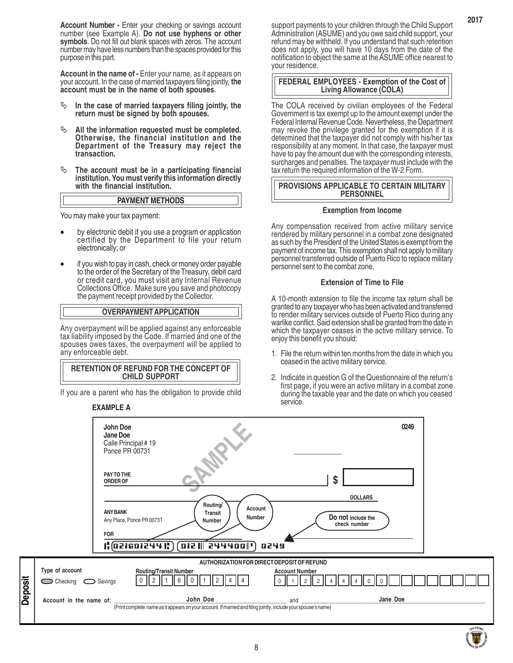**Account Number -** Enter your checking or savings account number (see Example A). **Do not use hyphens or other symbols**. Do not fill out blank spaces with zeros. The account number may have less numbers than the spaces provided for this purpose in this part.

**Account in the name of -** Enter your name, as it appears on your account. In the case of married taxpayers filing jointly, **the account must be in the name of both spouses**.

- $\psi$  In the case of married taxpayers filing jointly, the **return must be signed by both spouses.**
- <sup> $\&$ </sup> All the information requested must be completed. **Otherwise, the financial institution and the Department of the Treasury may reject the transaction.**
- <sup> $\&$ </sup> The account must be in a participating financial **institution. You must verify this information directly with the financial institution.**

#### **PAYMENT METHODS**

You may make your tax payment:

- by electronic debit if you use a program or application certified by the Department to file your return electronically; or
- if you wish to pay in cash, check or money order payable to the order of the Secretary of the Treasury, debit card or credit card, you must visit any Internal Revenue Collections Office. Make sure you save and photocopy the payment receipt provided by the Collector.

#### **OVERPAYMENT APPLICATION**

Any overpayment will be applied against any enforceable tax liability imposed by the Code. If married and one of the spouses owes taxes, the overpayment will be applied to any enforceable debt.

#### **RETENTION OF REFUND FOR THE CONCEPT OF CHILD SUPPORT**

If you are a parent who has the obligation to provide child

#### **EXAMPLE A**

**Deposit**

support payments to your children through the Child Support Administration (ASUME) and you owe said child support, your refund may be withheld. If you understand that such retention does not apply, you will have 10 days from the date of the notification to object the same at the ASUME office nearest to your residence.

#### **FEDERAL EMPLOYEES - Exemption of the Cost of Living Allowance (COLA)**

The COLA received by civilian employees of the Federal Government is tax exempt up to the amount exempt under the Federal Internal Revenue Code. Nevertheless, the Department may revoke the privilege granted for the exemption if it is determined that the taxpayer did not comply with his/her tax responsibility at any moment. In that case, the taxpayer must have to pay the amount due with the corresponding interests, surcharges and penalties. The taxpayer must include with the tax return the required information of the W-2 Form.

#### **PROVISIONS APPLICABLE TO CERTAIN MILITARY PERSONNEL**

#### **Exemption from Income**

Any compensation received from active military service rendered by military personnel in a combat zone designated as such by the President of the United States is exempt from the payment of income tax. This exemption shall not apply to military personnel transferred outside of Puerto Rico to replace military personnel sent to the combat zone.

#### **Extension of Time to File**

A 10-month extension to file the income tax return shall be granted to any taxpayer who has been activated and transferred to render military services outside of Puerto Rico during any warlike conflict. Said extension shall be granted from the date in which the taxpayer ceases in the active military service. To enjoy this benefit you should:

- 1. File the return within ten months from the date in which you ceased in the active military service.
- 2. Indicate in question G of the Questionnaire of the return's first page, if you were an active military in a combat zone during the taxable year and the date on which you ceased service.

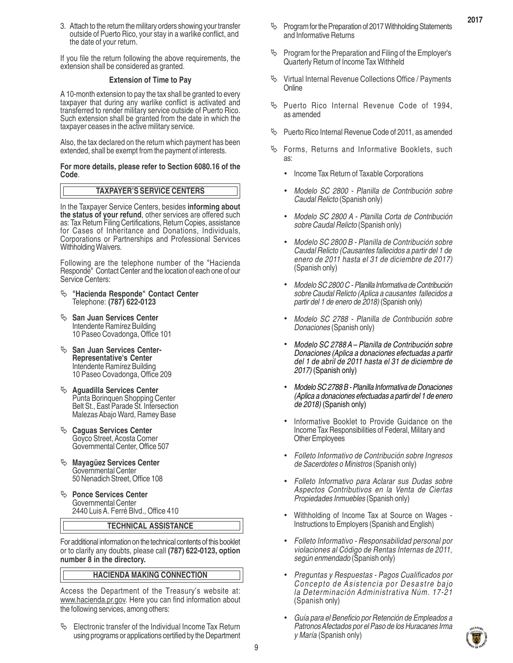3. Attach to the return the military orders showing your transfer outside of Puerto Rico, your stay in a warlike conflict, and the date of your return.

If you file the return following the above requirements, the extension shall be considered as granted.

#### **Extension of Time to Pay**

A 10-month extension to pay the tax shall be granted to every taxpayer that during any warlike conflict is activated and transferred to render military service outside of Puerto Rico. Such extension shall be granted from the date in which the taxpayer ceases in the active military service.

Also, the tax declared on the return which payment has been extended, shall be exempt from the payment of interests.

#### **For more details, please refer to Section 6080.16 of the Code**.

#### **TAXPAYER'S SERVICE CENTERS**

In the Taxpayer Service Centers, besides **informing about the status of your refund**, other services are offered such as: Tax Return Filing Certifications, Return Copies, assistance for Cases of Inheritance and Donations, Individuals, Corporations or Partnerships and Professional Services Withholding Waivers.

Following are the telephone number of the "Hacienda Responde" Contact Center and the location of each one of our Service Centers:

- ª **"Hacienda Responde" Contact Center** Telephone: **(787) 622-0123**
- <sup> $\&$ </sup> San Juan Services Center Intendente Ramírez Building 10 Paseo Covadonga, Office 101
- <sup> $\&$ </sup> San Juan Services Center-**Representative's Center** Intendente Ramírez Building 10 Paseo Covadonga, Office 209
- ª **Aguadilla Services Center** Punta Borinquen Shopping Center Belt St., East Parade St. Intersection Malezas Abajo Ward, Ramey Base
- <sup> $\&$ </sup> Caguas Services Center Goyco Street, Acosta Corner Governmental Center, Office 507
- <sup> $\psi$ </sup> Mayagüez Services Center Governmental Center 50 Nenadich Street, Office 108
- <sup> $\&$ </sup> Ponce Services Center Governmental Center 2440 Luis A. Ferré Blvd., Office 410

#### **TECHNICAL ASSISTANCE**

For additional information on the technical contents of this booklet or to clarify any doubts, please call **(787) 622-0123, option number 8 in the directory.**

#### **HACIENDA MAKING CONNECTION**

Access the Department of the Treasury's website at: www.hacienda.pr.gov. Here you can find information about the following services, among others:

 $\%$  Electronic transfer of the Individual Income Tax Return using programs or applications certified by the Department  $\%$  Program for the Preparation of 2017 Withholding Statements and Informative Returns

- $\%$  Program for the Preparation and Filing of the Employer's Quarterly Return of Income Tax Withheld
- Virtual Internal Revenue Collections Office / Payments **Online**
- $\%$  Puerto Rico Internal Revenue Code of 1994, as amended
- $\%$  Puerto Rico Internal Revenue Code of 2011, as amended
- $\%$  Forms, Returns and Informative Booklets, such as:
	- . Income Tax Return of Taxable Corporations
	- . *Modelo SC 2800 Planilla de Contribución sobre Caudal Relicto* (Spanish only)
	- . *Modelo SC 2800 A Planilla Corta de Contribución sobre Caudal Relicto* (Spanish only)
	- . *Modelo SC 2800 B Planilla de Contribución sobre Caudal Relicto (Causantes fallecidos a partir del 1 de enero de 2011 hasta el 31 de diciembre de 2017)* (Spanish only)
	- . *Modelo SC 2800 C Planilla Informativa de Contribución sobre Caudal Relicto (Aplica a causantes fallecidos a partir del 1 de enero de 2018)* (Spanish only)
	- . *Modelo SC 2788 Planilla de Contribución sobre Donaciones* (Spanish only)
	- . *Modelo SC 2788 A Planilla de Contribución sobre Donaciones (Aplica a donaciones efectuadas a partir del 1 de abril de 2011 hasta el 31 de diciembre de 2017)* (Spanish only)
	- . *Modelo SC 2788 B Planilla Informativa de Donaciones (Aplica a donaciones efectuadas a partir del 1 de enero de 2018)* (Spanish only)
	- . Informative Booklet to Provide Guidance on the Income Tax Responsibilities of Federal, Military and Other Employees
	- . *Folleto Informativo de Contribución sobre Ingresos de Sacerdotes o Ministros* (Spanish only)
	- . *Folleto Informativo para Aclarar sus Dudas sobre Aspectos Contributivos en la Venta de Ciertas Propiedades Inmuebles* (Spanish only)
	- . Withholding of Income Tax at Source on Wages Instructions to Employers (Spanish and English)
	- . *Folleto Informativo Responsabilidad personal por violaciones al Código de Rentas Internas de 2011, según enmendado* (Spanish only)
	- . *Preguntas y Respuestas Pagos Cualificados por Concepto de Asistencia por Desastre bajo la Determinación Administrativa Núm. 17-21* (Spanish only)
	- . *Guía para el Beneficio por Retención de Empleados a Patronos Afectados por el Paso de los Huracanes Irma y María* (Spanish only)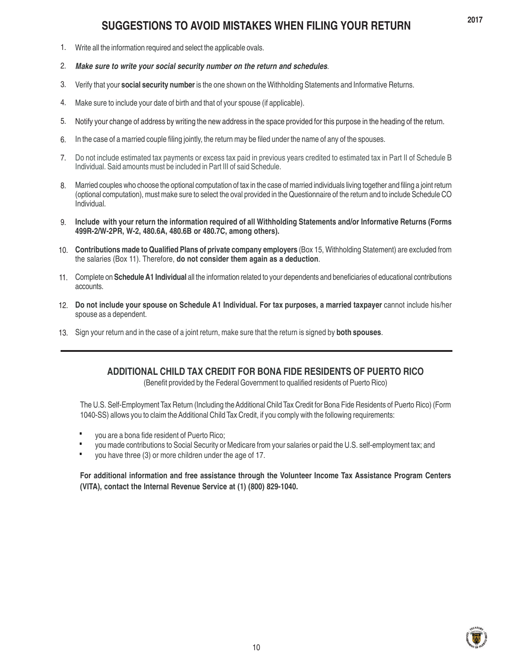# **SUGGESTIONS TO AVOID MISTAKES WHEN FILING YOUR RETURN**

- Write all the information required and select the applicable ovals. 1.
- *Make sure to write your social security number on the return and schedules.* 2.
- Verify that your **social security number** is the one shown on the Withholding Statements and Informative Returns. 3.
- Make sure to include your date of birth and that of your spouse (if applicable). 4.
- Notify your change of address by writing the new address in the space provided for this purpose in the heading of the return. 5.
- In the case of a married couple filing jointly, the return may be filed under the name of any of the spouses. 6.
- Do not include estimated tax payments or excess tax paid in previous years credited to estimated tax in Part II of Schedule B Individual. Said amounts must be included in Part III of said Schedule. 7.
- Married couples who choose the optional computation of tax in the case of married individuals living together and filing a joint return (optional computation), must make sure to select the oval provided in the Questionnaire of the return and to include Schedule CO Individual. 8.
- **Include with your return the information required of all Withholding Statements and/or Informative Returns (Forms** 9. **499R-2/W-2PR, W-2, 480.6A, 480.6B or 480.7C, among others).**
- 10. Contributions made to Qualified Plans of private company employers (Box 15, Withholding Statement) are excluded from the salaries (Box 11). Therefore, **do not consider them again as a deduction**.
- Complete on **Schedule A1 Individual** all the information related to your dependents and beneficiaries of educational contributions 11. accounts.
- **Do not include your spouse on Schedule A1 Individual. For tax purposes, a married taxpayer** cannot include his/her 12. spouse as a dependent.
- 13. Sign your return and in the case of a joint return, make sure that the return is signed by **both spouses**.

# **ADDITIONAL CHILD TAX CREDIT FOR BONA FIDE RESIDENTS OF PUERTO RICO**

(Benefit provided by the Federal Government to qualified residents of Puerto Rico)

The U.S. Self-Employment Tax Return (Including the Additional Child Tax Credit for Bona Fide Residents of Puerto Rico) (Form 1040-SS) allows you to claim the Additional Child Tax Credit, if you comply with the following requirements:

- you are a bona fide resident of Puerto Rico; **·**
- you made contributions to Social Security or Medicare from your salaries or paid the U.S. self-employment tax; and **·**
- you have three (3) or more children under the age of 17. **·**

**For additional information and free assistance through the Volunteer Income Tax Assistance Program Centers (VITA), contact the Internal Revenue Service at (1) (800) 829-1040.**

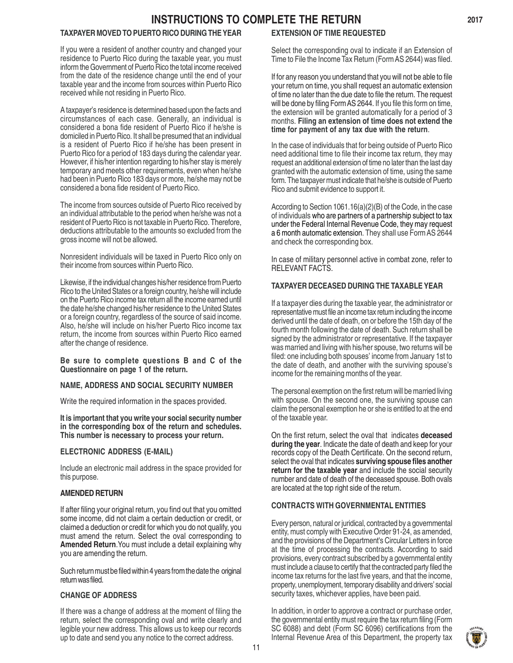# **INSTRUCTIONS TO COMPLETE THE RETURN**

# **TAXPAYER MOVED TO PUERTO RICO DURING THE YEAR**

If you were a resident of another country and changed your residence to Puerto Rico during the taxable year, you must inform the Government of Puerto Rico the total income received from the date of the residence change until the end of your taxable year and the income from sources within Puerto Rico received while not residing in Puerto Rico.

A taxpayer's residence is determined based upon the facts and circumstances of each case. Generally, an individual is considered a bona fide resident of Puerto Rico if he/she is domiciled in Puerto Rico. It shall be presumed that an individual is a resident of Puerto Rico if he/she has been present in Puerto Rico for a period of 183 days during the calendar year. However, if his/her intention regarding to his/her stay is merely temporary and meets other requirements, even when he/she had been in Puerto Rico 183 days or more, he/she may not be considered a bona fide resident of Puerto Rico.

The income from sources outside of Puerto Rico received by an individual attributable to the period when he/she was not a resident of Puerto Rico is not taxable in Puerto Rico. Therefore, deductions attributable to the amounts so excluded from the gross income will not be allowed.

Nonresident individuals will be taxed in Puerto Rico only on their income from sources within Puerto Rico.

Likewise, if the individual changes his/her residence from Puerto Rico to the United States or a foreign country, he/she will include on the Puerto Rico income tax return all the income earned until the date he/she changed his/her residence to the United States or a foreign country, regardless of the source of said income. Also, he/she will include on his/her Puerto Rico income tax return, the income from sources within Puerto Rico earned after the change of residence.

**Be sure to complete questions B and C of the Questionnaire on page 1 of the return.**

#### **NAME, ADDRESS AND SOCIAL SECURITY NUMBER**

Write the required information in the spaces provided.

**It is important that you write your social security number in the corresponding box of the return and schedules. This number is necessary to process your return.**

#### **ELECTRONIC ADDRESS (E-MAIL)**

Include an electronic mail address in the space provided for this purpose.

#### **AMENDED RETURN**

If after filing your original return, you find out that you omitted some income, did not claim a certain deduction or credit, or claimed a deduction or credit for which you do not qualify, you must amend the return. Select the oval corresponding to **Amended Return**.You must include a detail explaining why you are amending the return.

Such return must be filed within 4 years from the date the original return was filed.

#### **CHANGE OF ADDRESS**

If there was a change of address at the moment of filing the return, select the corresponding oval and write clearly and legible your new address. This allows us to keep our records up to date and send you any notice to the correct address.

# **EXTENSION OF TIME REQUESTED**

Select the corresponding oval to indicate if an Extension of Time to File the Income Tax Return (Form AS 2644) was filed.

If for any reason you understand that you will not be able to file your return on time, you shall request an automatic extension of time no later than the due date to file the return. The request will be done by filing Form AS 2644. If you file this form on time, the extension will be granted automatically for a period of 3 months. **Filing an extension of time does not extend the time for payment of any tax due with the return**.

In the case of individuals that for being outside of Puerto Rico need additional time to file their income tax return, they may request an additional extension of time no later than the last day granted with the automatic extension of time, using the same form. The taxpayer must indicate that he/she is outside of Puerto Rico and submit evidence to support it.

According to Section 1061.16(a)(2)(B) of the Code, in the case of individuals who are partners of a partnership subject to tax under the Federal Internal Revenue Code, they may request a 6 month automatic extension. They shall use Form AS 2644 and check the corresponding box.

In case of military personnel active in combat zone, refer to RELEVANT FACTS.

#### **TAXPAYER DECEASED DURING THE TAXABLE YEAR**

If a taxpayer dies during the taxable year, the administrator or representative must file an income tax return including the income derived until the date of death, on or before the 15th day of the fourth month following the date of death. Such return shall be signed by the administrator or representative. If the taxpayer was married and living with his/her spouse, two returns will be filed: one including both spouses' income from January 1st to the date of death, and another with the surviving spouse's income for the remaining months of the year.

The personal exemption on the first return will be married living with spouse. On the second one, the surviving spouse can claim the personal exemption he or she is entitled to at the end of the taxable year.

On the first return, select the oval that indicates **deceased during the year**. Indicate the date of death and keep for your records copy of the Death Certificate. On the second return, select the oval that indicates **surviving spouse files another return for the taxable year** and include the social security number and date of death of the deceased spouse. Both ovals are located at the top right side of the return.

#### **CONTRACTS WITH GOVERNMENTAL ENTITIES**

Every person, natural or juridical, contracted by a governmental entity, must comply with Executive Order 91-24, as amended, and the provisions of the Department's Circular Letters in force at the time of processing the contracts. According to said provisions, every contract subscribed by a governmental entity must include a clause to certify that the contracted party filed the income tax returns for the last five years, and that the income, property, unemployment, temporary disability and drivers' social security taxes, whichever applies, have been paid.

In addition, in order to approve a contract or purchase order, the governmental entity must require the tax return filing (Form SC 6088) and debt (Form SC 6096) certifications from the Internal Revenue Area of this Department, the property tax



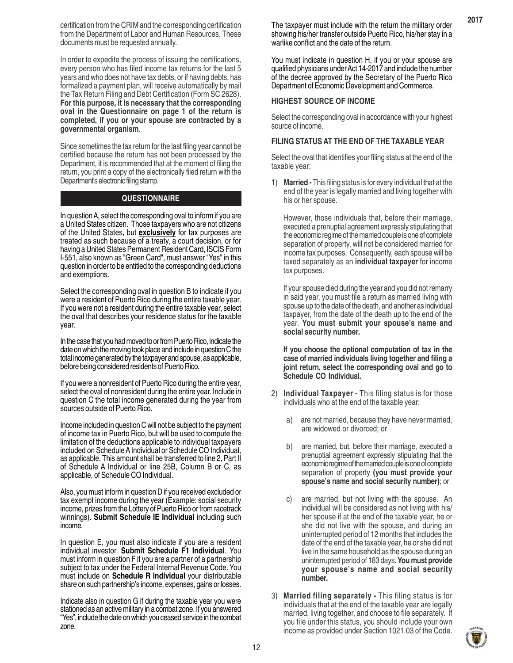certification from the CRIM and the corresponding certification from the Department of Labor and Human Resources. These documents must be requested annually.

In order to expedite the process of issuing the certifications, every person who has filed income tax returns for the last 5 years and who does not have tax debts, or if having debts, has formalized a payment plan, will receive automatically by mail the Tax Return Filing and Debt Certification (Form SC 2628). **For this purpose, it is necessary that the corresponding oval in the Questionnaire on page 1 of the return is completed, if you or your spouse are contracted by a governmental organism**.

Since sometimes the tax return for the last filing year cannot be certified because the return has not been processed by the Department, it is recommended that at the moment of filing the return, you print a copy of the electronically filed return with the Department's electronic filing stamp.

# **QUESTIONNAIRE**

In question A, select the corresponding oval to inform if you are a United States citizen. Those taxpayers who are not citizens of the United States, but **exclusively** for tax purposes are treated as such because of a treaty, a court decision, or for having a United States Permanent Resident Card, ISCIS Form I-551, also known as "Green Card", must answer "Yes" in this question in order to be entitled to the corresponding deductions and exemptions.

Select the corresponding oval in question B to indicate if you were a resident of Puerto Rico during the entire taxable year. If you were not a resident during the entire taxable year, select the oval that describes your residence status for the taxable year.

In the case that you had moved to or from Puerto Rico, indicate the date on which the moving took place and include in question C the total income generated by the taxpayer and spouse, as applicable, before being considered residents of Puerto Rico.

If you were a nonresident of Puerto Rico during the entire year, select the oval of nonresident during the entire year. Include in question C the total income generated during the year from sources outside of Puerto Rico.

Income included in question C will not be subject to the payment of income tax in Puerto Rico, but will be used to compute the limitation of the deductions applicable to individual taxpayers included on Schedule A Individual or Schedule CO Individual, as applicable. This amount shall be transferred to line 2, Part II of Schedule A Individual or line 25B, Column B or C, as applicable, of Schedule CO Individual.

Also, you must inform in question D if you received excluded or tax exempt income during the year (Example: social security income, prizes from the Lottery of Puerto Rico or from racetrack winnings). **Submit Schedule IE Individual** including such income.

In question E, you must also indicate if you are a resident individual investor. **Submit Schedule F1 Individual**. You must inform in question F if you are a partner of a partnership subject to tax under the Federal Internal Revenue Code. You must include on **Schedule R Individual** your distributable share on such partnership's income, expenses, gains or losses.

Indicate also in question G if during the taxable year you were stationed as an active military in a combat zone. If you answered "Yes", include the date on which you ceased service in the combat zone.

The taxpayer must include with the return the military order showing his/her transfer outside Puerto Rico, his/her stay in a warlike conflict and the date of the return.

You must indicate in question H, if you or your spouse are qualified physicians under Act 14-2017 and include the number of the decree approved by the Secretary of the Puerto Rico Department of Economic Development and Commerce.

#### **HIGHEST SOURCE OF INCOME**

Select the corresponding oval in accordance with your highest source of income.

#### **FILING STATUS AT THE END OF THE TAXABLE YEAR**

Select the oval that identifies your filing status at the end of the taxable year:

1) **Married -** This filing status is for every individual that at the end of the year is legally married and living together with his or her spouse.

However, those individuals that, before their marriage, executed a prenuptial agreement expressly stipulating that the economic regime of the married couple is one of complete separation of property, will not be considered married for income tax purposes. Consequently, each spouse will be taxed separately as an **individual taxpayer** for income tax purposes.

If your spouse died during the year and you did not remarry in said year, you must file a return as married living with spouse up to the date of the death, and another as individual taxpayer, from the date of the death up to the end of the year. **You must submit your spouse's name and social security number.**

**If you choose the optional computation of tax in the case of married individuals living together and filing a joint return, select the corresponding oval and go to Schedule CO Individual.**

- 2) **Individual Taxpayer** This filing status is for those individuals who at the end of the taxable year:
	- a) are not married, because they have never married, are widowed or divorced; or
	- b) are married, but, before their marriage, executed a prenuptial agreement expressly stipulating that the economic regime of the married couple is one of complete separation of property **(you must provide your spouse's name and social security number)**; or
	- c) are married, but not living with the spouse. An individual will be considered as not living with his/ her spouse if at the end of the taxable year, he or she did not live with the spouse, and during an uninterrupted period of 12 months that includes the date of the end of the taxable year, he or she did not live in the same household as the spouse during an uninterrupted period of 183 days**. You must provide your spouse's name and social security number.**
- 3) **Married filing separately** This filing status is for individuals that at the end of the taxable year are legally married, living together, and choose to file separately. If you file under this status, you should include your own income as provided under Section 1021.03 of the Code.

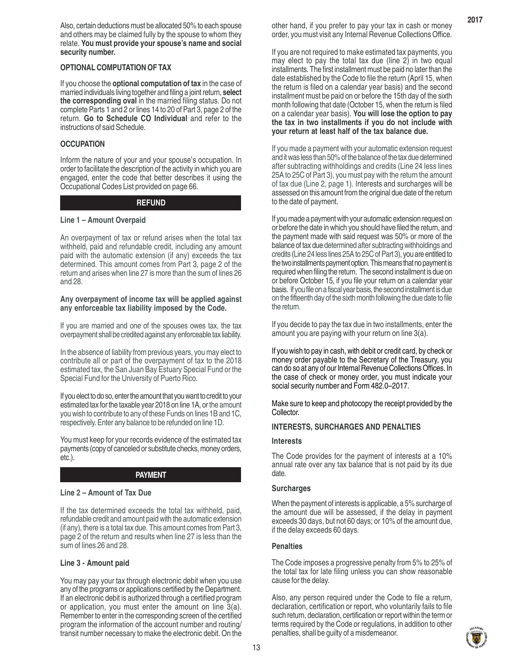Also, certain deductions must be allocated 50% to each spouse and others may be claimed fully by the spouse to whom they relate. **You must provide your spouse's name and social security number.**

#### **OPTIONAL COMPUTATION OF TAX**

If you choose the **optional computation of tax** in the case of married individuals living together and filing a joint return, **select the corresponding oval** in the married filing status. Do not complete Parts 1 and 2 or lines 14 to 20 of Part 3, page 2 of the return. **Go to Schedule CO Individual** and refer to the instructions of said Schedule.

#### **OCCUPATION**

Inform the nature of your and your spouse's occupation. In order to facilitate the description of the activity in which you are engaged, enter the code that better describes it using the Occupational Codes List provided on page 66.

# **REFUND**

#### **Line 1 – Amount Overpaid**

An overpayment of tax or refund arises when the total tax withheld, paid and refundable credit, including any amount paid with the automatic extension (if any) exceeds the tax determined. This amount comes from Part 3, page 2 of the return and arises when line 27 is more than the sum of lines 26 and 28.

#### **Any overpayment of income tax will be applied against any enforceable tax liability imposed by the Code.**

If you are married and one of the spouses owes tax, the tax overpayment shall be credited against any enforceable tax liability.

In the absence of liability from previous years, you may elect to contribute all or part of the overpayment of tax to the 2018 estimated tax, the San Juan Bay Estuary Special Fund or the Special Fund for the University of Puerto Rico.

If you elect to do so, enter the amount that you want to credit to your estimated tax for the taxable year 2018 on line 1A, or the amount you wish to contribute to any of these Funds on lines 1B and 1C, respectively. Enter any balance to be refunded on line 1D.

You must keep for your records evidence of the estimated tax payments (copy of canceled or substitute checks, money orders, etc.).

#### **PAYMENT**

#### **Line 2 – Amount of Tax Due**

If the tax determined exceeds the total tax withheld, paid, refundable credit and amount paid with the automatic extension (if any), there is a total tax due. This amount comes from Part 3, page 2 of the return and results when line 27 is less than the sum of lines 26 and 28.

#### **Line 3 - Amount paid**

You may pay your tax through electronic debit when you use any of the programs or applications certified by the Department. If an electronic debit is authorized through a certified program or application, you must enter the amount on line 3(a). Remember to enter in the corresponding screen of the certified program the information of the account number and routing/ transit number necessary to make the electronic debit. On the other hand, if you prefer to pay your tax in cash or money order, you must visit any Internal Revenue Collections Office.

**2017**

If you are not required to make estimated tax payments, you may elect to pay the total tax due (line 2) in two equal installments. The first installment must be paid no later than the date established by the Code to file the return (April 15, when the return is filed on a calendar year basis) and the second installment must be paid on or before the 15th day of the sixth month following that date (October 15, when the return is filed on a calendar year basis). **You will lose the option to pay the tax in two installments if you do not include with your return at least half of the tax balance due.**

If you made a payment with your automatic extension request and it was less than 50% of the balance of the tax due determined after subtracting withholdings and credits (Line 24 less lines 25A to 25C of Part 3), you must pay with the return the amount of tax due (Line 2, page 1). Interests and surcharges will be assessed on this amount from the original due date of the return to the date of payment.

If you made a payment with your automatic extension request on or before the date in which you should have filed the return, and the payment made with said request was 50% or more of the balance of tax due determined after subtracting withholdings and credits (Line 24 less lines 25A to 25C of Part 3), you are entitled to the two installments payment option. This means that no payment is required when filing the return. The second installment is due on or before October 15, if you file your return on a calendar year basis. If you file on a fiscal year basis, the second installment is due on the fifteenth day of the sixth month following the due date to file the return.

If you decide to pay the tax due in two installments, enter the amount you are paying with your return on line 3(a).

If you wish to pay in cash, with debit or credit card, by check or money order payable to the Secretary of the Treasury, you can do so at any of our Internal Revenue Collections Offices. In the case of check or money order, you must indicate your social security number and Form 482.0–2017.

Make sure to keep and photocopy the receipt provided by the Collector.

#### **INTERESTS, SURCHARGES AND PENALTIES**

#### **Interests**

The Code provides for the payment of interests at a 10% annual rate over any tax balance that is not paid by its due date.

#### **Surcharges**

When the payment of interests is applicable, a 5% surcharge of the amount due will be assessed, if the delay in payment exceeds 30 days, but not 60 days; or 10% of the amount due, if the delay exceeds 60 days.

#### **Penalties**

The Code imposes a progressive penalty from 5% to 25% of the total tax for late filing unless you can show reasonable cause for the delay.

Also, any person required under the Code to file a return, declaration, certification or report, who voluntarily fails to file such return, declaration, certification or report within the term or terms required by the Code or regulations, in addition to other penalties, shall be guilty of a misdemeanor.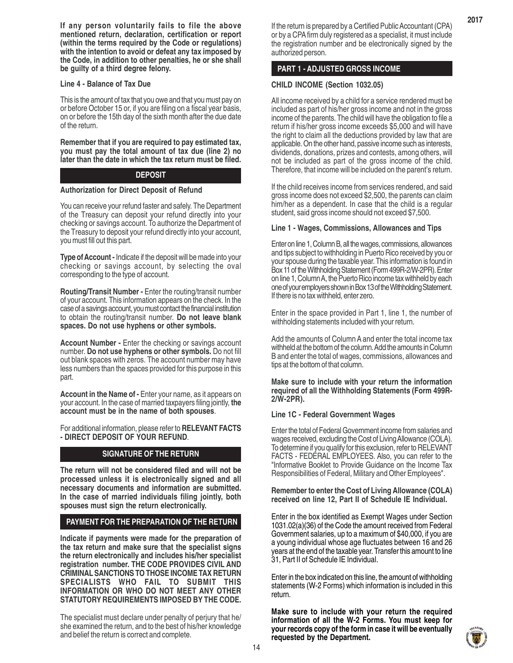**If any person voluntarily fails to file the above mentioned return, declaration, certification or report (within the terms required by the Code or regulations) with the intention to avoid or defeat any tax imposed by the Code, in addition to other penalties, he or she shall be guilty of a third degree felony.**

#### **Line 4 - Balance of Tax Due**

This is the amount of tax that you owe and that you must pay on or before October 15 or, if you are filing on a fiscal year basis, on or before the 15th day of the sixth month after the due date of the return.

**Remember that if you are required to pay estimated tax, you must pay the total amount of tax due (line 2) no later than the date in which the tax return must be filed.**

# **DEPOSIT**

#### **Authorization for Direct Deposit of Refund**

You can receive your refund faster and safely. The Department of the Treasury can deposit your refund directly into your checking or savings account. To authorize the Department of the Treasury to deposit your refund directly into your account, you must fill out this part.

**Type of Account -** Indicate if the deposit will be made into your checking or savings account, by selecting the oval corresponding to the type of account.

**Routing/Transit Number -** Enter the routing/transit number of your account. This information appears on the check. In the case of a savings account, you must contact the financial institution to obtain the routing/transit number. **Do not leave blank spaces. Do not use hyphens or other symbols.**

**Account Number -** Enter the checking or savings account number. **Do not use hyphens or other symbols.** Do not fill out blank spaces with zeros. The account number may have less numbers than the spaces provided for this purpose in this part.

**Account in the Name of -** Enter your name, as it appears on your account. In the case of married taxpayers filing jointly, **the account must be in the name of both spouses**.

For additional information, please refer to **RELEVANT FACTS - DIRECT DEPOSIT OF YOUR REFUND**.

# **SIGNATURE OF THE RETURN**

**The return will not be considered filed and will not be processed unless it is electronically signed and all necessary documents and information are submitted. In the case of married individuals filing jointly, both spouses must sign the return electronically.**

# **PAYMENT FOR THE PREPARATION OF THE RETURN**

**Indicate if payments were made for the preparation of the tax return and make sure that the specialist signs the return electronically and includes his/her specialist registration number. THE CODE PROVIDES CIVIL AND CRIMINAL SANCTIONS TO THOSE INCOME TAX RETURN SPECIALISTS WHO FAIL TO SUBMIT THIS INFORMATION OR WHO DO NOT MEET ANY OTHER STATUTORY REQUIREMENTS IMPOSED BY THE CODE.**

The specialist must declare under penalty of perjury that he/ she examined the return, and to the best of his/her knowledge and belief the return is correct and complete.

If the return is prepared by a Certified Public Accountant (CPA) or by a CPA firm duly registered as a specialist, it must include the registration number and be electronically signed by the authorized person.

# **PART 1 - ADJUSTED GROSS INCOME**

# **CHILD INCOME (Section 1032.05)**

All income received by a child for a service rendered must be included as part of his/her gross income and not in the gross income of the parents. The child will have the obligation to file a return if his/her gross income exceeds \$5,000 and will have the right to claim all the deductions provided by law that are applicable. On the other hand, passive income such as interests, dividends, donations, prizes and contests, among others, will not be included as part of the gross income of the child. Therefore, that income will be included on the parent's return.

If the child receives income from services rendered, and said gross income does not exceed \$2,500, the parents can claim him/her as a dependent. In case that the child is a regular student, said gross income should not exceed \$7,500.

#### **Line 1 - Wages, Commissions, Allowances and Tips**

Enter on line 1, Column B, all the wages, commissions, allowances and tips subject to withholding in Puerto Rico received by you or your spouse during the taxable year. This information is found in Box 11 of the Withholding Statement (Form 499R-2/W-2PR). Enter on line 1, Column A, the Puerto Rico income tax withheld by each one of your employers shown in Box 13 of the Withholding Statement. If there is no tax withheld, enter zero.

Enter in the space provided in Part 1, line 1, the number of withholding statements included with your return.

Add the amounts of Column A and enter the total income tax withheld at the bottom of the column. Add the amounts in Column B and enter the total of wages, commissions, allowances and tips at the bottom of that column.

#### **Make sure to include with your return the information required of all the Withholding Statements (Form 499R-2/W-2PR).**

#### **Line 1C - Federal Government Wages**

Enter the total of Federal Government income from salaries and wages received, excluding the Cost of Living Allowance (COLA). To determine if you qualify for this exclusion, refer to RELEVANT FACTS - FEDÉRAL EMPLOYEES. Also, you can refer to the "Informative Booklet to Provide Guidance on the Income Tax Responsibilities of Federal, Military and Other Employees".

**Remember to enter the Cost of Living Allowance (COLA) received on line 12, Part II of Schedule IE Individual.**

Enter in the box identified as Exempt Wages under Section 1031.02(a)(36) of the Code the amount received from Federal Government salaries, up to a maximum of \$40,000, if you are a young individual whose age fluctuates between 16 and 26 years at the end of the taxable year. Transfer this amount to line 31, Part II of Schedule IE Individual.

Enter in the box indicated on this line, the amount of withholding statements (W-2 Forms) which information is included in this return.

**Make sure to include with your return the required information of all the W-2 Forms. You must keep for your records copy of the form in case it will be eventually requested by the Department.**

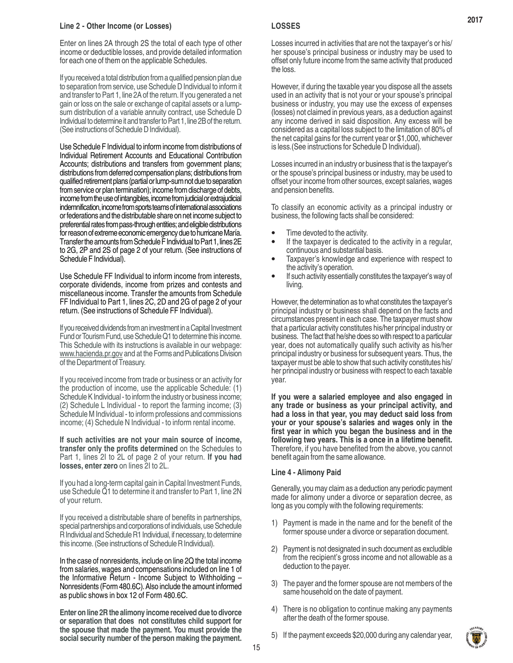#### **Line 2 - Other Income (or Losses)**

Enter on lines 2A through 2S the total of each type of other income or deductible losses, and provide detailed information for each one of them on the applicable Schedules.

If you received a total distribution from a qualified pension plan due to separation from service, use Schedule D Individual to inform it and transfer to Part 1, line 2A of the return. If you generated a net gain or loss on the sale or exchange of capital assets or a lumpsum distribution of a variable annuity contract, use Schedule D Individual to determine it and transfer to Part 1, line 2B of the return. (See instructions of Schedule D Individual).

Use Schedule F Individual to inform income from distributions of Individual Retirement Accounts and Educational Contribution Accounts; distributions and transfers from government plans; distributions from deferred compensation plans; distributions from qualified retirement plans (partial or lump-sum not due to separation from service or plan termination); income from discharge of debts, income from the use of intangibles, income from judicial or extrajudicial indemnification, income from sports teams of international associations or federations and the distributable share on net income subject to preferential rates from pass-through entities; and eligible distributions for reason of extreme economic emergency due to hurricane María. Transfer the amounts from Schedule F Individual to Part 1, lines 2E to 2G, 2P and 2S of page 2 of your return. (See instructions of Schedule F Individual).

Use Schedule FF Individual to inform income from interests, corporate dividends, income from prizes and contests and miscellaneous income. Transfer the amounts from Schedule FF Individual to Part 1, lines 2C, 2D and 2G of page 2 of your return. (See instructions of Schedule FF Individual).

If you received dividends from an investment in a Capital Investment Fund or Tourism Fund, use Schedule Q1 to determine this income. This Schedule with its instructions is available in our webpage: www.hacienda.pr.gov and at the Forms and Publications Division of the Department of Treasury.

If you received income from trade or business or an activity for the production of income, use the applicable Schedule: (1) Schedule K Individual - to inform the industry or business income; (2) Schedule L Individual - to report the farming income; (3) Schedule M Individual - to inform professions and commissions income; (4) Schedule N Individual - to inform rental income.

**If such activities are not your main source of income, transfer only the profits determined** on the Schedules to Part 1, lines 2I to 2L of page 2 of your return. **If you had losses, enter zero** on lines 2I to 2L.

If you had a long-term capital gain in Capital Investment Funds, use Schedule Q1 to determine it and transfer to Part 1, line 2N of your return.

If you received a distributable share of benefits in partnerships, special partnerships and corporations of individuals, use Schedule R Individual and Schedule R1 Individual, if necessary, to determine this income. (See instructions of Schedule R Individual).

In the case of nonresidents, include on line 2Q the total income from salaries, wages and compensations included on line 1 of the Informative Return - Income Subject to Withholding – Nonresidents (Form 480.6C). Also include the amount informed as public shows in box 12 of Form 480.6C.

**Enter on line 2R the alimony income received due to divorce or separation that does not constitutes child support for the spouse that made the payment. You must provide the social security number of the person making the payment.**

# **LOSSES**

Losses incurred in activities that are not the taxpayer's or his/ her spouse's principal business or industry may be used to offset only future income from the same activity that produced the loss.

However, if during the taxable year you dispose all the assets used in an activity that is not your or your spouse's principal business or industry, you may use the excess of expenses (losses) not claimed in previous years, as a deduction against any income derived in said disposition. Any excess will be considered as a capital loss subject to the limitation of 80% of the net capital gains for the current year or \$1,000, whichever is less.(See instructions for Schedule D Individual).

Losses incurred in an industry or business that is the taxpayer's or the spouse's principal business or industry, may be used to offset your income from other sources, except salaries, wages and pension benefits.

To classify an economic activity as a principal industry or business, the following facts shall be considered:

- Time devoted to the activity. •
- If the taxpayer is dedicated to the activity in a regular, continuous and substantial basis. •
- Taxpayer's knowledge and experience with respect to the activity's operation. •
- If such activity essentially constitutes the taxpayer's way of living. •

However, the determination as to what constitutes the taxpayer's principal industry or business shall depend on the facts and circumstances present in each case. The taxpayer must show that a particular activity constitutes his/her principal industry or business. The fact that he/she does so with respect to a particular year, does not automatically qualify such activity as his/her principal industry or business for subsequent years. Thus, the taxpayer must be able to show that such activity constitutes his/ her principal industry or business with respect to each taxable year.

**If you were a salaried employee and also engaged in any trade or business as your principal activity, and had a loss in that year, you may deduct said loss from your or your spouse's salaries and wages only in the first year in which you began the business and in the following two years. This is a once in a lifetime benefit.** Therefore, if you have benefited from the above, you cannot benefit again from the same allowance.

#### **Line 4 - Alimony Paid**

Generally, you may claim as a deduction any periodic payment made for alimony under a divorce or separation decree, as long as you comply with the following requirements:

- 1) Payment is made in the name and for the benefit of the former spouse under a divorce or separation document.
- 2) Payment is not designated in such document as excludible from the recipient's gross income and not allowable as a deduction to the payer.
- 3) The payer and the former spouse are not members of the same household on the date of payment.
- 4) There is no obligation to continue making any payments after the death of the former spouse.
- 5) If the payment exceeds \$20,000 during any calendar year,

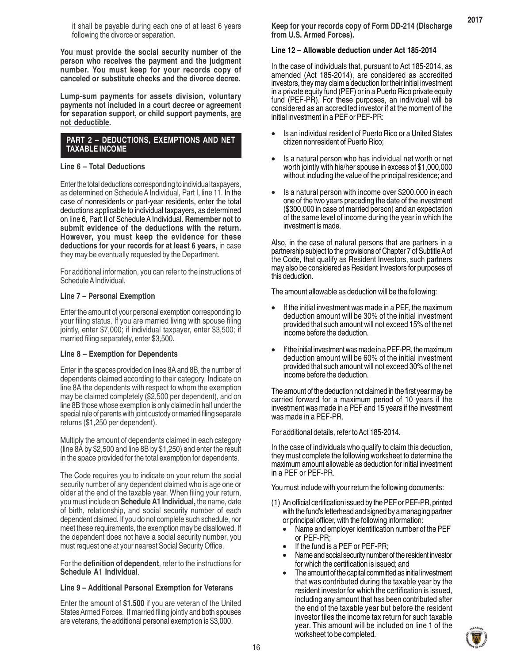it shall be payable during each one of at least 6 years following the divorce or separation.

**You must provide the social security number of the person who receives the payment and the judgment number. You must keep for your records copy of canceled or substitute checks and the divorce decree.**

**Lump-sum payments for assets division, voluntary payments not included in a court decree or agreement for separation support, or child support payments, are not deductible.**

#### **PART 2 – DEDUCTIONS, EXEMPTIONS AND NET TAXABLE INCOME**

#### **Line 6 – Total Deductions**

Enter the total deductions corresponding to individual taxpayers, as determined on Schedule A Individual, Part I, line 11. In the case of nonresidents or part-year residents, enter the total deductions applicable to individual taxpayers, as determined on line 6, Part II of Schedule A Individual. **Remember not to submit evidence of the deductions with the return. However, you must keep the evidence for these deductions for your records for at least 6 years,** in case they may be eventually requested by the Department.

For additional information, you can refer to the instructions of Schedule A Individual.

#### **Line 7 – Personal Exemption**

Enter the amount of your personal exemption corresponding to your filing status. If you are married living with spouse filing jointly, enter \$7,000; if individual taxpayer, enter \$3,500; if married filing separately, enter \$3,500.

#### **Line 8 – Exemption for Dependents**

Enter in the spaces provided on lines 8A and 8B, the number of dependents claimed according to their category. Indicate on line 8A the dependents with respect to whom the exemption may be claimed completely (\$2,500 per dependent), and on line 8B those whose exemption is only claimed in half under the special rule of parents with joint custody or married filing separate returns (\$1,250 per dependent).

Multiply the amount of dependents claimed in each category (line 8A by \$2,500 and line 8B by \$1,250) and enter the result in the space provided for the total exemption for dependents.

The Code requires you to indicate on your return the social security number of any dependent claimed who is age one or older at the end of the taxable year. When filing your return, you must include on **Schedule A1 Individual,** the name, date of birth, relationship, and social security number of each dependent claimed. If you do not complete such schedule, nor meet these requirements, the exemption may be disallowed. If the dependent does not have a social security number, you must request one at your nearest Social Security Office.

For the **definition of dependent**, refer to the instructions for **Schedule A1 Individual**.

#### **Line 9 – Additional Personal Exemption for Veterans**

Enter the amount of **\$1,500** if you are veteran of the United States Armed Forces. If married filing jointly and both spouses are veterans, the additional personal exemption is \$3,000.

**Keep for your records copy of Form DD-214 (Discharge from U.S. Armed Forces).**

## **Line 12 – Allowable deduction under Act 185-2014**

In the case of individuals that, pursuant to Act 185-2014, as amended (Act 185-2014), are considered as accredited investors, they may claim a deduction for their initial investment in a private equity fund (PEF) or in a Puerto Rico private equity fund (PEF-PR). For these purposes, an individual will be considered as an accredited investor if at the moment of the initial investment in a PEF or PEF-PR:

- Is an individual resident of Puerto Rico or a United States citizen nonresident of Puerto Rico;
- Is a natural person who has individual net worth or net worth jointly with his/her spouse in excess of \$1,000,000 without including the value of the principal residence; and
- Is a natural person with income over \$200,000 in each one of the two years preceding the date of the investment (\$300,000 in case of married person) and an expectation of the same level of income during the year in which the investment is made.

Also, in the case of natural persons that are partners in a partnership subject to the provisions of Chapter 7 of Subtitle A of the Code, that qualify as Resident Investors, such partners may also be considered as Resident Investors for purposes of this deduction.

The amount allowable as deduction will be the following:

- If the initial investment was made in a PEF, the maximum deduction amount will be 30% of the initial investment provided that such amount will not exceed 15% of the net income before the deduction.
- If the initial investment was made in a PEF-PR, the maximum deduction amount will be 60% of the initial investment provided that such amount will not exceed 30% of the net income before the deduction.

The amount of the deduction not claimed in the first year may be carried forward for a maximum period of 10 years if the investment was made in a PEF and 15 years if the investment was made in a PEF-PR.

For additional details, refer to Act 185-2014.

In the case of individuals who qualify to claim this deduction, they must complete the following worksheet to determine the maximum amount allowable as deduction for initial investment in a PEF or PEF-PR.

You must include with your return the following documents:

- (1) An official certification issued by the PEF or PEF-PR, printed with the fund's letterhead and signed by a managing partner or principal officer, with the following information:
	- Name and employer identification number of the PEF or PEF-PR;
	- If the fund is a PEF or PEF-PR;
	- Name and social security number of the resident investor for which the certification is issued; and
	- The amount of the capital committed as initial investment that was contributed during the taxable year by the resident investor for which the certification is issued, including any amount that has been contributed after the end of the taxable year but before the resident investor files the income tax return for such taxable year. This amount will be included on line 1 of the worksheet to be completed.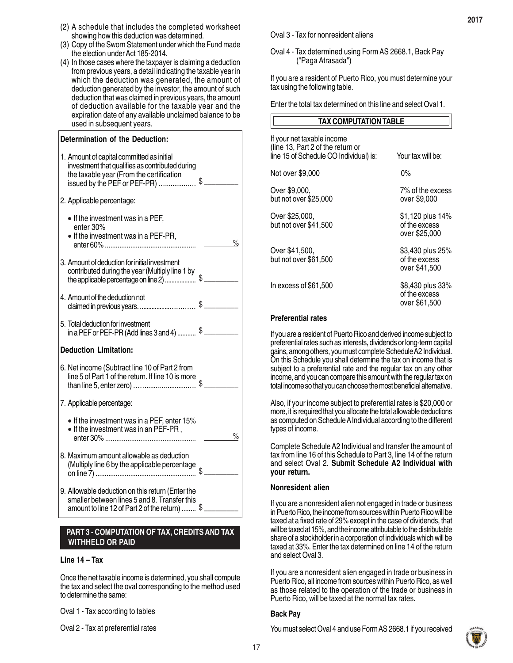- (2) A schedule that includes the completed worksheet showing how this deduction was determined.
- (3) Copy of the Sworn Statement under which the Fund made the election under Act 185-2014.
- (4) In those cases where the taxpayer is claiming a deduction from previous years, a detail indicating the taxable year in which the deduction was generated, the amount of deduction generated by the investor, the amount of such deduction that was claimed in previous years, the amount of deduction available for the taxable year and the expiration date of any available unclaimed balance to be used in subsequent years.

| Determination of the Deduction:                                                                                                                                              |               |
|------------------------------------------------------------------------------------------------------------------------------------------------------------------------------|---------------|
| 1. Amount of capital committed as initial<br>investment that qualifies as contributed during<br>the taxable year (From the certification<br>issued by the PEF or PEF-PR)  \$ |               |
| 2. Applicable percentage:                                                                                                                                                    |               |
| $\bullet$ If the investment was in a PEF,<br>enter 30%<br>• If the investment was in a PEF-PR,                                                                               | $\frac{1}{2}$ |
| 3. Amount of deduction for initial investment<br>contributed during the year (Multiply line 1 by<br>the applicable percentage on line 2)                                     |               |
| 4. Amount of the deduction not<br>claimed in previous years\$__                                                                                                              |               |
| 5. Total deduction for investment                                                                                                                                            |               |
| <b>Deduction Limitation:</b>                                                                                                                                                 |               |
| 6. Net income (Subtract line 10 of Part 2 from<br>line 5 of Part 1 of the return. If line 10 is more                                                                         |               |
| 7. Applicable percentage:                                                                                                                                                    |               |
| • If the investment was in a PEF, enter 15%<br>• If the investment was in an PEF-PR,                                                                                         | %             |
| 8. Maximum amount allowable as deduction<br>(Multiply line 6 by the applicable percentage                                                                                    |               |
| 9. Allowable deduction on this return (Enter the<br>smaller between lines 5 and 8. Transfer this<br>amount to line 12 of Part 2 of the return)                               |               |

#### **PART 3 - COMPUTATION OF TAX, CREDITS AND TAX WITHHELD OR PAID**

#### **Line 14 – Tax**

Once the net taxable income is determined, you shall compute the tax and select the oval corresponding to the method used to determine the same:

Oval 1 - Tax according to tables

Oval 2 - Tax at preferential rates

Oval 3 - Tax for nonresident aliens

Oval 4 - Tax determined using Form AS 2668.1, Back Pay ("Paga Atrasada")

If you are a resident of Puerto Rico, you must determine your tax using the following table.

Enter the total tax determined on this line and select Oval 1.

| TAX COMPUTATION TABLE                                                                                     |                                                    |
|-----------------------------------------------------------------------------------------------------------|----------------------------------------------------|
| If your net taxable income<br>(line 13, Part 2 of the return or<br>line 15 of Schedule CO Individual) is: | Your tax will be:                                  |
| Not over \$9,000                                                                                          | 0%                                                 |
| Over \$9,000,<br>but not over \$25,000                                                                    | 7% of the excess<br>over \$9,000                   |
| Over \$25,000,<br>but not over \$41,500                                                                   | \$1,120 plus 14%<br>of the excess<br>over \$25,000 |
| Over \$41,500,<br>but not over \$61,500                                                                   | \$3,430 plus 25%<br>of the excess<br>over \$41,500 |
| In excess of \$61,500                                                                                     | \$8,430 plus 33%<br>of the excess<br>over \$61,500 |

#### **Preferential rates**

If you are a resident of Puerto Rico and derived income subject to preferential rates such as interests, dividends or long-term capital gains, among others, you must complete Schedule A2 Individual. On this Schedule you shall determine the tax on income that is subject to a preferential rate and the regular tax on any other income, and you can compare this amount with the regular tax on total income so that you can choose the most beneficial alternative.

Also, if your income subject to preferential rates is \$20,000 or more, it is required that you allocate the total allowable deductions as computed on Schedule A Individual according to the different types of income.

Complete Schedule A2 Individual and transfer the amount of tax from line 16 of this Schedule to Part 3, line 14 of the return and select Oval 2. **Submit Schedule A2 Individual with your return.**

#### **Nonresident alien**

If you are a nonresident alien not engaged in trade or business in Puerto Rico, the income from sources within Puerto Rico will be taxed at a fixed rate of 29% except in the case of dividends, that will be taxed at 15%, and the income attributable to the distributable share of a stockholder in a corporation of individuals which will be taxed at 33%. Enter the tax determined on line 14 of the return and select Oval 3.

If you are a nonresident alien engaged in trade or business in Puerto Rico, all income from sources within Puerto Rico, as well as those related to the operation of the trade or business in Puerto Rico, will be taxed at the normal tax rates.

# **Back Pay**

You must select Oval 4 and use Form AS 2668.1 if you received

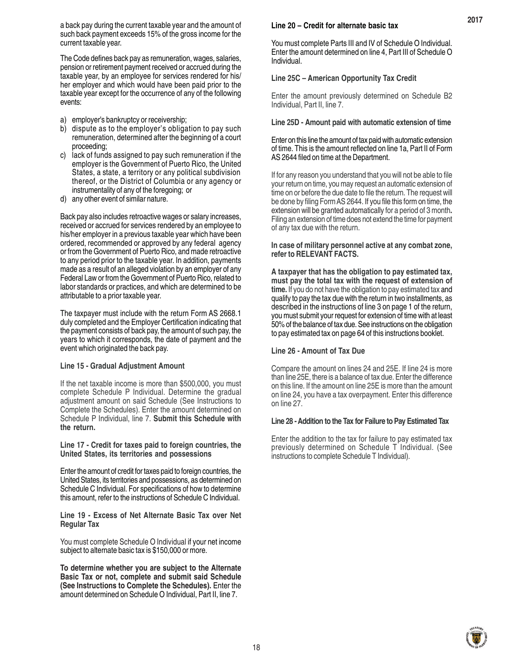a back pay during the current taxable year and the amount of such back payment exceeds 15% of the gross income for the current taxable year.

The Code defines back pay as remuneration, wages, salaries, pension or retirement payment received or accrued during the taxable year, by an employee for services rendered for his/ her employer and which would have been paid prior to the taxable year except for the occurrence of any of the following events:

- a) employer's bankruptcy or receivership;
- b) dispute as to the employer's obligation to pay such remuneration, determined after the beginning of a court proceeding;
- c) lack of funds assigned to pay such remuneration if the employer is the Government of Puerto Rico, the United States, a state, a territory or any political subdivision thereof, or the District of Columbia or any agency or instrumentality of any of the foregoing; or
- d) any other event of similar nature.

Back pay also includes retroactive wages or salary increases, received or accrued for services rendered by an employee to his/her employer in a previous taxable year which have been ordered, recommended or approved by any federal agency or from the Government of Puerto Rico, and made retroactive to any period prior to the taxable year. In addition, payments made as a result of an alleged violation by an employer of any Federal Law or from the Government of Puerto Rico, related to labor standards or practices, and which are determined to be attributable to a prior taxable year.

The taxpayer must include with the return Form AS 2668.1 duly completed and the Employer Certification indicating that the payment consists of back pay, the amount of such pay, the years to which it corresponds, the date of payment and the event which originated the back pay.

#### **Line 15 - Gradual Adjustment Amount**

If the net taxable income is more than \$500,000, you must complete Schedule P Individual. Determine the gradual adjustment amount on said Schedule (See Instructions to Complete the Schedules). Enter the amount determined on Schedule P Individual, line 7. **Submit this Schedule with the return.**

**Line 17 - Credit for taxes paid to foreign countries, the United States, its territories and possessions**

Enter the amount of credit for taxes paid to foreign countries, the United States, its territories and possessions, as determined on Schedule C Individual. For specifications of how to determine this amount, refer to the instructions of Schedule C Individual.

**Line 19 - Excess of Net Alternate Basic Tax over Net Regular Tax**

You must complete Schedule O Individual if your net income subject to alternate basic tax is \$150,000 or more.

**To determine whether you are subject to the Alternate Basic Tax or not, complete and submit said Schedule (See Instructions to Complete the Schedules).** Enter the amount determined on Schedule O Individual, Part II, line 7.

#### **Line 20 – Credit for alternate basic tax**

You must complete Parts III and IV of Schedule O Individual. Enter the amount determined on line 4, Part III of Schedule O Individual.

**2017**

#### **Line 25C – American Opportunity Tax Credit**

Enter the amount previously determined on Schedule B2 Individual, Part II, line 7.

#### **Line 25D - Amount paid with automatic extension of time**

Enter on this line the amount of tax paid with automatic extension of time. This is the amount reflected on line 1a, Part II of Form AS 2644 filed on time at the Department.

If for any reason you understand that you will not be able to file your return on time, you may request an automatic extension of time on or before the due date to file the return. The request will be done by filing Form AS 2644. If you file this form on time, the extension will be granted automatically for a period of 3 month**.** Filing an extension of time does not extend the time for payment of any tax due with the return.

**In case of military personnel active at any combat zone, refer to RELEVANT FACTS.**

**A taxpayer that has the obligation to pay estimated tax, must pay the total tax with the request of extension of time.** If you do not have the obligation to pay estimated tax and qualify to pay the tax due with the return in two installments, as described in the instructions of line 3 on page 1 of the return, you must submit your request for extension of time with at least 50% of the balance of tax due. See instructions on the obligation to pay estimated tax on page 64 of this instructions booklet.

#### **Line 26 - Amount of Tax Due**

Compare the amount on lines 24 and 25E. If line 24 is more than line 25E, there is a balance of tax due. Enter the difference on this line. If the amount on line 25E is more than the amount on line 24, you have a tax overpayment. Enter this difference on line 27.

#### **Line 28 - Addition to the Tax for Failure to Pay Estimated Tax**

Enter the addition to the tax for failure to pay estimated tax previously determined on Schedule T Individual. (See instructions to complete Schedule T Individual).

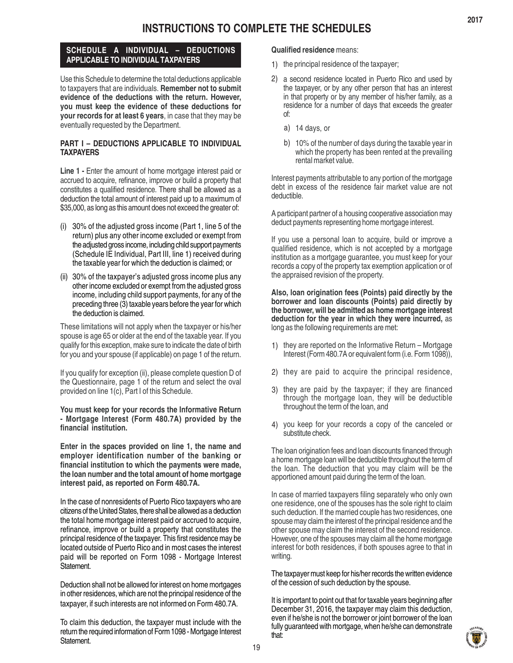# **SCHEDULE A INDIVIDUAL – DEDUCTIONS APPLICABLE TO INDIVIDUAL TAXPAYERS**

Use this Schedule to determine the total deductions applicable to taxpayers that are individuals. **Remember not to submit evidence of the deductions with the return. However, you must keep the evidence of these deductions for your records for at least 6 years**, in case that they may be eventually requested by the Department.

# **PART I – DEDUCTIONS APPLICABLE TO INDIVIDUAL TAXPAYERS**

**Line 1 - Enter the amount of home mortgage interest paid or** accrued to acquire, refinance, improve or build a property that constitutes a qualified residence. There shall be allowed as a deduction the total amount of interest paid up to a maximum of \$35,000, as long as this amount does not exceed the greater of:

- (i) 30% of the adjusted gross income (Part 1, line 5 of the return) plus any other income excluded or exempt from the adjusted gross income, including child support payments (Schedule IE Individual, Part III, line 1) received during the taxable year for which the deduction is claimed; or
- (ii) 30% of the taxpayer's adjusted gross income plus any other income excluded or exempt from the adjusted gross income, including child support payments, for any of the preceding three (3) taxable years before the year for which the deduction is claimed.

These limitations will not apply when the taxpayer or his/her spouse is age 65 or older at the end of the taxable year. If you qualify for this exception, make sure to indicate the date of birth for you and your spouse (if applicable) on page 1 of the return.

If you qualify for exception (ii), please complete question D of the Questionnaire, page 1 of the return and select the oval provided on line 1(c), Part I of this Schedule.

**You must keep for your records the Informative Return - Mortgage Interest (Form 480.7A) provided by the financial institution.**

**Enter in the spaces provided on line 1, the name and employer identification number of the banking or financial institution to which the payments were made, the loan number and the total amount of home mortgage interest paid, as reported on Form 480.7A.**

In the case of nonresidents of Puerto Rico taxpayers who are citizens of the United States, there shall be allowed as a deduction the total home mortgage interest paid or accrued to acquire, refinance, improve or build a property that constitutes the principal residence of the taxpayer. This first residence may be located outside of Puerto Rico and in most cases the interest paid will be reported on Form 1098 - Mortgage Interest Statement.

Deduction shall not be allowed for interest on home mortgages in other residences, which are not the principal residence of the taxpayer, if such interests are not informed on Form 480.7A.

To claim this deduction, the taxpayer must include with the return the required information of Form 1098 - Mortgage Interest Statement.

# **Qualified residence** means:

- 1) the principal residence of the taxpayer;
- 2) a second residence located in Puerto Rico and used by the taxpayer, or by any other person that has an interest in that property or by any member of his/her family, as a residence for a number of days that exceeds the greater of:
	- a) 14 days, or
	- b) 10% of the number of days during the taxable year in which the property has been rented at the prevailing rental market value.

Interest payments attributable to any portion of the mortgage debt in excess of the residence fair market value are not deductible.

A participant partner of a housing cooperative association may deduct payments representing home mortgage interest.

If you use a personal loan to acquire, build or improve a qualified residence, which is not accepted by a mortgage institution as a mortgage guarantee, you must keep for your records a copy of the property tax exemption application or of the appraised revision of the property.

**Also, loan origination fees (Points) paid directly by the borrower and loan discounts (Points) paid directly by the borrower, will be admitted as home mortgage interest deduction for the year in which they were incurred,** as long as the following requirements are met:

- 1) they are reported on the Informative Return Mortgage Interest (Form 480.7A or equivalent form (i.e. Form 1098)),
- 2) they are paid to acquire the principal residence,
- 3) they are paid by the taxpayer; if they are financed through the mortgage loan, they will be deductible throughout the term of the loan, and
- 4) you keep for your records a copy of the canceled or substitute check.

The loan origination fees and loan discounts financed through a home mortgage loan will be deductible throughout the term of the loan. The deduction that you may claim will be the apportioned amount paid during the term of the loan.

In case of married taxpayers filing separately who only own one residence, one of the spouses has the sole right to claim such deduction. If the married couple has two residences, one spouse may claim the interest of the principal residence and the other spouse may claim the interest of the second residence. However, one of the spouses may claim all the home mortgage interest for both residences, if both spouses agree to that in writing.

The taxpayer must keep for his/her records the written evidence of the cession of such deduction by the spouse.

It is important to point out that for taxable years beginning after December 31, 2016, the taxpayer may claim this deduction, even if he/she is not the borrower or joint borrower of the loan fully guaranteed with mortgage, when he/she can demonstrate that:

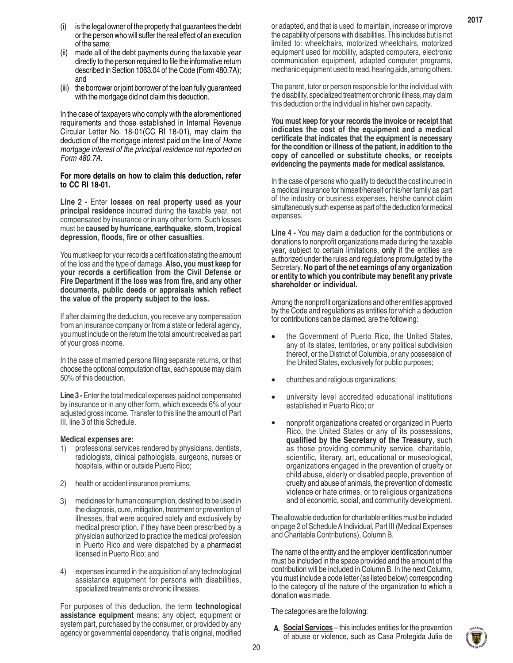- (ii) made all of the debt payments during the taxable year directly to the person required to file the informative return described in Section 1063.04 of the Code (Form 480.7A); and
- (iii) the borrower or joint borrower of the loan fully guaranteed with the mortgage did not claim this deduction.

In the case of taxpayers who comply with the aforementioned requirements and those established in Internal Revenue Circular Letter No. 18-01(CC RI 18-01), may claim the deduction of the mortgage interest paid on the line of *Home mortgage interest of the principal residence not reported on Form 480.7A*.

#### **For more details on how to claim this deduction, refer to CC RI 18-01.**

**Line 2 -** Enter **losses on real property used as your principal residence** incurred during the taxable year, not compensated by insurance or in any other form. Such losses must be **caused by hurricane, earthquake**, **storm, tropical depression, floods, fire or other casualties**.

You must keep for your records a certification stating the amount of the loss and the type of damage. **Also, you must keep for your records a certification from the Civil Defense or Fire Department if the loss was from fire, and any other documents, public deeds or appraisals which reflect the value of the property subject to the loss.**

If after claiming the deduction, you receive any compensation from an insurance company or from a state or federal agency, you must include on the return the total amount received as part of your gross income.

In the case of married persons filing separate returns, or that choose the optional computation of tax, each spouse may claim 50% of this deduction.

**Line 3 -** Enter the total medical expenses paid not compensated by insurance or in any other form, which exceeds 6% of your adjusted gross income. Transfer to this line the amount of Part III, line 3 of this Schedule.

#### **Medical expenses are:**

- professional services rendered by physicians, dentists, radiologists, clinical pathologists, surgeons, nurses or hospitals, within or outside Puerto Rico; 1)
- health or accident insurance premiums; 2)
- medicines for human consumption, destined to be used in the diagnosis, cure, mitigation, treatment or prevention of illnesses, that were acquired solely and exclusively by medical prescription, if they have been prescribed by a physician authorized to practice the medical profession in Puerto Rico and were dispatched by a pharmacist licensed in Puerto Rico; and 3)
- expenses incurred in the acquisition of any technological assistance equipment for persons with disabilities, specialized treatments or chronic illnesses. 4)

For purposes of this deduction, the term **technological assistance equipment** means: any object, equipment or system part, purchased by the consumer, or provided by any agency or governmental dependency, that is original, modified The parent, tutor or person responsible for the individual with the disability, specialized treatment or chronic illness, may claim this deduction or the individual in his/her own capacity.

**You must keep for your records the invoice or receipt that indicates the cost of the equipment and a medical certificate that indicates that the equipment is necessary for the condition or illness of the patient, in addition to the copy of cancelled or substitute checks, or receipts evidencing the payments made for medical assistance.**

In the case of persons who qualify to deduct the cost incurred in a medical insurance for himself/herself or his/her family as part of the industry or business expenses, he/she cannot claim simultaneously such expense as part of the deduction for medical expenses.

**Line 4 -** You may claim a deduction for the contributions or donations to nonprofit organizations made during the taxable year, subject to certain limitations, **only** if the entities are authorized under the rules and regulations promulgated by the Secretary. **No part of the net earnings of any organization or entity to which you contribute may benefit any private shareholder or individual.**

Among the nonprofit organizations and other entities approved by the Code and regulations as entities for which a deduction for contributions can be claimed, are the following:

- the Government of Puerto Rico, the United States, any of its states, territories, or any political subdivision thereof, or the District of Columbia, or any possession of the United States, exclusively for public purposes; •
- churches and religious organizations; •
- university level accredited educational institutions established in Puerto Rico; or •
- nonprofit organizations created or organized in Puerto Rico, the United States or any of its possessions, **qualified by the Secretary of the Treasury**, such as those providing community service, charitable, scientific, literary, art, educational or museological, organizations engaged in the prevention of cruelty or child abuse, elderly or disabled people, prevention of cruelty and abuse of animals, the prevention of domestic violence or hate crimes, or to religious organizations and of economic, social, and community development. •

The allowable deduction for charitable entities must be included on page 2 of Schedule A Individual, Part III (Medical Expenses and Charitable Contributions), Column B.

The name of the entity and the employer identification number must be included in the space provided and the amount of the contribution will be included in Column B. In the next Column, you must include a code letter (as listed below) corresponding to the category of the nature of the organization to which a donation was made.

The categories are the following:

**Social Services** – this includes entities for the prevention **A.**of abuse or violence, such as Casa Protegida Julia de

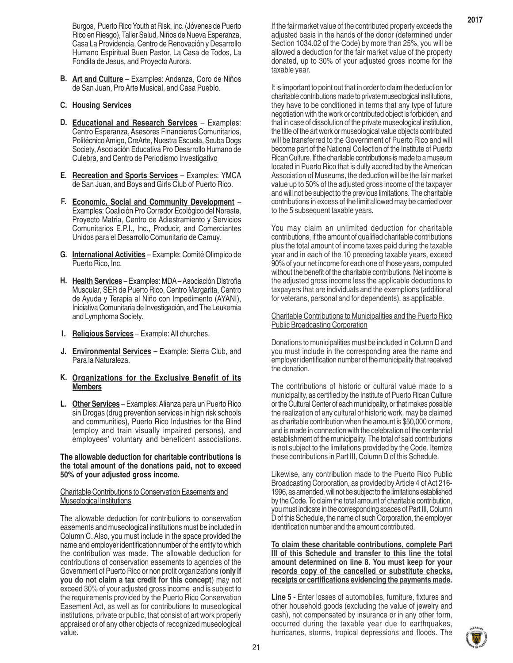Burgos, Puerto Rico Youth at Risk, Inc. (Jóvenes de Puerto Rico en Riesgo), Taller Salud, Niños de Nueva Esperanza, Casa La Providencia, Centro de Renovación y Desarrollo Humano Espiritual Buen Pastor, La Casa de Todos, La Fondita de Jesus, and Proyecto Aurora.

**Art and Culture** – Examples: Andanza, Coro de Niños **B.** de San Juan, Pro Arte Musical, and Casa Pueblo.

#### **Housing Services C.**

- **Educational and Research Services** Examples: **D.** Centro Esperanza, Asesores Financieros Comunitarios, Politécnico Amigo, CreArte, Nuestra Escuela, Scuba Dogs Society, Asociación Educativa Pro Desarrollo Humano de Culebra, and Centro de Periodismo Investigativo
- **Recreation and Sports Services** Examples: YMCA **E.** de San Juan, and Boys and Girls Club of Puerto Rico.
- **Economic, Social and Community Development F.** Examples: Coalición Pro Corredor Ecológico del Noreste, Proyecto Matria, Centro de Adiestramiento y Servicios Comunitarios E.P.I., Inc., Producir, and Comerciantes Unidos para el Desarrollo Comunitario de Camuy.
- **International Activities** Example: Comité Olimpico de **G.** Puerto Rico, Inc.
- H. Health Services Examples: MDA Asociación Distrofia Muscular, SER de Puerto Rico, Centro Margarita, Centro de Ayuda y Terapia al Niño con Impedimento (AYANI), Iniciativa Comunitaria de Investigación, and The Leukemia and Lymphoma Society.
- **Religious Services** Example: All churches. **I.**
- **Environmental Services** Example: Sierra Club, and **J.** Para la Naturaleza.

#### **Organizations for the Exclusive Benefit of its K. Members**

**Other Services** – Examples: Alianza para un Puerto Rico **L.**sin Drogas (drug prevention services in high risk schools and communities), Puerto Rico Industries for the Blind (employ and train visually impaired persons), and employees' voluntary and beneficent associations.

**The allowable deduction for charitable contributions is the total amount of the donations paid, not to exceed 50% of your adjusted gross income.**

#### Charitable Contributions to Conservation Easements and Museological Institutions

The allowable deduction for contributions to conservation easements and museological institutions must be included in Column C. Also, you must include in the space provided the name and employer identification number of the entity to which the contribution was made. The allowable deduction for contributions of conservation easements to agencies of the Government of Puerto Rico or non profit organizations (**only if you do not claim a tax credit for this concept**) may not exceed 30% of your adjusted gross income and is subject to the requirements provided by the Puerto Rico Conservation Easement Act, as well as for contributions to museological institutions, private or public, that consist of art work properly appraised or of any other objects of recognized museological value.

If the fair market value of the contributed property exceeds the adjusted basis in the hands of the donor (determined under Section 1034.02 of the Code) by more than 25%, you will be allowed a deduction for the fair market value of the property donated, up to 30% of your adjusted gross income for the taxable year.

It is important to point out that in order to claim the deduction for charitable contributions made to private museological institutions, they have to be conditioned in terms that any type of future negotiation with the work or contributed object is forbidden, and that in case of dissolution of the private museological institution, the title of the art work or museological value objects contributed will be transferred to the Government of Puerto Rico and will become part of the National Collection of the Institute of Puerto Rican Culture. If the charitable contributions is made to a museum located in Puerto Rico that is dully accredited by the American Association of Museums, the deduction will be the fair market value up to 50% of the adjusted gross income of the taxpayer and will not be subject to the previous limitations. The charitable contributions in excess of the limit allowed may be carried over to the 5 subsequent taxable years.

You may claim an unlimited deduction for charitable contributions, if the amount of qualified charitable contributions plus the total amount of income taxes paid during the taxable year and in each of the 10 preceding taxable years, exceed 90% of your net income for each one of those years, computed without the benefit of the charitable contributions. Net income is the adjusted gross income less the applicable deductions to taxpayers that are individuals and the exemptions (additional for veterans, personal and for dependents), as applicable.

#### Charitable Contributions to Municipalities and the Puerto Rico Public Broadcasting Corporation

Donations to municipalities must be included in Column D and you must include in the corresponding area the name and employer identification number of the municipality that received the donation.

The contributions of historic or cultural value made to a municipality, as certified by the Institute of Puerto Rican Culture or the Cultural Center of each municipality, or that makes possible the realization of any cultural or historic work, may be claimed as charitable contribution when the amount is \$50,000 or more, and is made in connection with the celebration of the centennial establishment of the municipality. The total of said contributions is not subject to the limitations provided by the Code. Itemize these contributions in Part III, Column D of this Schedule.

Likewise, any contribution made to the Puerto Rico Public Broadcasting Corporation, as provided by Article 4 of Act 216- 1996, as amended, will not be subject to the limitations established by the Code. To claim the total amount of charitable contribution, you must indicate in the corresponding spaces of Part III, Column D of this Schedule, the name of such Corporation, the employer identification number and the amount contributed.

**To claim these charitable contributions, complete Part III of this Schedule and transfer to this line the total amount determined on line 8. You must keep for your records copy of the cancelled or substitute checks, receipts or certifications evidencing the payments made.**

**Line 5 -** Enter losses of automobiles, furniture, fixtures and other household goods (excluding the value of jewelry and cash), not compensated by insurance or in any other form, occurred during the taxable year due to earthquakes, hurricanes, storms, tropical depressions and floods. The

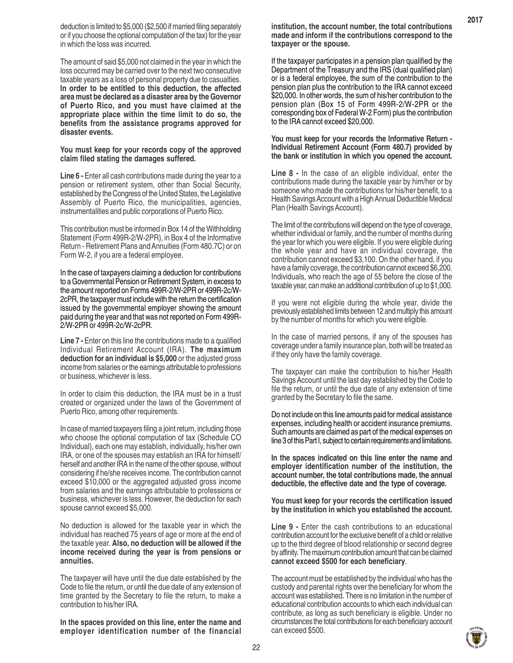deduction is limited to \$5,000 (\$2,500 if married filing separately or if you choose the optional computation of the tax) for the year in which the loss was incurred.

The amount of said \$5,000 not claimed in the year in which the loss occurred may be carried over to the next two consecutive taxable years as a loss of personal property due to casualties. **In order to be entitled to this deduction, the affected area must be declared as a disaster area by the Governor of Puerto Rico, and you must have claimed at the appropriate place within the time limit to do so, the benefits from the assistance programs approved for disaster events.**

#### **You must keep for your records copy of the approved claim filed stating the damages suffered.**

**Line 6 - Enter all cash contributions made during the year to a** pension or retirement system, other than Social Security, established by the Congress of the United States, the Legislative Assembly of Puerto Rico, the municipalities, agencies, instrumentalities and public corporations of Puerto Rico.

This contribution must be informed in Box 14 of the Withholding Statement (Form 499R-2/W-2PR), in Box 4 of the Informative Return - Retirement Plans and Annuities (Form 480.7C) or on Form W-2, if you are a federal employee.

In the case of taxpayers claiming a deduction for contributions to a Governmental Pension or Retirement System, in excess to the amount reported on Forms 499R-2/W-2PR or 499R-2c/W-2cPR, the taxpayer must include with the return the certification issued by the governmental employer showing the amount paid during the year and that was not reported on Form 499R-2/W-2PR or 499R-2c/W-2cPR.

**Line 7 - Enter on this line the contributions made to a qualified** Individual Retirement Account (IRA). **The maximum deduction for an individual is \$5,000** or the adjusted gross income from salaries or the earnings attributable to professions or business, whichever is less.

In order to claim this deduction, the IRA must be in a trust created or organized under the laws of the Government of Puerto Rico, among other requirements.

In case of married taxpayers filing a joint return, including those who choose the optional computation of tax (Schedule CO Individual), each one may establish, individually, his/her own IRA, or one of the spouses may establish an IRA for himself/ herself and another IRA in the name of the other spouse, without considering if he/she receives income. The contribution cannot exceed \$10,000 or the aggregated adjusted gross income from salaries and the earnings attributable to professions or business, whichever is less. However, the deduction for each spouse cannot exceed \$5,000.

No deduction is allowed for the taxable year in which the individual has reached 75 years of age or more at the end of the taxable year. **Also, no deduction will be allowed if the income received during the year is from pensions or annuities.**

The taxpayer will have until the due date established by the Code to file the return, or until the due date of any extension of time granted by the Secretary to file the return, to make a contribution to his/her IRA.

**In the spaces provided on this line, enter the name and employer identification number of the financial** **institution, the account number, the total contributions made and inform if the contributions correspond to the taxpayer or the spouse.**

If the taxpayer participates in a pension plan qualified by the Department of the Treasury and the IRS (dual qualified plan) or is a federal employee, the sum of the contribution to the pension plan plus the contribution to the IRA cannot exceed \$20,000. In other words, the sum of his/her contribution to the pension plan (Box 15 of Form 499R-2/W-2PR or the corresponding box of Federal W-2 Form) plus the contribution to the IRA cannot exceed \$20,000.

#### **You must keep for your records the Informative Return - Individual Retirement Account (Form 480.7) provided by the bank or institution in which you opened the account.**

**Line 8 -** In the case of an eligible individual, enter the contributions made during the taxable year by him/her or by someone who made the contributions for his/her benefit, to a Health Savings Account with a High Annual Deductible Medical Plan (Health Savings Account).

The limit of the contributions will depend on the type of coverage, whether individual or family, and the number of months during the year for which you were eligible. If you were eligible during the whole year and have an individual coverage, the contribution cannot exceed \$3,100. On the other hand, if you have a family coverage, the contribution cannot exceed \$6,200. Individuals, who reach the age of 55 before the close of the taxable year, can make an additional contribution of up to \$1,000.

If you were not eligible during the whole year, divide the previously established limits between 12 and multiply this amount by the number of months for which you were eligible.

In the case of married persons, if any of the spouses has coverage under a family insurance plan, both will be treated as if they only have the family coverage.

The taxpayer can make the contribution to his/her Health Savings Account until the last day established by the Code to file the return, or until the due date of any extension of time granted by the Secretary to file the same.

Do not include on this line amounts paid for medical assistance expenses, including health or accident insurance premiums. Such amounts are claimed as part of the medical expenses on line 3 of this Part I, subject to certain requirements and limitations.

**In the spaces indicated on this line enter the name and employer identification number of the institution, the account number, the total contributions made, the annual deductible, the effective date and the type of coverage.**

**You must keep for your records the certification issued by the institution in which you established the account.**

**Line 9 -** Enter the cash contributions to an educational contribution account for the exclusive benefit of a child or relative up to the third degree of blood relationship or second degree by affinity. The maximum contribution amount that can be claimed **cannot exceed \$500 for each beneficiary**.

The account must be established by the individual who has the custody and parental rights over the beneficiary for whom the account was established. There is no limitation in the number of educational contribution accounts to which each individual can contribute, as long as such beneficiary is eligible. Under no circumstances the total contributions for each beneficiary account can exceed \$500.

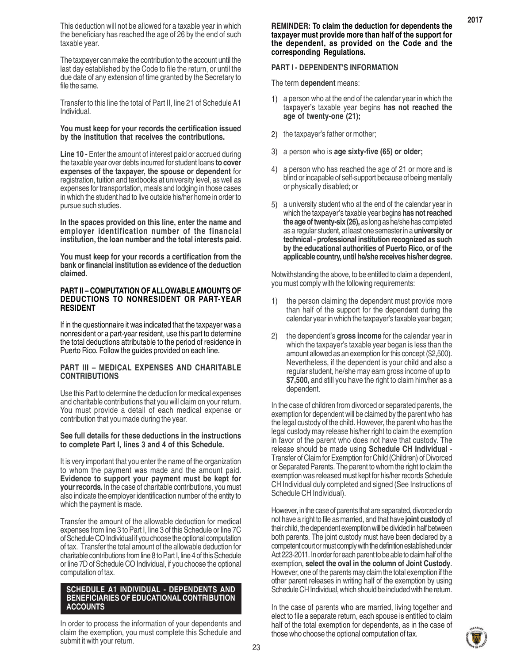The taxpayer can make the contribution to the account until the last day established by the Code to file the return, or until the due date of any extension of time granted by the Secretary to file the same.

Transfer to this line the total of Part II, line 21 of Schedule A1 Individual.

#### **You must keep for your records the certification issued by the institution that receives the contributions.**

**Line 10 - Enter the amount of interest paid or accrued during** the taxable year over debts incurred for student loans **to cover expenses of the taxpayer, the spouse or dependent** for registration, tuition and textbooks at university level, as well as expenses for transportation, meals and lodging in those cases in which the student had to live outside his/her home in order to pursue such studies.

**In the spaces provided on this line, enter the name and employer identification number of the financial institution, the loan number and the total interests paid.**

**You must keep for your records a certification from the bank or financial institution as evidence of the deduction claimed.**

#### **PART II – COMPUTATION OF ALLOWABLE AMOUNTS OF DEDUCTIONS TO NONRESIDENT OR PART-YEAR RESIDENT**

If in the questionnaire it was indicated that the taxpayer was a nonresident or a part-year resident, use this part to determine the total deductions attributable to the period of residence in Puerto Rico. Follow the guides provided on each line.

#### **PART III – MEDICAL EXPENSES AND CHARITABLE CONTRIBUTIONS**

Use this Part to determine the deduction for medical expenses and charitable contributions that you will claim on your return. You must provide a detail of each medical expense or contribution that you made during the year.

#### **See full details for these deductions in the instructions to complete Part I, lines 3 and 4 of this Schedule.**

It is very important that you enter the name of the organization to whom the payment was made and the amount paid. **Evidence to support your payment must be kept for your records.** In the case of charitable contributions, you must also indicate the employer identificaction number of the entity to which the payment is made.

Transfer the amount of the allowable deduction for medical expenses from line 3 to Part I, line 3 of this Schedule or line 7C of Schedule CO Individual if you choose the optional computation of tax. Transfer the total amount of the allowable deduction for charitable contributions from line 8 to Part I, line 4 of this Schedule or line 7D of Schedule CO Individual, if you choose the optional computation of tax.

#### **SCHEDULE A1 INDIVIDUAL - DEPENDENTS AND BENEFICIARIES OF EDUCATIONAL CONTRIBUTION ACCOUNTS**

In order to process the information of your dependents and claim the exemption, you must complete this Schedule and submit it with your return.

#### **REMINDER: To claim the deduction for dependents the taxpayer must provide more than half of the support for the dependent, as provided on the Code and the corresponding Regulations.**

### **PART I - DEPENDENT'S INFORMATION**

The term **dependent** means:

- 1) a person who at the end of the calendar year in which the taxpayer's taxable year begins **has not reached the age of twenty-one (21);**
- 2) the taxpayer's father or mother;
- a person who is **age sixty-five (65) or older;** 3)
- 4) a person who has reached the age of 21 or more and is blind or incapable of self-support because of being mentally or physically disabled; or
- 5) a university student who at the end of the calendar year in which the taxpayer's taxable year begins **has not reached the age of twenty-six (26),** as long as he/she has completed as a regular student, at least one semester in a **university or technical - professional institution recognized as such by the educational authorities of Puerto Rico, or of the applicable country, until he/she receives his/her degree.**

Notwithstanding the above, to be entitled to claim a dependent, you must comply with the following requirements:

- 1) the person claiming the dependent must provide more than half of the support for the dependent during the calendar year in which the taxpayer's taxable year began;
- 2) the dependent's **gross income** for the calendar year in which the taxpayer's taxable year began is less than the amount allowed as an exemption for this concept (\$2,500). Nevertheless, if the dependent is your child and also a regular student, he/she may earn gross income of up to **\$7,500,** and still you have the right to claim him/her as a dependent.

In the case of children from divorced or separated parents, the exemption for dependent will be claimed by the parent who has the legal custody of the child. However, the parent who has the legal custody may release his/her right to claim the exemption in favor of the parent who does not have that custody. The release should be made using **Schedule CH Individual** - Transfer of Claim for Exemption for Child (Children) of Divorced or Separated Parents. The parent to whom the right to claim the exemption was released must kept for his/her records Schedule CH Individual duly completed and signed (See Instructions of Schedule CH Individual).

However, in the case of parents that are separated, divorced or do not have a right to file as married, and that have **joint custody** of their child, the dependent exemption will be divided in half between both parents. The joint custody must have been declared by a competent court or must comply with the definition established under Act 223-2011. In order for each parent to be able to claim half of the exemption, **select the oval in the column of Joint Custody**. However, one of the parents may claim the total exemption if the other parent releases in writing half of the exemption by using Schedule CH Individual, which should be included with the return.

In the case of parents who are married, living together and elect to file a separate return, each spouse is entitled to claim half of the total exemption for dependents, as in the case of those who choose the optional computation of tax.

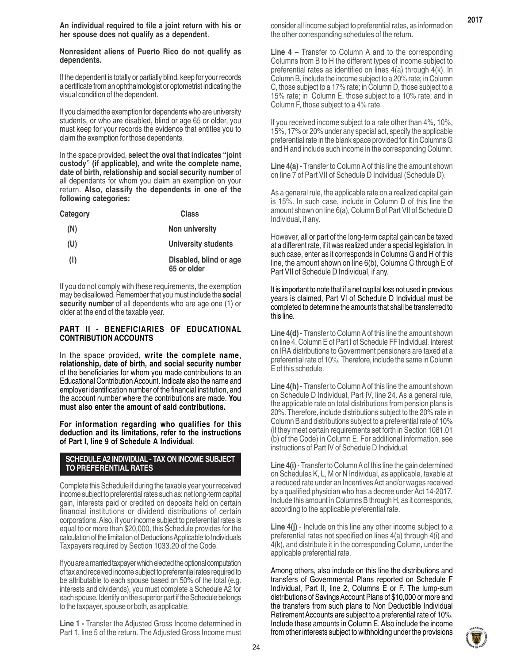**An individual required to file a joint return with his or her spouse does not qualify as a dependent**.

**Nonresident aliens of Puerto Rico do not qualify as dependents.**

If the dependent is totally or partially blind, keep for your records a certificate from an ophthalmologist or optometrist indicating the visual condition of the dependent.

If you claimed the exemption for dependents who are university students, or who are disabled, blind or age 65 or older, you must keep for your records the evidence that entitles you to claim the exemption for those dependents.

In the space provided, **select the oval that indicates "joint custody" (if applicable), and write the complete name, date of birth, relationship and social security number** of all dependents for whom you claim an exemption on your return. **Also, classify the dependents in one of the following categories:**

| Category | Class                                 |  |
|----------|---------------------------------------|--|
| (N)      | Non university                        |  |
| (U)      | <b>University students</b>            |  |
| (1)      | Disabled, blind or age<br>65 or older |  |

If you do not comply with these requirements, the exemption may be disallowed. Remember that you must include the **social security number** of all dependents who are age one (1) or older at the end of the taxable year.

#### **PART II - BENEFICIARIES OF EDUCATIONAL CONTRIBUTION ACCOUNTS**

In the space provided, **write the complete name, relationship, date of birth, and social security number** of the beneficiaries for whom you made contributions to an Educational Contribution Account. Indicate also the name and employer identification number of the financial institution, and the account number where the contributions are made. **You must also enter the amount of said contributions.**

**For information regarding who qualifies for this deduction and its limitations, refer to the instructions of Part I, line 9 of Schedule A Individual**.

#### **SCHEDULE A2 INDIVIDUAL - TAX ON INCOME SUBJECT TO PREFERENTIAL RATES**

Complete this Schedule if during the taxable year your received income subject to preferential rates such as: net long-term capital gain, interests paid or credited on deposits held on certain financial institutions or dividend distributions of certain corporations. Also, if your income subject to preferential rates is equal to or more than \$20,000, this Schedule provides for the calculation of the limitation of Deductions Applicable to Individuals Taxpayers required by Section 1033.20 of the Code.

If you are a married taxpayer which elected the optional computation of tax and received income subject to preferential rates required to be attributable to each spouse based on 50% of the total (e.g. interests and dividends), you must complete a Schedule A2 for each spouse. Identify on the superior part if the Schedule belongs to the taxpayer, spouse or both, as applicable.

**Line 1 -** Transfer the Adjusted Gross Income determined in Part 1, line 5 of the return. The Adjusted Gross Income must **Line 4 –** Transfer to Column A and to the corresponding Columns from B to H the different types of income subject to preferential rates as identified on lines 4(a) through 4(k). In Column B, include the income subject to a 20% rate; in Column C, those subject to a 17% rate; in Column D, those subject to a 15% rate; in Column E, those subject to a 10% rate; and in Column F, those subject to a 4% rate.

If you received income subject to a rate other than 4%, 10%, 15%, 17% or 20% under any special act, specify the applicable preferential rate in the blank space provided for it in Columns G and H and include such income in the corresponding Column.

**Line 4(a) -** Transfer to Column A of this line the amount shown on line 7 of Part VII of Schedule D Individual (Schedule D).

As a general rule, the applicable rate on a realized capital gain is 15%. In such case, include in Column D of this line the amount shown on line 6(a), Column B of Part VII of Schedule D Individual, if any.

However, all or part of the long-term capital gain can be taxed at a different rate, if it was realized under a special legislation. In such case, enter as it corresponds in Columns G and H of this line, the amount shown on line 6(b), Columns C through E of Part VII of Schedule D Individual, if any.

It is important to note that if a net capital loss not used in previous years is claimed, Part VI of Schedule D Individual must be completed to determine the amounts that shall be transferred to this line.

**Line 4(d) -** Transfer to Column A of this line the amount shown on line 4, Column E of Part I of Schedule FF Individual. Interest on IRA distributions to Government pensioners are taxed at a preferential rate of 10%. Therefore, include the same in Column E of this schedule.

**Line 4(h) -** Transfer to Column A of this line the amount shown on Schedule D Individual, Part IV, line 24. As a general rule, the applicable rate on total distributions from pension plans is 20%. Therefore, include distributions subject to the 20% rate in Column B and distributions subject to a preferential rate of 10% (if they meet certain requirements set forth in Section 1081.01 (b) of the Code) in Column E. For additional information, see instructions of Part IV of Schedule D Individual.

**Line 4(i)** - Transfer to Column A of this line the gain determined on Schedules K, L, M or N Individual, as applicable, taxable at a reduced rate under an Incentives Act and/or wages received by a qualified physician who has a decree under Act 14-2017. Include this amount in Columns B through H, as it corresponds, according to the applicable preferential rate.

**Line 4(j)** - Include on this line any other income subject to a preferential rates not specified on lines 4(a) through 4(i) and 4(k), and distribute it in the corresponding Column, under the applicable preferential rate.

Among others, also include on this line the distributions and transfers of Governmental Plans reported on Schedule F Individual, Part II, line 2, Columns E or F. The lump-sum distributions of Savings Account Plans of \$10,000 or more and the transfers from such plans to Non Deductible Individual Retirement Accounts are subject to a preferential rate of 10%. Include these amounts in Column E. Also include the income from other interests subject to withholding under the provisions

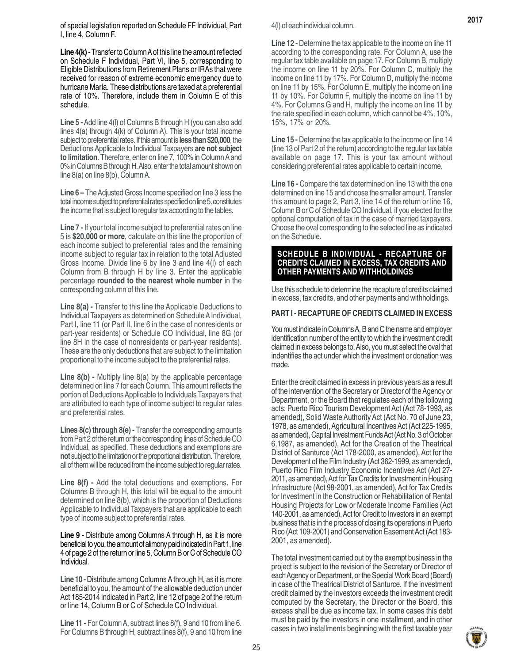of special legislation reported on Schedule FF Individual, Part I, line 4, Column F.

**Line 4(k)** - Transfer to Column A of this line the amount reflected on Schedule F Individual, Part VI, line 5, corresponding to Eligible Distributions from Retirement Plans or IRAs that were received for reason of extreme economic emergency due to hurricane María. These distributions are taxed at a preferential rate of 10%. Therefore, include them in Column E of this schedule.

**Line 5 -** Add line 4(l) of Columns B through H (you can also add lines 4(a) through 4(k) of Column A). This is your total income subject to preferential rates. If this amount is **less than \$20,000**, the Deductions Applicable to Individual Taxpayers **are not subject to limitation**. Therefore, enter on line 7, 100% in Column A and 0% in Columns B through H. Also, enter the total amount shown on line 8(a) on line 8(b), Column A.

**Line 6 –** The Adjusted Gross Income specified on line 3 less the total income subject to preferential rates specified on line 5, constitutes the income that is subject to regular tax according to the tables.

**Line 7 -** If your total income subject to preferential rates on line 5 is **\$20,000 or more**, calculate on this line the proportion of each income subject to preferential rates and the remaining income subject to regular tax in relation to the total Adjusted Gross Income. Divide line 6 by line 3 and line 4(l) of each Column from B through H by line 3. Enter the applicable percentage **rounded to the nearest whole number** in the corresponding column of this line.

**Line 8(a) -** Transfer to this line the Applicable Deductions to Individual Taxpayers as determined on Schedule A Individual, Part I, line 11 (or Part II, line 6 in the case of nonresidents or part-year residents) or Schedule CO Individual, line 8G (or line 8H in the case of nonresidents or part-year residents). These are the only deductions that are subject to the limitation proportional to the income subject to the preferential rates.

Line 8(b) - Multiply line 8(a) by the applicable percentage determined on line 7 for each Column. This amount reflects the portion of Deductions Applicable to Individuals Taxpayers that are attributed to each type of income subject to regular rates and preferential rates.

**Lines 8(c) through 8(e) -** Transfer the corresponding amounts from Part 2 of the return or the corresponding lines of Schedule CO Individual, as specified. These deductions and exemptions are **not** subject to the limitation or the proportional distribution. Therefore, all of them will be reduced from the income subject to regular rates.

**Line 8(f) -** Add the total deductions and exemptions. For Columns B through H, this total will be equal to the amount determined on line 8(b), which is the proportion of Deductions Applicable to Individual Taxpayers that are applicable to each type of income subject to preferential rates.

**Line 9 -** Distribute among Columns A through H, as it is more beneficial to you, the amount of alimony paid indicated in Part 1, line 4 of page 2 of the return or line 5, Column B or C of Schedule CO Individual.

**Line 10 -**Distribute among Columns A through H, as it is more beneficial to you, the amount of the allowable deduction under Act 185-2014 indicated in Part 2, line 12 of page 2 of the return or line 14, Column B or C of Schedule CO Individual.

**Line 11 -** For Column A, subtract lines 8(f), 9 and 10 from line 6. For Columns B through H, subtract lines 8(f), 9 and 10 from line 4(l) of each individual column.

**Line 12 -** Determine the tax applicable to the income on line 11 according to the corresponding rate. For Column A, use the regular tax table available on page 17. For Column B, multiply the income on line 11 by 20%. For Column C, multiply the income on line 11 by 17%. For Column D, multiply the income on line 11 by 15%. For Column E, multiply the income on line 11 by 10%. For Column F, multiply the income on line 11 by 4%. For Columns G and H, multiply the income on line 11 by the rate specified in each column, which cannot be 4%, 10%, 15%, 17% or 20%.

**Line 15 -** Determine the tax applicable to the income on line 14 (line 13 of Part 2 of the return) according to the regular tax table available on page 17. This is your tax amount without considering preferential rates applicable to certain income.

**Line 16 -** Compare the tax determined on line 13 with the one determined on line 15 and choose the smaller amount. Transfer this amount to page 2, Part 3, line 14 of the return or line 16, Column B or C of Schedule CO Individual, if you elected for the optional computation of tax in the case of married taxpayers. Choose the oval corresponding to the selected line as indicated on the Schedule.

#### **SCHEDULE B INDIVIDUAL - RECAPTURE OF CREDITS CLAIMED IN EXCESS, TAX CREDITS AND OTHER PAYMENTS AND WITHHOLDINGS**

Use this schedule to determine the recapture of credits claimed in excess, tax credits, and other payments and withholdings.

#### **PART I - RECAPTURE OF CREDITS CLAIMED IN EXCESS**

You must indicate in Columns A, B and C the name and employer identification number of the entity to which the investment credit claimed in excess belongs to. Also, you must select the oval that indentifies the act under which the investment or donation was made.

Enter the credit claimed in excess in previous years as a result of the intervention of the Secretary or Director of the Agency or Department, or the Board that regulates each of the following acts: Puerto Rico Tourism Development Act (Act 78-1993, as amended), Solid Waste Authority Act (Act No. 70 of June 23, 1978, as amended), Agricultural Incentives Act (Act 225-1995, as amended), Capital Investment Funds Act (Act No. 3 of October 6,1987, as amended), Act for the Creation of the Theatrical District of Santurce (Act 178-2000, as amended), Act for the Development of the Film Industry (Act 362-1999, as amended), Puerto Rico Film Industry Economic Incentives Act (Act 27- 2011, as amended), Act for Tax Credits for Investment in Housing Infrastructure (Act 98-2001, as amended), Act for Tax Credits for Investment in the Construction or Rehabilitation of Rental Housing Projects for Low or Moderate Income Families (Act 140-2001, as amended), Act for Credit to Investors in an exempt business that is in the process of closing its operations in Puerto Rico (Act 109-2001) and Conservation Easement Act (Act 183- 2001, as amended).

The total investment carried out by the exempt business in the project is subject to the revision of the Secretary or Director of each Agency or Department, or the Special Work Board (Board) in case of the Theatrical District of Santurce. If the investment credit claimed by the investors exceeds the investment credit computed by the Secretary, the Director or the Board, this excess shall be due as income tax. In some cases this debt must be paid by the investors in one installment, and in other cases in two installments beginning with the first taxable year

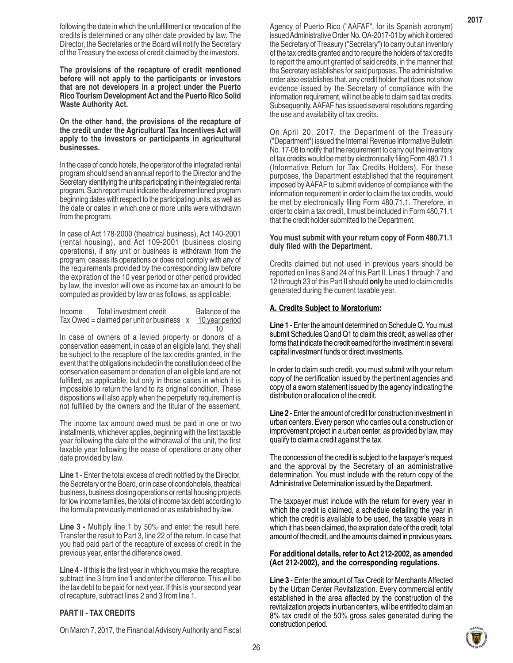following the date in which the unfulfillment or revocation of the credits is determined or any other date provided by law. The Director, the Secretaries or the Board will notify the Secretary of the Treasury the excess of credit claimed by the investors.

**The provisions of the recapture of credit mentioned before will not apply to the participants or investors that are not developers in a project under the Puerto Rico Tourism Development Act and the Puerto Rico Solid Waste Authority Act.**

**On the other hand, the provisions of the recapture of the credit under the Agricultural Tax Incentives Act will apply to the investors or participants in agricultural businesses.**

In the case of condo hotels, the operator of the integrated rental program should send an annual report to the Director and the Secretary identifying the units participating in the integrated rental program. Such report must indicate the aforementioned program beginning dates with respect to the participating units, as well as the date or dates in which one or more units were withdrawn from the program.

In case of Act 178-2000 (theatrical business), Act 140-2001 (rental housing), and Act 109-2001 (business closing operations), if any unit or business is withdrawn from the program, ceases its operations or does not comply with any of the requirements provided by the corresponding law before the expiration of the 10 year period or other period provided by law, the investor will owe as income tax an amount to be computed as provided by law or as follows, as applicable:

Income Total investment credit Balance of the Tax Owed = claimed per unit or business  $x = 10$  year period  $10$ 

In case of owners of a levied property or donors of a conservation easement, in case of an eligible land, they shall be subject to the recapture of the tax credits granted, in the event that the obligations included in the constitution deed of the conservation easement or donation of an eligible land are not fulfilled, as applicable, but only in those cases in which it is impossible to return the land to its original condition. These dispositions will also apply when the perpetuity requirement is not fulfilled by the owners and the titular of the easement.

The income tax amount owed must be paid in one or two installments, whichever applies, beginning with the first taxable year following the date of the withdrawal of the unit, the first taxable year following the cease of operations or any other date provided by law.

**Line 1 -** Enter the total excess of credit notified by the Director, the Secretary or the Board, or in case of condohotels, theatrical business, business closing operations or rental housing projects for low income families, the total of income tax debt according to the formula previously mentioned or as established by law.

**Line 3 -** Multiply line 1 by 50% and enter the result here. Transfer the result to Part 3, line 22 of the return. In case that you had paid part of the recapture of excess of credit in the previous year, enter the difference owed.

**Line 4 -** If this is the first year in which you make the recapture, subtract line 3 from line 1 and enter the difference. This will be the tax debt to be paid for next year. If this is your second year of recapture, subtract lines 2 and 3 from line 1.

# **PART II - TAX CREDITS**

On March 7, 2017, the Financial Advisory Authority and Fiscal

Agency of Puerto Rico ("AAFAF", for its Spanish acronym) issued Administrative Order No. OA-2017-01 by which it ordered the Secretary of Treasury ("Secretary") to carry out an inventory of the tax credits granted and to require the holders of tax credits to report the amount granted of said credits, in the manner that the Secretary establishes for said purposes. The administrative order also establishes that, any credit holder that does not show evidence issued by the Secretary of compliance with the information requirement, will not be able to claim said tax credits. Subsequently, AAFAF has issued several resolutions regarding the use and availability of tax credits.

On April 20, 2017, the Department of the Treasury ("Department") issued the Internal Revenue Informative Bulletin No. 17-08 to notify that the requirement to carry out the inventory of tax credits would be met by electronically filing Form 480.71.1 (Informative Return for Tax Credits Holders). For these purposes, the Department established that the requirement imposed by AAFAF to submit evidence of compliance with the information requirement in order to claim the tax credits, would be met by electronically filing Form 480.71.1. Therefore, in order to claim a tax credit, it must be included in Form 480.71.1 that the credit holder submitted to the Department.

#### **You must submit with your return copy of Form 480.71.1 duly filed with the Department.**

Credits claimed but not used in previous years should be reported on lines 8 and 24 of this Part II. Lines 1 through 7 and 12 through 23 of this Part II should **only** be used to claim credits generated during the current taxable year.

#### **A. Credits Subject to Moratorium:**

**Line 1** - Enter the amount determined on Schedule Q. You must submit Schedules Q and Q1 to claim this credit, as well as other forms that indicate the credit earned for the investment in several capital investment funds or direct investments.

In order to claim such credit, you must submit with your return copy of the certification issued by the pertinent agencies and copy of a sworn statement issued by the agency indicating the distribution or allocation of the credit.

**Line 2** - Enter the amount of credit for construction investment in urban centers. Every person who carries out a construction or improvement project in a urban center, as provided by law, may qualify to claim a credit against the tax.

The concession of the credit is subject to the taxpayer's request and the approval by the Secretary of an administrative determination. You must include with the return copy of the Administrative Determination issued by the Department.

The taxpayer must include with the return for every year in which the credit is claimed, a schedule detailing the year in which the credit is available to be used, the taxable years in which it has been claimed, the expiration date of the credit, total amount of the credit, and the amounts claimed in previous years.

#### **For additional details, refer to Act 212-2002, as amended (Act 212-2002), and the corresponding regulations.**

**Line 3** - Enter the amount of Tax Credit for Merchants Affected by the Urban Center Revitalization. Every commercial entity established in the area affected by the construction of the revitalization projects in urban centers, will be entitled to claim an 8% tax credit of the 50% gross sales generated during the construction period.

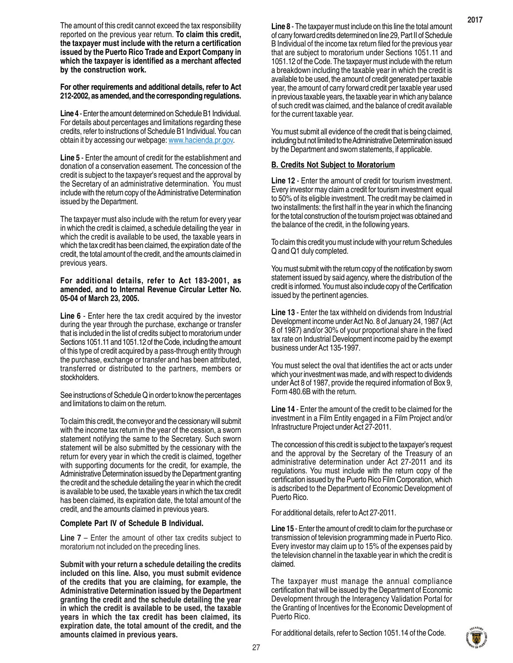The amount of this credit cannot exceed the tax responsibility reported on the previous year return. **To claim this credit, the taxpayer must include with the return a certification issued by the Puerto Rico Trade and Export Company in which the taxpayer is identified as a merchant affected by the construction work.**

**For other requirements and additional details, refer to Act 212-2002, as amended, and the corresponding regulations.**

**Line 4** - Enter the amount determined on Schedule B1 Individual. For details about percentages and limitations regarding these credits, refer to instructions of Schedule B1 Individual. You can obtain it by accessing our webpage: www.hacienda.pr.gov.

**Line 5** - Enter the amount of credit for the establishment and donation of a conservation easement. The concession of the credit is subject to the taxpayer's request and the approval by the Secretary of an administrative determination. You must include with the return copy of the Administrative Determination issued by the Department.

The taxpayer must also include with the return for every year in which the credit is claimed, a schedule detailing the year in which the credit is available to be used, the taxable years in which the tax credit has been claimed, the expiration date of the credit, the total amount of the credit, and the amounts claimed in previous years.

#### **For additional details, refer to Act 183-2001, as amended, and to Internal Revenue Circular Letter No. 05-04 of March 23, 2005.**

**Line 6** - Enter here the tax credit acquired by the investor during the year through the purchase, exchange or transfer that is included in the list of credits subject to moratorium under Sections 1051.11 and 1051.12 of the Code, including the amount of this type of credit acquired by a pass-through entity through the purchase, exchange or transfer and has been attributed, transferred or distributed to the partners, members or stockholders.

See instructions of Schedule Q in order to know the percentages and limitations to claim on the return.

To claim this credit, the conveyor and the cessionary will submit with the income tax return in the year of the cession, a sworn statement notifying the same to the Secretary. Such sworn statement will be also submitted by the cessionary with the return for every year in which the credit is claimed, together with supporting documents for the credit, for example, the Administrative Determination issued by the Department granting the credit and the schedule detailing the year in which the credit is available to be used, the taxable years in which the tax credit has been claimed, its expiration date, the total amount of the credit, and the amounts claimed in previous years.

#### **Complete Part IV of Schedule B Individual.**

**Line 7** – Enter the amount of other tax credits subject to moratorium not included on the preceding lines.

**Submit with your return a schedule detailing the credits included on this line. Also, you must submit evidence of the credits that you are claiming, for example, the Administrative Determination issued by the Department granting the credit and the schedule detailing the year in which the credit is available to be used, the taxable years in which the tax credit has been claimed, its expiration date, the total amount of the credit, and the amounts claimed in previous years.**

**Line 8** - The taxpayer must include on this line the total amount of carry forward credits determined on line 29, Part II of Schedule B Individual of the income tax return filed for the previous year that are subject to moratorium under Sections 1051.11 and 1051.12 of the Code. The taxpayer must include with the return a breakdown including the taxable year in which the credit is available to be used, the amount of credit generated per taxable year, the amount of carry forward credit per taxable year used in previous taxable years, the taxable year in which any balance of such credit was claimed, and the balance of credit available for the current taxable year.

You must submit all evidence of the credit that is being claimed, including but not limited to the Administrative Determination issued by the Department and sworn statements, if applicable.

#### **B. Credits Not Subject to Moratorium**

**Line 12** - Enter the amount of credit for tourism investment. Every investor may claim a credit for tourism investment equal to 50% of its eligible investment. The credit may be claimed in two installments: the first half in the year in which the financing for the total construction of the tourism project was obtained and the balance of the credit, in the following years.

To claim this credit you must include with your return Schedules Q and Q1 duly completed.

You must submit with the return copy of the notification by sworn statement issued by said agency, where the distribution of the credit is informed. You must also include copy of the Certification issued by the pertinent agencies.

**Line 13** - Enter the tax withheld on dividends from Industrial Development income under Act No. 8 of January 24, 1987 (Act 8 of 1987) and/or 30% of your proportional share in the fixed tax rate on Industrial Development income paid by the exempt business under Act 135-1997.

You must select the oval that identifies the act or acts under which your investment was made, and with respect to dividends under Act 8 of 1987, provide the required information of Box 9, Form 480.6B with the return.

**Line 14** - Enter the amount of the credit to be claimed for the investment in a Film Entity engaged in a Film Project and/or Infrastructure Project under Act 27-2011.

The concession of this credit is subject to the taxpayer's request and the approval by the Secretary of the Treasury of an administrative determination under Act 27-2011 and its regulations. You must include with the return copy of the certification issued by the Puerto Rico Film Corporation, which is adscribed to the Department of Economic Development of Puerto Rico.

For additional details, refer to Act 27-2011.

**Line 15** - Enter the amount of credit to claim for the purchase or transmission of television programming made in Puerto Rico. Every investor may claim up to 15% of the expenses paid by the television channel in the taxable year in which the credit is claimed.

The taxpayer must manage the annual compliance certification that will be issued by the Department of Economic Development through the Interagency Validation Portal for the Granting of Incentives for the Economic Development of Puerto Rico.

For additional details, refer to Section 1051.14 of the Code.

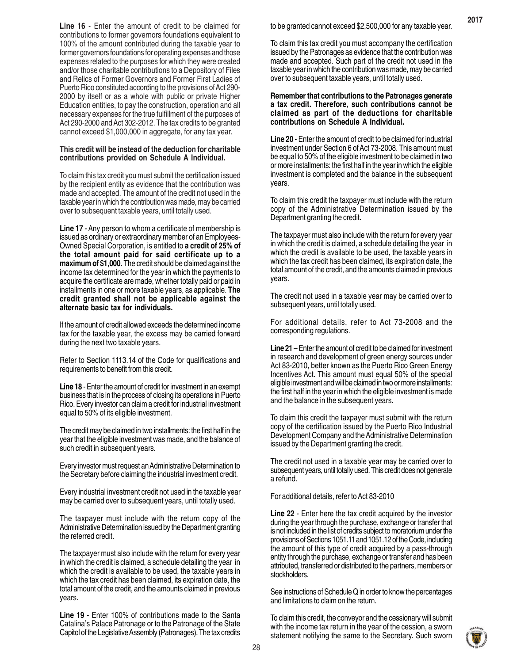**Line 16** - Enter the amount of credit to be claimed for contributions to former governors foundations equivalent to 100% of the amount contributed during the taxable year to former governors foundations for operating expenses and those expenses related to the purposes for which they were created and/or those charitable contributions to a Depository of Files and Relics of Former Governors and Former First Ladies of Puerto Rico constituted according to the provisions of Act 290- 2000 by itself or as a whole with public or private Higher Education entities, to pay the construction, operation and all necessary expenses for the true fulfillment of the purposes of Act 290-2000 and Act 302-2012. The tax credits to be granted cannot exceed \$1,000,000 in aggregate, for any tax year.

#### **This credit will be instead of the deduction for charitable contributions provided on Schedule A Individual.**

To claim this tax credit you must submit the certification issued by the recipient entity as evidence that the contribution was made and accepted. The amount of the credit not used in the taxable year in which the contribution was made, may be carried over to subsequent taxable years, until totally used.

**Line 17** - Any person to whom a certificate of membership is issued as ordinary or extraordinary member of an Employees-Owned Special Corporation, is entitled to **a credit of 25% of the total amount paid for said certificate up to a maximum of \$1,000**. The credit should be claimed against the income tax determined for the year in which the payments to acquire the certificate are made, whether totally paid or paid in installments in one or more taxable years, as applicable. **The credit granted shall not be applicable against the alternate basic tax for individuals.**

If the amount of credit allowed exceeds the determined income tax for the taxable year, the excess may be carried forward during the next two taxable years.

Refer to Section 1113.14 of the Code for qualifications and requirements to benefit from this credit.

**Line 18** - Enter the amount of credit for investment in an exempt business that is in the process of closing its operations in Puerto Rico. Every investor can claim a credit for industrial investment equal to 50% of its eligible investment.

The credit may be claimed in two installments: the first half in the year that the eligible investment was made, and the balance of such credit in subsequent years.

Every investor must request an Administrative Determination to the Secretary before claiming the industrial investment credit.

Every industrial investment credit not used in the taxable year may be carried over to subsequent years, until totally used.

The taxpayer must include with the return copy of the Administrative Determination issued by the Department granting the referred credit.

The taxpayer must also include with the return for every year in which the credit is claimed, a schedule detailing the year in which the credit is available to be used, the taxable years in which the tax credit has been claimed, its expiration date, the total amount of the credit, and the amounts claimed in previous years.

**Line 19** - Enter 100% of contributions made to the Santa Catalina's Palace Patronage or to the Patronage of the State Capitol of the Legislative Assembly (Patronages). The tax credits **2017**

To claim this tax credit you must accompany the certification issued by the Patronages as evidence that the contribution was made and accepted. Such part of the credit not used in the taxable year in which the contribution was made, may be carried over to subsequent taxable years, until totally used.

#### **Remember that contributions to the Patronages generate a tax credit. Therefore, such contributions cannot be claimed as part of the deductions for charitable contributions on Schedule A Individual.**

**Line 20** - Enter the amount of credit to be claimed for industrial investment under Section 6 of Act 73-2008. This amount must be equal to 50% of the eligible investment to be claimed in two or more installments: the first half in the year in which the eligible investment is completed and the balance in the subsequent years.

To claim this credit the taxpayer must include with the return copy of the Administrative Determination issued by the Department granting the credit.

The taxpayer must also include with the return for every year in which the credit is claimed, a schedule detailing the year in which the credit is available to be used, the taxable years in which the tax credit has been claimed, its expiration date, the total amount of the credit, and the amounts claimed in previous years.

The credit not used in a taxable year may be carried over to subsequent years, until totally used.

For additional details, refer to Act 73-2008 and the corresponding regulations.

**Line 21** – Enter the amount of credit to be claimed for investment in research and development of green energy sources under Act 83-2010, better known as the Puerto Rico Green Energy Incentives Act. This amount must equal 50% of the special eligible investment and will be claimed in two or more installments: the first half in the year in which the eligible investment is made and the balance in the subsequent years.

To claim this credit the taxpayer must submit with the return copy of the certification issued by the Puerto Rico Industrial Development Company and the Administrative Determination issued by the Department granting the credit.

The credit not used in a taxable year may be carried over to subsequent years, until totally used. This credit does not generate a refund.

For additional details, refer to Act 83-2010

**Line 22** - Enter here the tax credit acquired by the investor during the year through the purchase, exchange or transfer that is not included in the list of credits subject to moratorium under the provisions of Sections 1051.11 and 1051.12 of the Code, including the amount of this type of credit acquired by a pass-through entity through the purchase, exchange or transfer and has been attributed, transferred or distributed to the partners, members or stockholders.

See instructions of Schedule Q in order to know the percentages and limitations to claim on the return.

To claim this credit, the conveyor and the cessionary will submit with the income tax return in the year of the cession, a sworn statement notifying the same to the Secretary. Such sworn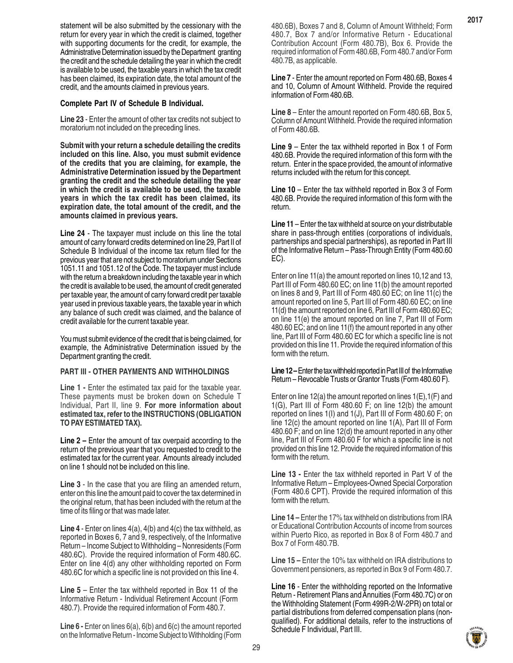statement will be also submitted by the cessionary with the return for every year in which the credit is claimed, together with supporting documents for the credit, for example, the Administrative Determination issued by the Department granting the credit and the schedule detailing the year in which the credit is available to be used, the taxable years in which the tax credit has been claimed, its expiration date, the total amount of the credit, and the amounts claimed in previous years.

#### **Complete Part IV of Schedule B Individual.**

**Line 23** - Enter the amount of other tax credits not subject to moratorium not included on the preceding lines.

**Submit with your return a schedule detailing the credits included on this line. Also, you must submit evidence of the credits that you are claiming, for example, the Administrative Determination issued by the Department granting the credit and the schedule detailing the year in which the credit is available to be used, the taxable years in which the tax credit has been claimed, its expiration date, the total amount of the credit, and the amounts claimed in previous years.**

**Line 24** - The taxpayer must include on this line the total amount of carry forward credits determined on line 29, Part II of Schedule B Individual of the income tax return filed for the previous year that are not subject to moratorium under Sections 1051.11 and 1051.12 of the Code. The taxpayer must include with the return a breakdown including the taxable year in which the credit is available to be used, the amount of credit generated per taxable year, the amount of carry forward credit per taxable year used in previous taxable years, the taxable year in which any balance of such credit was claimed, and the balance of credit available for the current taxable year.

You must submit evidence of the credit that is being claimed, for example, the Administrative Determination issued by the Department granting the credit.

#### **PART III - OTHER PAYMENTS AND WITHHOLDINGS**

Line 1 - Enter the estimated tax paid for the taxable year. These payments must be broken down on Schedule T Individual, Part II, line 9. **For more information about estimated tax, refer to the INSTRUCTIONS (OBLIGATION TO PAY ESTIMATED TAX).**

**Line 2 –** Enter the amount of tax overpaid according to the return of the previous year that you requested to credit to the estimated tax for the current year. Amounts already included on line 1 should not be included on this line.

**Line 3** - In the case that you are filing an amended return, enter on this line the amount paid to cover the tax determined in the original return, that has been included with the return at the time of its filing or that was made later.

**Line 4** - Enter on lines 4(a), 4(b) and 4(c) the tax withheld, as reported in Boxes 6, 7 and 9, respectively, of the Informative Return – Income Subject to Withholding – Nonresidents (Form 480.6C). Provide the required information of Form 480.6C. Enter on line 4(d) any other withholding reported on Form 480.6C for which a specific line is not provided on this line 4.

**Line 5** – Enter the tax withheld reported in Box 11 of the Informative Return - Individual Retirement Account (Form 480.7). Provide the required information of Form 480.7.

**Line 6 - Enter on lines 6(a), 6(b) and 6(c) the amount reported** on the Informative Return - Income Subject to Withholding (Form 480.6B), Boxes 7 and 8, Column of Amount Withheld; Form 480.7, Box 7 and/or Informative Return - Educational Contribution Account (Form 480.7B), Box 6. Provide the required information of Form 480.6B, Form 480.7 and/or Form 480.7B, as applicable.

**Line 7** - Enter the amount reported on Form 480.6B, Boxes 4 and 10, Column of Amount Withheld. Provide the required information of Form 480.6B.

**Line 8** – Enter the amount reported on Form 480.6B, Box 5, Column of Amount Withheld. Provide the required information of Form 480.6B.

**Line 9** – Enter the tax withheld reported in Box 1 of Form 480.6B. Provide the required information of this form with the return. Enter in the space provided, the amount of informative returns included with the return for this concept.

**Line 10** – Enter the tax withheld reported in Box 3 of Form 480.6B. Provide the required information of this form with the return.

**Line 11** – Enter the tax withheld at source on your distributable share in pass-through entities (corporations of individuals, partnerships and special partnerships), as reported in Part III of the Informative Return – Pass-Through Entity (Form 480.60 EC).

Enter on line 11(a) the amount reported on lines 10,12 and 13, Part III of Form 480.60 EC; on line 11(b) the amount reported on lines 8 and 9, Part III of Form 480.60 EC; on line 11(c) the amount reported on line 5, Part III of Form 480.60 EC; on line 11(d) the amount reported on line 6, Part III of Form 480.60 EC; on line 11(e) the amount reported on line 7, Part III of Form 480.60 EC; and on line 11(f) the amount reported in any other line, Part III of Form 480.60 EC for which a specific line is not provided on this line 11. Provide the required information of this form with the return.

#### **Line 12 –** Enter the tax withheld reported in Part III of the Informative Return – Revocable Trusts or Grantor Trusts (Form 480.60 F).

Enter on line 12(a) the amount reported on lines  $1(E), 1(F)$  and 1(G), Part III of Form 480.60 F; on line  $12(b)$  the amount reported on lines 1(I) and 1(J), Part III of Form 480.60 F; on line 12(c) the amount reported on line 1(A), Part III of Form 480.60 F; and on line 12(d) the amount reported in any other line, Part III of Form 480.60 F for which a specific line is not provided on this line 12. Provide the required information of this form with the return.

**Line 13 - Enter the tax withheld reported in Part V of the** Informative Return – Employees-Owned Special Corporation (Form 480.6 CPT). Provide the required information of this form with the return.

**Line 14 –** Enter the 17% tax withheld on distributions from IRA or Educational Contribution Accounts of income from sources within Puerto Rico, as reported in Box 8 of Form 480.7 and Box 7 of Form 480.7B.

**Line 15 –** Enter the 10% tax withheld on IRA distributions to Government pensioners, as reported in Box 9 of Form 480.7.

**Line 16** - Enter the withholding reported on the Informative Return - Retirement Plans and Annuities (Form 480.7C) or on the Withholding Statement (Form 499R-2/W-2PR) on total or partial distributions from deferred compensation plans (nonqualified). For additional details, refer to the instructions of Schedule F Individual, Part III.

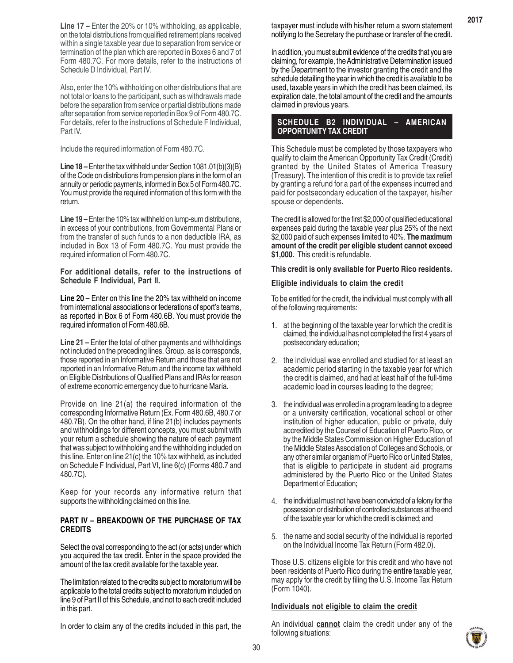**Line 17 –** Enter the 20% or 10% withholding, as applicable, on the total distributions from qualified retirement plans received within a single taxable year due to separation from service or termination of the plan which are reported in Boxes 6 and 7 of Form 480.7C. For more details, refer to the instructions of Schedule D Individual, Part IV.

Also, enter the 10% withholding on other distributions that are not total or loans to the participant, such as withdrawals made before the separation from service or partial distributions made after separation from service reported in Box 9 of Form 480.7C. For details, refer to the instructions of Schedule F Individual, Part IV.

Include the required information of Form 480.7C.

**Line 18 –** Enter the tax withheld under Section 1081.01(b)(3)(B) of the Code on distributions from pension plans in the form of an annuity or periodic payments, informed in Box 5 of Form 480.7C. You must provide the required information of this form with the return.

**Line 19 –** Enter the 10% tax withheld on lump-sum distributions, in excess of your contributions, from Governmental Plans or from the transfer of such funds to a non deductible IRA, as included in Box 13 of Form 480.7C. You must provide the required information of Form 480.7C.

**For additional details, refer to the instructions of Schedule F Individual, Part II.**

**Line 20** – Enter on this line the 20% tax withheld on income from international associations or federations of sport's teams, as reported in Box 6 of Form 480.6B. You must provide the required information of Form 480.6B.

**Line 21 –** Enter the total of other payments and withholdings not included on the preceding lines. Group, as is corresponds, those reported in an Informative Return and those that are not reported in an Informative Return and the income tax withheld on Eligible Distributions of Qualified Plans and IRAs for reason of extreme economic emergency due to hurricane María.

Provide on line 21(a) the required information of the corresponding Informative Return (Ex. Form 480.6B, 480.7 or 480.7B). On the other hand, if line 21(b) includes payments and withholdings for different concepts, you must submit with your return a schedule showing the nature of each payment that was subject to withholding and the withholding included on this line. Enter on line 21(c) the 10% tax withheld, as included on Schedule F Individual, Part VI, line 6(c) (Forms 480.7 and 480.7C).

Keep for your records any informative return that supports the withholding claimed on this line.

#### **PART IV – BREAKDOWN OF THE PURCHASE OF TAX CREDITS**

Select the oval corresponding to the act (or acts) under which you acquired the tax credit. Enter in the space provided the amount of the tax credit available for the taxable year.

The limitation related to the credits subject to moratorium will be applicable to the total credits subject to moratorium included on line 9 of Part II of this Schedule, and not to each credit included in this part.

In order to claim any of the credits included in this part, the

taxpayer must include with his/her return a sworn statement notifying to the Secretary the purchase or transfer of the credit.

**2017**

In addition, you must submit evidence of the credits that you are claiming, for example, the Administrative Determination issued by the Department to the investor granting the credit and the schedule detailing the year in which the credit is available to be used, taxable years in which the credit has been claimed, its expiration date, the total amount of the credit and the amounts claimed in previous years.

# **SCHEDULE B2 INDIVIDUAL – AMERICAN OPPORTUNITY TAX CREDIT**

This Schedule must be completed by those taxpayers who qualify to claim the American Opportunity Tax Credit (Credit) granted by the United States of America Treasury (Treasury). The intention of this credit is to provide tax relief by granting a refund for a part of the expenses incurred and paid for postsecondary education of the taxpayer, his/her spouse or dependents.

The credit is allowed for the first \$2,000 of qualified educational expenses paid during the taxable year plus 25% of the next \$2,000 paid of such expenses limited to 40%. **The maximum amount of the credit per eligible student cannot exceed \$1,000.** This credit is refundable.

#### **This credit is only available for Puerto Rico residents.**

#### **Eligible individuals to claim the credit**

To be entitled for the credit, the individual must comply with **all** of the following requirements:

- 1. at the beginning of the taxable year for which the credit is claimed, the individual has not completed the first 4 years of postsecondary education;
- 2. the individual was enrolled and studied for at least an academic period starting in the taxable year for which the credit is claimed, and had at least half of the full-time academic load in courses leading to the degree;
- the individual was enrolled in a program leading to a degree 3. or a university certification, vocational school or other institution of higher education, public or private, duly accredited by the Counsel of Education of Puerto Rico, or by the Middle States Commission on Higher Education of the Middle States Association of Colleges and Schools, or any other similar organism of Puerto Rico or United States, that is eligible to participate in student aid programs administered by the Puerto Rico or the United States Department of Education;
- 4. the individual must not have been convicted of a felony for the possession or distribution of controlled substances at the end of the taxable year for which the credit is claimed; and
- 5. the name and social security of the individual is reported on the Individual Income Tax Return (Form 482.0).

Those U.S. citizens eligible for this credit and who have not been residents of Puerto Rico during the **entire** taxable year, may apply for the credit by filing the U.S. Income Tax Return (Form 1040).

#### **Individuals not eligible to claim the credit**

An individual **cannot** claim the credit under any of the following situations:

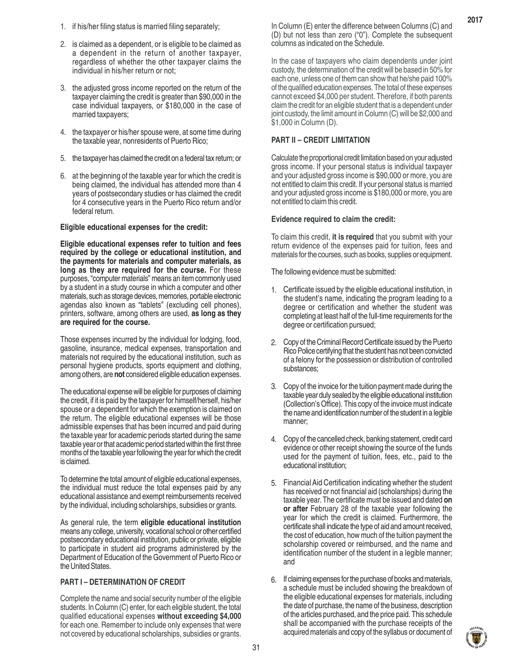- 1. if his/her filing status is married filing separately;
- 2. is claimed as a dependent, or is eligible to be claimed as a dependent in the return of another taxpayer, regardless of whether the other taxpayer claims the individual in his/her return or not;
- 3. the adjusted gross income reported on the return of the taxpayer claiming the credit is greater than \$90,000 in the case individual taxpayers, or \$180,000 in the case of married taxpayers;
- 4. the taxpayer or his/her spouse were, at some time during the taxable year, nonresidents of Puerto Rico;
- 5. the taxpayer has claimed the credit on a federal tax return; or
- 6. at the beginning of the taxable year for which the credit is being claimed, the individual has attended more than 4 years of postsecondary studies or has claimed the credit for 4 consecutive years in the Puerto Rico return and/or federal return.

#### **Eligible educational expenses for the credit:**

**Eligible educational expenses refer to tuition and fees required by the college or educational institution, and the payments for materials and computer materials, as long as they are required for the course.** For these purposes, "computer materials" means an item commonly used by a student in a study course in which a computer and other materials, such as storage devices, memories, portable electronic agendas also known as "tablets" (excluding cell phones), printers, software, among others are used, **as long as they are required for the course.**

Those expenses incurred by the individual for lodging, food, gasoline, insurance, medical expenses, transportation and materials not required by the educational institution, such as personal hygiene products, sports equipment and clothing, among others, are **not** considered eligible education expenses.

The educational expense will be eligible for purposes of claiming the credit, if it is paid by the taxpayer for himself/herself, his/her spouse or a dependent for which the exemption is claimed on the return. The eligible educational expenses will be those admissible expenses that has been incurred and paid during the taxable year for academic periods started during the same taxable year or that academic period started within the first three months of the taxable year following the year for which the credit is claimed.

To determine the total amount of eligible educational expenses, the individual must reduce the total expenses paid by any educational assistance and exempt reimbursements received by the individual, including scholarships, subsidies or grants.

As general rule, the term **eligible educational institution** means any college, university, vocational school or other certified postsecondary educational institution, public or private, eligible to participate in student aid programs administered by the Department of Education of the Government of Puerto Rico or the United States.

#### **PART I – DETERMINATION OF CREDIT**

Complete the name and social security number of the eligible students. In Column (C) enter, for each eligible student, the total qualified educational expenses **without exceeding \$4,000** for each one. Remember to include only expenses that were not covered by educational scholarships, subsidies or grants.

In Column (E) enter the difference between Columns (C) and (D) but not less than zero ("0"). Complete the subsequent columns as indicated on the Schedule.

In the case of taxpayers who claim dependents under joint custody, the determination of the credit will be based in 50% for each one, unless one of them can show that he/she paid 100% of the qualified education expenses. The total of these expenses cannot exceed \$4,000 per student. Therefore, if both parents claim the credit for an eligible student that is a dependent under joint custody, the limit amount in Column (C) will be \$2,000 and \$1,000 in Column (D).

# **PART II – CREDIT LIMITATION**

Calculate the proportional credit limitation based on your adjusted gross income. If your personal status is individual taxpayer and your adjusted gross income is \$90,000 or more, you are not entitled to claim this credit. If your personal status is married and your adjusted gross income is \$180,000 or more, you are not entitled to claim this credit.

#### **Evidence required to claim the credit:**

To claim this credit, **it is required** that you submit with your return evidence of the expenses paid for tuition, fees and materials for the courses, such as books, supplies or equipment.

The following evidence must be submitted:

- Certificate issued by the eligible educational institution, in 1. the student's name, indicating the program leading to a degree or certification and whether the student was completing at least half of the full-time requirements for the degree or certification pursued;
- 2. Copy of the Criminal Record Certificate issued by the Puerto Rico Police certifying that the student has not been convicted of a felony for the possession or distribution of controlled substances;
- Copy of the invoice for the tuition payment made during the 3. taxable year duly sealed by the eligible educational institution (Collection's Office). This copy of the invoice must indicate the name and identification number of the student in a legible manner;
- Copy of the cancelled check, banking statement, credit card 4. evidence or other receipt showing the source of the funds used for the payment of tuition, fees, etc., paid to the educational institution;
- Financial Aid Certification indicating whether the student 5. has received or not financial aid (scholarships) during the taxable year. The certificate must be issued and dated **on or after** February 28 of the taxable year following the year for which the credit is claimed. Furthermore, the certificate shall indicate the type of aid and amount received, the cost of education, how much of the tuition payment the scholarship covered or reimbursed, and the name and identification number of the student in a legible manner; and
- 6. If claiming expenses for the purchase of books and materials, a schedule must be included showing the breakdown of the eligible educational expenses for materials, including the date of purchase, the name of the business, description of the articles purchased, and the price paid. This schedule shall be accompanied with the purchase receipts of the acquired materials and copy of the syllabus or document of

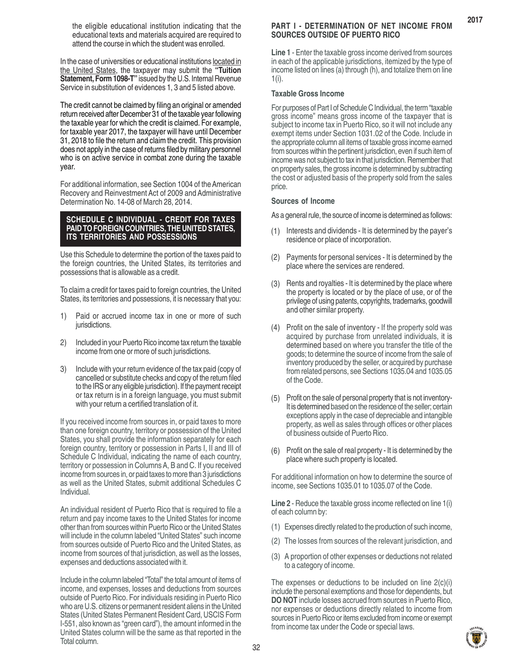the eligible educational institution indicating that the educational texts and materials acquired are required to attend the course in which the student was enrolled.

In the case of universities or educational institutions located in the United States, the taxpayer may submit the **"Tuition Statement, Form 1098-T"** issued by the U.S. Internal Revenue Service in substitution of evidences 1, 3 and 5 listed above.

The credit cannot be claimed by filing an original or amended return received after December 31 of the taxable year following the taxable year for which the credit is claimed. For example, for taxable year 2017, the taxpayer will have until December 31, 2018 to file the return and claim the credit. This provision does not apply in the case of returns filed by military personnel who is on active service in combat zone during the taxable year.

For additional information, see Section 1004 of the American Recovery and Reinvestment Act of 2009 and Administrative Determination No. 14-08 of March 28, 2014.

#### **SCHEDULE C INDIVIDUAL - CREDIT FOR TAXES PAID TO FOREIGN COUNTRIES, THE UNITED STATES, ITS TERRITORIES AND POSSESSIONS**

Use this Schedule to determine the portion of the taxes paid to the foreign countries, the United States, its territories and possessions that is allowable as a credit.

To claim a credit for taxes paid to foreign countries, the United States, its territories and possessions, it is necessary that you:

- 1) Paid or accrued income tax in one or more of such jurisdictions.
- 2) Included in your Puerto Rico income tax return the taxable income from one or more of such jurisdictions.
- 3) Include with your return evidence of the tax paid (copy of cancelled or substitute checks and copy of the return filed to the IRS or any eligible jurisdiction). If the payment receipt or tax return is in a foreign language, you must submit with your return a certified translation of it.

If you received income from sources in, or paid taxes to more than one foreign country, territory or possession of the United States, you shall provide the information separately for each foreign country, territory or possession in Parts I, II and III of Schedule C Individual, indicating the name of each country, territory or possession in Columns A, B and C. If you received income from sources in, or paid taxes to more than 3 jurisdictions as well as the United States, submit additional Schedules C Individual.

An individual resident of Puerto Rico that is required to file a return and pay income taxes to the United States for income other than from sources within Puerto Rico or the United States will include in the column labeled "United States" such income from sources outside of Puerto Rico and the United States, as income from sources of that jurisdiction, as well as the losses, expenses and deductions associated with it.

Include in the column labeled "Total" the total amount of items of income, and expenses, losses and deductions from sources outside of Puerto Rico. For individuals residing in Puerto Rico who are U.S. citizens or permanent resident aliens in the United States (United States Permanent Resident Card, USCIS Form I-551, also known as "green card"), the amount informed in the United States column will be the same as that reported in the Total column.

# **PART I - DETERMINATION OF NET INCOME FROM SOURCES OUTSIDE OF PUERTO RICO**

**2017**

**Line 1** - Enter the taxable gross income derived from sources in each of the applicable jurisdictions, itemized by the type of income listed on lines (a) through (h), and totalize them on line 1(i).

#### **Taxable Gross Income**

For purposes of Part I of Schedule C Individual, the term "taxable gross income" means gross income of the taxpayer that is subject to income tax in Puerto Rico, so it will not include any exempt items under Section 1031.02 of the Code. Include in the appropriate column all items of taxable gross income earned from sources within the pertinent jurisdiction, even if such item of income was not subject to tax in that jurisdiction. Remember that on property sales, the gross income is determined by subtracting the cost or adjusted basis of the property sold from the sales price.

#### **Sources of Income**

As a general rule, the source of income is determined as follows:

- (1) Interests and dividends It is determined by the payer's residence or place of incorporation.
- Payments for personal services It is determined by the place where the services are rendered. (2)
- (3) Rents and royalties It is determined by the place where the property is located or by the place of use, or of the privilege of using patents, copyrights, trademarks, goodwill and other similar property.
- Profit on the sale of inventory If the property sold was acquired by purchase from unrelated individuals, it is determined based on where you transfer the title of the goods; to determine the source of income from the sale of inventory produced by the seller, or acquired by purchase from related persons, see Sections 1035.04 and 1035.05 of the Code. (4)
- Profit on the sale of personal property that is not inventory-It is determined based on the residence of the seller; certain exceptions apply in the case of depreciable and intangible property, as well as sales through offices or other places of business outside of Puerto Rico. (5)
- Profit on the sale of real property It is determined by the place where such property is located. (6)

For additional information on how to determine the source of income, see Sections 1035.01 to 1035.07 of the Code.

**Line 2** - Reduce the taxable gross income reflected on line 1(i) of each column by:

- (1) Expenses directly related to the production of such income,
- (2) The losses from sources of the relevant jurisdiction, and
- (3) A proportion of other expenses or deductions not related to a category of income.

The expenses or deductions to be included on line 2(c)(i) include the personal exemptions and those for dependents, but **DO NOT** include losses accrued from sources in Puerto Rico, nor expenses or deductions directly related to income from sources in Puerto Rico or items excluded from income or exempt from income tax under the Code or special laws.

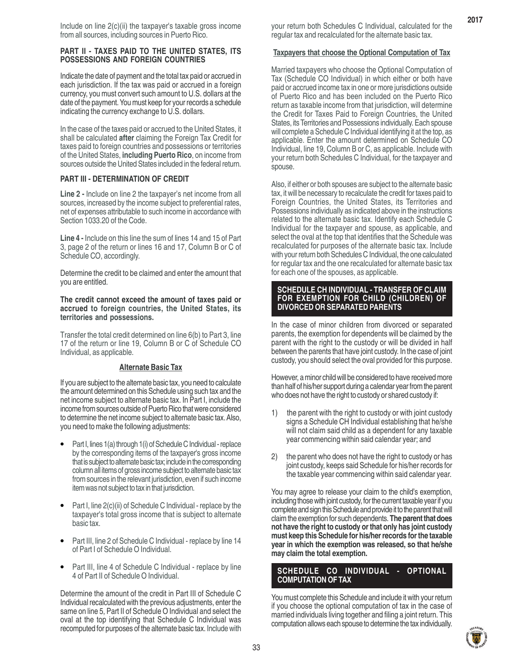Include on line 2(c)(ii) the taxpayer's taxable gross income from all sources, including sources in Puerto Rico.

#### **PART II - TAXES PAID TO THE UNITED STATES, ITS POSSESSIONS AND FOREIGN COUNTRIES**

Indicate the date of payment and the total tax paid or accrued in each jurisdiction. If the tax was paid or accrued in a foreign currency, you must convert such amount to U.S. dollars at the date of the payment. You must keep for your records a schedule indicating the currency exchange to U.S. dollars.

In the case of the taxes paid or accrued to the United States, it shall be calculated **after** claiming the Foreign Tax Credit for taxes paid to foreign countries and possessions or territories of the United States, **including Puerto Rico**, on income from sources outside the United States included in the federal return.

#### **PART III - DETERMINATION OF CREDIT**

**Line 2 -** Include on line 2 the taxpayer's net income from all sources, increased by the income subject to preferential rates, net of expenses attributable to such income in accordance with Section 1033.20 of the Code.

**Line 4 -** Include on this line the sum of lines 14 and 15 of Part 3, page 2 of the return or lines 16 and 17, Column B or C of Schedule CO, accordingly.

Determine the credit to be claimed and enter the amount that you are entitled.

**The credit cannot exceed the amount of taxes paid or accrued to foreign countries, the United States, its territories and possessions.**

Transfer the total credit determined on line 6(b) to Part 3, line 17 of the return or line 19, Column B or C of Schedule CO Individual, as applicable.

#### **Alternate Basic Tax**

If you are subject to the alternate basic tax, you need to calculate the amount determined on this Schedule using such tax and the net income subject to alternate basic tax. In Part I, include the income from sources outside of Puerto Rico that were considered to determine the net income subject to alternate basic tax. Also, you need to make the following adjustments:

- Part I, lines 1(a) through 1(i) of Schedule C Individual replace by the corresponding items of the taxpayer's gross income that is subject to alternate basic tax; include in the corresponding column all items of gross income subject to alternate basic tax from sources in the relevant jurisdiction, even if such income item was not subject to tax in that jurisdiction. •
- Part I, line 2(c)(ii) of Schedule C Individual replace by the taxpayer's total gross income that is subject to alternate basic tax. •
- Part III, line 2 of Schedule C Individual replace by line 14 of Part I of Schedule O Individual. •
- Part III, line 4 of Schedule C Individual replace by line 4 of Part II of Schedule O Individual. •

Determine the amount of the credit in Part III of Schedule C Individual recalculated with the previous adjustments, enter the same on line 5, Part II of Schedule O Individual and select the oval at the top identifying that Schedule C Individual was recomputed for purposes of the alternate basic tax. Include with your return both Schedules C Individual, calculated for the regular tax and recalculated for the alternate basic tax.

**2017**

#### **Taxpayers that choose the Optional Computation of Tax**

Married taxpayers who choose the Optional Computation of Tax (Schedule CO Individual) in which either or both have paid or accrued income tax in one or more jurisdictions outside of Puerto Rico and has been included on the Puerto Rico return as taxable income from that jurisdiction, will determine the Credit for Taxes Paid to Foreign Countries, the United States, its Territories and Possessions individually. Each spouse will complete a Schedule C Individual identifying it at the top, as applicable. Enter the amount determined on Schedule CO Individual, line 19, Column B or C, as applicable. Include with your return both Schedules C Individual, for the taxpayer and spouse.

Also, if either or both spouses are subject to the alternate basic tax, it will be necessary to recalculate the credit for taxes paid to Foreign Countries, the United States, its Territories and Possessions individually as indicated above in the instructions related to the alternate basic tax. Identify each Schedule C Individual for the taxpayer and spouse, as applicable, and select the oval at the top that identifies that the Schedule was recalculated for purposes of the alternate basic tax. Include with your return both Schedules C Individual, the one calculated for regular tax and the one recalculated for alternate basic tax for each one of the spouses, as applicable.

#### **SCHEDULE CH INDIVIDUAL - TRANSFER OF CLAIM FOR EXEMPTION FOR CHILD (CHILDREN) OF DIVORCED OR SEPARATED PARENTS**

In the case of minor children from divorced or separated parents, the exemption for dependents will be claimed by the parent with the right to the custody or will be divided in half between the parents that have joint custody. In the case of joint custody, you should select the oval provided for this purpose.

However, a minor child will be considered to have received more than half of his/her support during a calendar year from the parent who does not have the right to custody or shared custody if:

- 1) the parent with the right to custody or with joint custody signs a Schedule CH Individual establishing that he/she will not claim said child as a dependent for any taxable year commencing within said calendar year; and
- 2) the parent who does not have the right to custody or has joint custody, keeps said Schedule for his/her records for the taxable year commencing within said calendar year.

You may agree to release your claim to the child's exemption, including those with joint custody, for the current taxable year if you complete and sign this Schedule and provide it to the parent that will claim the exemption for such dependents. **The parent that does not have the right to custody or that only has joint custody must keep this Schedule for his/her records for the taxable year in which the exemption was released, so that he/she may claim the total exemption.**

#### **SCHEDULE CO INDIVIDUAL - OPTIONAL COMPUTATION OF TAX**

You must complete this Schedule and include it with your return if you choose the optional computation of tax in the case of married individuals living together and filing a joint return. This computation allows each spouse to determine the tax individually.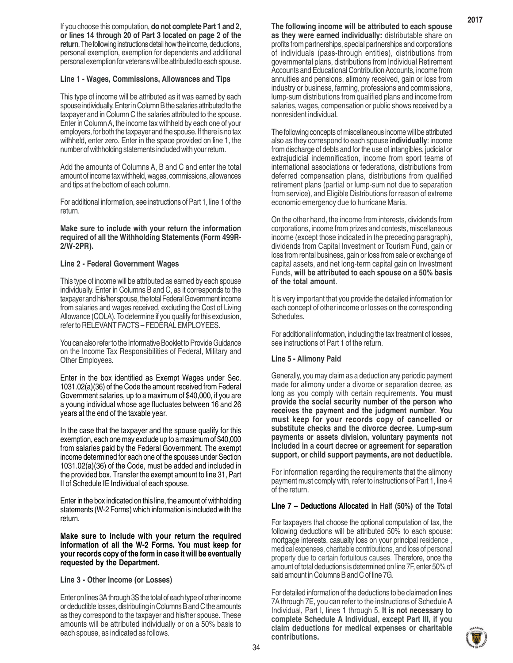If you choose this computation, **do not complete Part 1 and 2, or lines 14 through 20 of Part 3 located on page 2 of the return**. The following instructions detail how the income, deductions, personal exemption, exemption for dependents and additional personal exemption for veterans will be attributed to each spouse.

#### **Line 1 - Wages, Commissions, Allowances and Tips**

This type of income will be attributed as it was earned by each spouse individually. Enter in Column B the salaries attributed to the taxpayer and in Column C the salaries attributed to the spouse. Enter in Column A, the income tax withheld by each one of your employers, for both the taxpayer and the spouse. If there is no tax withheld, enter zero. Enter in the space provided on line 1, the number of withholding statements included with your return.

Add the amounts of Columns A, B and C and enter the total amount of income tax withheld, wages, commissions, allowances and tips at the bottom of each column.

For additional information, see instructions of Part 1, line 1 of the return.

**Make sure to include with your return the information required of all the Withholding Statements (Form 499R-2/W-2PR).**

#### **Line 2 - Federal Government Wages**

This type of income will be attributed as earned by each spouse individually. Enter in Columns B and C, as it corresponds to the taxpayer and his/her spouse, the total Federal Government income from salaries and wages received, excluding the Cost of Living Allowance (COLA). To determine if you qualify for this exclusion, refer to RELEVANT FACTS – FEDERAL EMPLOYEES.

You can also refer to the Informative Booklet to Provide Guidance on the Income Tax Responsibilities of Federal, Military and Other Employees.

Enter in the box identified as Exempt Wages under Sec. 1031.02(a)(36) of the Code the amount received from Federal Government salaries, up to a maximum of \$40,000, if you are a young individual whose age fluctuates between 16 and 26 years at the end of the taxable year.

In the case that the taxpayer and the spouse qualify for this exemption, each one may exclude up to a maximum of \$40,000 from salaries paid by the Federal Government. The exempt income determined for each one of the spouses under Section 1031.02(a)(36) of the Code, must be added and included in the provided box. Transfer the exempt amount to line 31, Part II of Schedule IE Individual of each spouse.

Enter in the box indicated on this line, the amount of withholding statements (W-2 Forms) which information is included with the return.

**Make sure to include with your return the required information of all the W-2 Forms. You must keep for your records copy of the form in case it will be eventually requested by the Department.**

#### **Line 3 - Other Income (or Losses)**

Enter on lines 3A through 3S the total of each type of other income or deductible losses, distributing in Columns B and C the amounts as they correspond to the taxpayer and his/her spouse. These amounts will be attributed individually or on a 50% basis to each spouse, as indicated as follows.

The following concepts of miscellaneous income will be attributed also as they correspond to each spouse **individually**: income from discharge of debts and for the use of intangibles, judicial or extrajudicial indemnification, income from sport teams of international associations or federations, distributions from deferred compensation plans, distributions from qualified retirement plans (partial or lump-sum not due to separation from service), and Eligible Distributions for reason of extreme economic emergency due to hurricane María.

On the other hand, the income from interests, dividends from corporations, income from prizes and contests, miscellaneous income (except those indicated in the preceding paragraph), dividends from Capital Investment or Tourism Fund, gain or loss from rental business, gain or loss from sale or exchange of capital assets, and net long-term capital gain on Investment Funds, **will be attributed to each spouse on a 50% basis of the total amount**.

It is very important that you provide the detailed information for each concept of other income or losses on the corresponding Schedules.

For additional information, including the tax treatment of losses, see instructions of Part 1 of the return.

#### **Line 5 - Alimony Paid**

Generally, you may claim as a deduction any periodic payment made for alimony under a divorce or separation decree, as long as you comply with certain requirements. **You must provide the social security number of the person who receives the payment and the judgment number**. **You must keep for your records copy of cancelled or substitute checks and the divorce decree. Lump-sum payments or assets division, voluntary payments not included in a court decree or agreement for separation support, or child support payments, are not deductible.**

For information regarding the requirements that the alimony payment must comply with, refer to instructions of Part 1, line 4 of the return.

#### **Line 7 – Deductions Allocated in Half (50%) of the Total**

For taxpayers that choose the optional computation of tax, the following deductions will be attributed 50% to each spouse: mortgage interests, casualty loss on your principal residence , medical expenses, charitable contributions, and loss of personal property due to certain fortuitous causes. Therefore, once the amount of total deductions is determined on line 7F, enter 50% of said amount in Columns B and C of line 7G.

For detailed information of the deductions to be claimed on lines 7A through 7E, you can refer to the instructions of Schedule A Individual, Part I, lines 1 through 5. **It is not necessary to complete Schedule A Individual, except Part III, if you claim deductions for medical expenses or charitable contributions.**



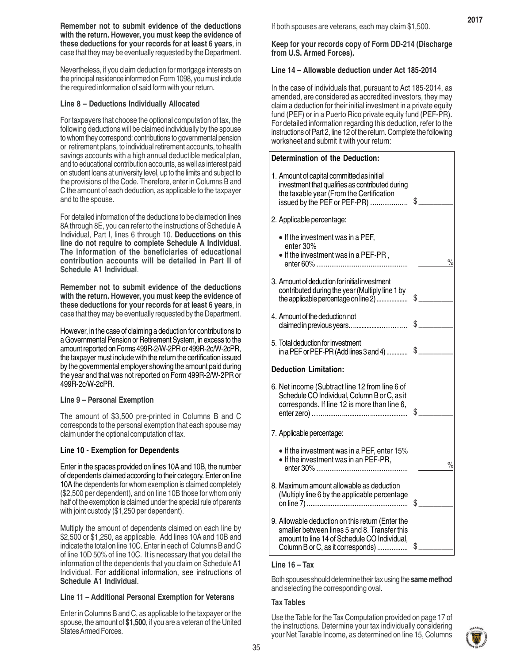**Remember not to submit evidence of the deductions with the return. However, you must keep the evidence of these deductions for your records for at least 6 years**, in case that they may be eventually requested by the Department.

Nevertheless, if you claim deduction for mortgage interests on the principal residence informed on Form 1098, you must include the required information of said form with your return.

#### **Line 8 – Deductions Individually Allocated**

For taxpayers that choose the optional computation of tax, the following deductions will be claimed individually by the spouse to whom they correspond: contributions to governmental pension or retirement plans, to individual retirement accounts, to health savings accounts with a high annual deductible medical plan, and to educational contribution accounts, as well as interest paid on student loans at university level, up to the limits and subject to the provisions of the Code. Therefore, enter in Columns B and C the amount of each deduction, as applicable to the taxpayer and to the spouse.

For detailed information of the deductions to be claimed on lines 8A through 8E, you can refer to the instructions of Schedule A Individual, Part I, lines 6 through 10. **Deducctions on this line do not require to complete Schedule A Individual**. **The information of the beneficiaries of educational contribution accounts will be detailed in Part II of Schedule A1 Individual**.

**Remember not to submit evidence of the deductions with the return. However, you must keep the evidence of these deductions for your records for at least 6 years**, in case that they may be eventually requested by the Department.

However, in the case of claiming a deduction for contributions to a Governmental Pension or Retirement System, in excess to the amount reported on Forms 499R-2/W-2PR or 499R-2c/W-2cPR, the taxpayer must include with the return the certification issued by the governmental employer showing the amount paid during the year and that was not reported on Form 499R-2/W-2PR or 499R-2c/W-2cPR.

#### **Line 9 – Personal Exemption**

The amount of \$3,500 pre-printed in Columns B and C corresponds to the personal exemption that each spouse may claim under the optional computation of tax.

#### **Line 10 - Exemption for Dependents**

Enter in the spaces provided on lines 10A and 10B, the number of dependents claimed according to their category. Enter on line 10A the dependents for whom exemption is claimed completely (\$2,500 per dependent), and on line 10B those for whom only half of the exemption is claimed under the special rule of parents with joint custody (\$1,250 per dependent).

Multiply the amount of dependents claimed on each line by \$2,500 or \$1,250, as applicable. Add lines 10A and 10B and indicate the total on line 10C. Enter in each of Columns B and C of line 10D 50% of line 10C. It is necessary that you detail the information of the dependents that you claim on Schedule A1 Individual. For additional information, see instructions of **Schedule A1 Individual**.

#### **Line 11 – Additional Personal Exemption for Veterans**

Enter in Columns B and C, as applicable to the taxpayer or the spouse, the amount of **\$1,500**, if you are a veteran of the United States Armed Forces.

If both spouses are veterans, each may claim \$1,500.

**Keep for your records copy of Form DD-214 (Discharge from U.S. Armed Forces).**

#### **Line 14 – Allowable deduction under Act 185-2014**

In the case of individuals that, pursuant to Act 185-2014, as amended, are considered as accredited investors, they may claim a deduction for their initial investment in a private equity fund (PEF) or in a Puerto Rico private equity fund (PEF-PR). For detailed information regarding this deduction, refer to the instructions of Part 2, line 12 of the return. Complete the following worksheet and submit it with your return:

#### **Determination of the Deduction:**

| 1. Amount of capital committed as initial<br>investment that qualifies as contributed during<br>the taxable year (From the Certification<br>issued by the PEF or PEF-PR)              | \$            |
|---------------------------------------------------------------------------------------------------------------------------------------------------------------------------------------|---------------|
| 2. Applicable percentage:                                                                                                                                                             |               |
| • If the investment was in a PEF,<br>enter 30%<br>• If the investment was in a PEF-PR,<br>enter 60%                                                                                   | $\%$          |
| 3. Amount of deduction for initial investment<br>contributed during the year (Multiply line 1 by<br>the applicable percentage on line 2)                                              | \$            |
| 4. Amount of the deduction not<br>claimed in previous years                                                                                                                           | \$            |
| 5. Total deduction for investment<br>in a PEF or PEF-PR (Add lines 3 and 4)                                                                                                           | $\frac{1}{2}$ |
| <b>Deduction Limitation:</b>                                                                                                                                                          |               |
| 6. Net income (Subtract line 12 from line 6 of<br>Schedule CO Individual, Column B or C, as it<br>corresponds. If line 12 is more than line 6,                                        |               |
| 7. Applicable percentage:                                                                                                                                                             |               |
| • If the investment was in a PEF, enter 15%<br>• If the investment was in an PEF-PR,                                                                                                  | $\frac{1}{2}$ |
| 8. Maximum amount allowable as deduction<br>(Multiply line 6 by the applicable percentage                                                                                             |               |
| 9. Allowable deduction on this return (Enter the<br>smaller between lines 5 and 8. Transfer this<br>amount to line 14 of Schedule CO Individual,<br>Column B or C, as it corresponds) | S             |

#### **Line 16 – Tax**

Both spouses should determine their tax using the **same method** and selecting the corresponding oval.

#### **Tax Tables**

Use the Table for the Tax Computation provided on page 17 of the instructions. Determine your tax individually considering your Net Taxable Income, as determined on line 15, Columns

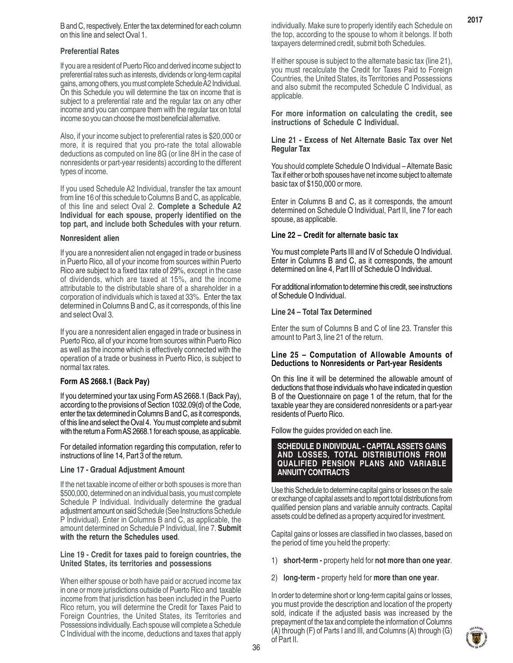B and C, respectively. Enter the tax determined for each column on this line and select Oval 1.

#### **Preferential Rates**

If you are a resident of Puerto Rico and derived income subject to preferential rates such as interests, dividends or long-term capital gains, among others, you must complete Schedule A2 Individual. On this Schedule you will determine the tax on income that is subject to a preferential rate and the regular tax on any other income and you can compare them with the regular tax on total income so you can choose the most beneficial alternative.

Also, if your income subject to preferential rates is \$20,000 or more, it is required that you pro-rate the total allowable deductions as computed on line 8G (or line 8H in the case of nonresidents or part-year residents) according to the different types of income.

If you used Schedule A2 Individual, transfer the tax amount from line 16 of this schedule to Columns B and C, as applicable, of this line and select Oval 2. **Complete a Schedule A2 Individual for each spouse, properly identified on the top part, and include both Schedules with your return**.

#### **Nonresident alien**

If you are a nonresident alien not engaged in trade or business in Puerto Rico, all of your income from sources within Puerto Rico are subject to a fixed tax rate of 29%, except in the case of dividends, which are taxed at 15%, and the income attributable to the distributable share of a shareholder in a corporation of individuals which is taxed at 33%. Enter the tax determined in Columns B and C, as it corresponds, of this line and select Oval 3.

If you are a nonresident alien engaged in trade or business in Puerto Rico, all of your income from sources within Puerto Rico as well as the income which is effectively connected with the operation of a trade or business in Puerto Rico, is subject to normal tax rates.

#### **Form AS 2668.1 (Back Pay)**

If you determined your tax using Form AS 2668.1 (Back Pay), according to the provisions of Section 1032.09(d) of the Code, enter the tax determined in Columns B and C, as it corresponds, of this line and select the Oval 4. You must complete and submit with the return a Form AS 2668.1 for each spouse, as applicable.

For detailed information regarding this computation, refer to instructions of line 14, Part 3 of the return.

#### **Line 17 - Gradual Adjustment Amount**

If the net taxable income of either or both spouses is more than \$500,000, determined on an individual basis, you must complete Schedule P Individual. Individually determine the gradual adjustment amount on said Schedule (See Instructions Schedule P Individual). Enter in Columns B and C, as applicable, the amount determined on Schedule P Individual, line 7. **Submit with the return the Schedules used**.

#### **Line 19 - Credit for taxes paid to foreign countries, the United States, its territories and possessions**

When either spouse or both have paid or accrued income tax in one or more jurisdictions outside of Puerto Rico and taxable income from that jurisdiction has been included in the Puerto Rico return, you will determine the Credit for Taxes Paid to Foreign Countries, the United States, its Territories and Possessions individually. Each spouse will complete a Schedule C Individual with the income, deductions and taxes that apply

individually. Make sure to properly identify each Schedule on the top, according to the spouse to whom it belongs. If both taxpayers determined credit, submit both Schedules.

If either spouse is subject to the alternate basic tax (line 21), you must recalculate the Credit for Taxes Paid to Foreign Countries, the United States, its Territories and Possessions and also submit the recomputed Schedule C Individual, as applicable.

**For more information on calculating the credit, see instructions of Schedule C Individual.**

#### **Line 21 - Excess of Net Alternate Basic Tax over Net Regular Tax**

You should complete Schedule O Individual – Alternate Basic Tax if either or both spouses have net income subject to alternate basic tax of \$150,000 or more.

Enter in Columns B and C, as it corresponds, the amount determined on Schedule O Individual, Part II, line 7 for each spouse, as applicable.

#### **Line 22 – Credit for alternate basic tax**

You must complete Parts III and IV of Schedule O Individual. Enter in Columns B and C, as it corresponds, the amount determined on line 4, Part III of Schedule O Individual.

For additional information to determine this credit, see instructions of Schedule O Individual.

#### **Line 24 – Total Tax Determined**

Enter the sum of Columns B and C of line 23. Transfer this amount to Part 3, line 21 of the return.

#### **Line 25 – Computation of Allowable Amounts of Deductions to Nonresidents or Part-year Residents**

On this line it will be determined the allowable amount of deductions that those individuals who have indicated in question B of the Questionnaire on page 1 of the return, that for the taxable year they are considered nonresidents or a part-year residents of Puerto Rico.

Follow the guides provided on each line.

#### **SCHEDULE D INDIVIDUAL - CAPITAL ASSETS GAINS AND LOSSES, TOTAL DISTRIBUTIONS FROM QUALIFIED PENSION PLANS AND VARIABLE ANNUITY CONTRACTS**

Use this Schedule to determine capital gains or losses on the sale or exchange of capital assets and to report total distributions from qualified pension plans and variable annuity contracts. Capital assets could be defined as a property acquired for investment.

Capital gains or losses are classified in two classes, based on the period of time you held the property:

- 1) **short-term** property held for **not more than one year**.
- 2) **long-term -** property held for **more than one year**.

In order to determine short or long-term capital gains or losses, you must provide the description and location of the property sold, indicate if the adjusted basis was increased by the prepayment of the tax and complete the information of Columns (A) through (F) of Parts I and III, and Columns (A) through (G) of Part II.

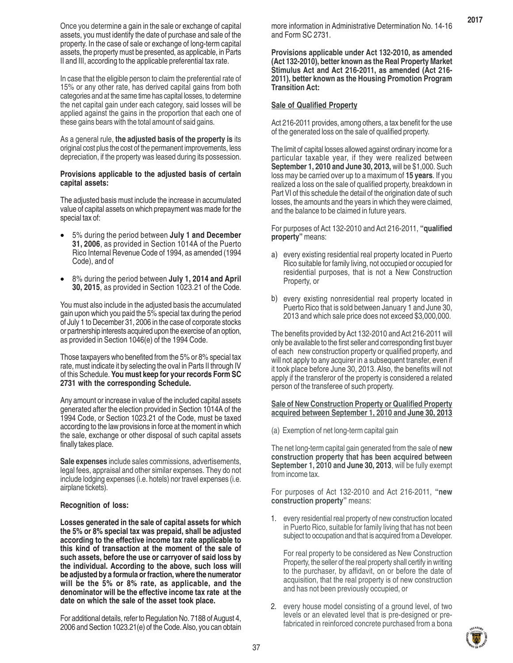Once you determine a gain in the sale or exchange of capital assets, you must identify the date of purchase and sale of the property. In the case of sale or exchange of long-term capital assets, the property must be presented, as applicable, in Parts II and III, according to the applicable preferential tax rate.

In case that the eligible person to claim the preferential rate of 15% or any other rate, has derived capital gains from both categories and at the same time has capital losses, to determine the net capital gain under each category, said losses will be applied against the gains in the proportion that each one of these gains bears with the total amount of said gains.

As a general rule, **the adjusted basis of the property is** its original cost plus the cost of the permanent improvements, less depreciation, if the property was leased during its possession.

#### **Provisions applicable to the adjusted basis of certain capital assets:**

The adjusted basis must include the increase in accumulated value of capital assets on which prepayment was made for the special tax of:

- 5% during the period between **July 1 and December 31, 2006**, as provided in Section 1014A of the Puerto Rico Internal Revenue Code of 1994, as amended (1994 Code), and of
- 8% during the period between **July 1, 2014 and April 30, 2015**, as provided in Section 1023.21 of the Code.

You must also include in the adjusted basis the accumulated gain upon which you paid the 5% special tax during the period of July 1 to December 31, 2006 in the case of corporate stocks or partnership interests acquired upon the exercise of an option, as provided in Section 1046(e) of the 1994 Code.

Those taxpayers who benefited from the 5% or 8% special tax rate, must indicate it by selecting the oval in Parts II through IV of this Schedule. **You must keep for your records Form SC 2731 with the corresponding Schedule.**

Any amount or increase in value of the included capital assets generated after the election provided in Section 1014A of the 1994 Code, or Section 1023.21 of the Code, must be taxed according to the law provisions in force at the moment in which the sale, exchange or other disposal of such capital assets finally takes place.

**Sale expenses** include sales commissions, advertisements, legal fees, appraisal and other similar expenses. They do not include lodging expenses (i.e. hotels) nor travel expenses (i.e. airplane tickets).

#### **Recognition of loss:**

**Losses generated in the sale of capital assets for which the 5% or 8% special tax was prepaid, shall be adjusted according to the effective income tax rate applicable to this kind of transaction at the moment of the sale of such assets, before the use or carryover of said loss by the individual. According to the above, such loss will be adjusted by a formula or fraction, where the numerator will be the 5% or 8% rate, as applicable, and the denominator will be the effective income tax rate at the date on which the sale of the asset took place.**

For additional details, refer to Regulation No. 7188 of August 4, 2006 and Section 1023.21(e) of the Code. Also, you can obtain

more information in Administrative Determination No. 14-16 and Form SC 2731.

**2017**

**Provisions applicable under Act 132-2010, as amended (Act 132-2010), better known as the Real Property Market Stimulus Act and Act 216-2011, as amended (Act 216- 2011), better known as the Housing Promotion Program Transition Act:**

#### **Sale of Qualified Property**

Act 216-2011 provides, among others, a tax benefit for the use of the generated loss on the sale of qualified property.

The limit of capital losses allowed against ordinary income for a particular taxable year, if they were realized between **September 1, 2010 and June 30, 2013,** will be \$1,000. Such loss may be carried over up to a maximum of **15 years**. If you realized a loss on the sale of qualified property, breakdown in Part VI of this schedule the detail of the origination date of such losses, the amounts and the years in which they were claimed, and the balance to be claimed in future years.

For purposes of Act 132-2010 and Act 216-2011, **"qualified property"** means:

- a) every existing residential real property located in Puerto Rico suitable for family living, not occupied or occupied for residential purposes, that is not a New Construction Property, or
- b) every existing nonresidential real property located in Puerto Rico that is sold between January 1 and June 30, 2013 and which sale price does not exceed \$3,000,000.

The benefits provided by Act 132-2010 and Act 216-2011 will only be available to the first seller and corresponding first buyer of each new construction property or qualified property, and will not apply to any acquirer in a subsequent transfer, even if it took place before June 30, 2013. Also, the benefits will not apply if the transferor of the property is considered a related person of the transferee of such property.

#### **Sale of New Construction Property or Qualified Property acquired between September 1, 2010 and June 30, 2013**

(a) Exemption of net long-term capital gain

The net long-term capital gain generated from the sale of **new construction property that has been acquired between September 1, 2010 and June 30, 2013**, will be fully exempt from income tax.

For purposes of Act 132-2010 and Act 216-2011, **"new construction property"** means:

1. every residential real property of new construction located in Puerto Rico, suitable for family living that has not been subject to occupation and that is acquired from a Developer.

For real property to be considered as New Construction Property, the seller of the real property shall certify in writing to the purchaser, by affidavit, on or before the date of acquisition, that the real property is of new construction and has not been previously occupied, or

2. every house model consisting of a ground level, of two levels or an elevated level that is pre-designed or prefabricated in reinforced concrete purchased from a bona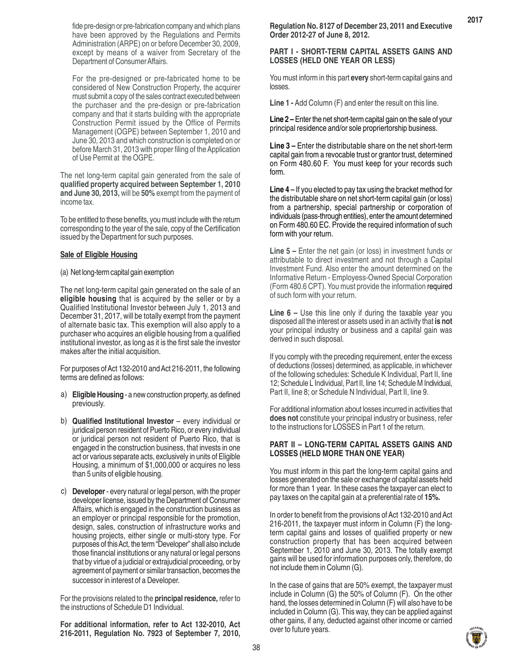fide pre-design or pre-fabrication company and which plans have been approved by the Regulations and Permits Administration (ARPE) on or before December 30, 2009, except by means of a waiver from Secretary of the Department of Consumer Affairs.

For the pre-designed or pre-fabricated home to be considered of New Construction Property, the acquirer must submit a copy of the sales contract executed between the purchaser and the pre-design or pre-fabrication company and that it starts building with the appropriate Construction Permit issued by the Office of Permits Management (OGPE) between September 1, 2010 and June 30, 2013 and which construction is completed on or before March 31, 2013 with proper filing of the Application of Use Permit at the OGPE.

The net long-term capital gain generated from the sale of **qualified property acquired between September 1, 2010 and June 30, 2013,** will be **50%** exempt from the payment of income tax.

To be entitled to these benefits, you must include with the return corresponding to the year of the sale, copy of the Certification issued by the Department for such purposes.

#### **Sale of Eligible Housing**

#### (a) Net long-term capital gain exemption

The net long-term capital gain generated on the sale of an **eligible housing** that is acquired by the seller or by a Qualified Institutional Investor between July 1, 2013 and December 31, 2017, will be totally exempt from the payment of alternate basic tax. This exemption will also apply to a purchaser who acquires an eligible housing from a qualified institutional investor, as long as it is the first sale the investor makes after the initial acquisition.

For purposes of Act 132-2010 and Act 216-2011, the following terms are defined as follows:

- a) Eligible Housing a new construction property, as defined previously.
- b) **Qualified Institutional Investor** every individual or juridical person resident of Puerto Rico, or every individual or juridical person not resident of Puerto Rico, that is engaged in the construction business, that invests in one act or various separate acts, exclusively in units of Eligible Housing, a minimum of \$1,000,000 or acquires no less than 5 units of eligible housing.
- c) **Developer** every natural or legal person, with the proper developer license, issued by the Department of Consumer Affairs, which is engaged in the construction business as an employer or principal responsible for the promotion, design, sales, construction of infrastructure works and housing projects, either single or multi-story type. For purposes of this Act, the term "Developer" shall also include those financial institutions or any natural or legal persons that by virtue of a judicial or extrajudicial proceeding, or by agreement of payment or similar transaction, becomes the successor in interest of a Developer.

For the provisions related to the **principal residence,** refer to the instructions of Schedule D1 Individual.

**For additional information, refer to Act 132-2010, Act 216-2011, Regulation No. 7923 of September 7, 2010,**

#### **PART I - SHORT-TERM CAPITAL ASSETS GAINS AND LOSSES (HELD ONE YEAR OR LESS)**

You must inform in this part **every** short-term capital gains and losses.

**Line 1 -** Add Column (F) and enter the result on this line.

**Line 2 –** Enter the net short-term capital gain on the sale of your principal residence and/or sole propriertorship business.

**Line 3 –** Enter the distributable share on the net short-term capital gain from a revocable trust or grantor trust, determined on Form 480.60 F. You must keep for your records such form.

**Line 4 –** If you elected to pay tax using the bracket method for the distributable share on net short-term capital gain (or loss) from a partnership, special partnership or corporation of individuals (pass-through entities), enter the amount determined on Form 480.60 EC. Provide the required information of such form with your return.

**Line 5 –** Enter the net gain (or loss) in investment funds or attributable to direct investment and not through a Capital Investment Fund. Also enter the amount determined on the Informative Return - Employess-Owned Special Corporation (Form 480.6 CPT). You must provide the information required of such form with your return.

**Line 6 –** Use this line only if during the taxable year you disposed all the interest or assets used in an activity that **is not** your principal industry or business and a capital gain was derived in such disposal.

If you comply with the preceding requirement, enter the excess of deductions (losses) determined, as applicable, in whichever of the following schedules: Schedule K Individual, Part II, line 12; Schedule L Individual, Part II, line 14; Schedule M Individual, Part II, line 8; or Schedule N Individual, Part II, line 9.

For additional information about losses incurred in activities that **does not** constitute your principal industry or business, refer to the instructions for LOSSES in Part 1 of the return.

#### **PART II – LONG-TERM CAPITAL ASSETS GAINS AND LOSSES (HELD MORE THAN ONE YEAR)**

You must inform in this part the long-term capital gains and losses generated on the sale or exchange of capital assets held for more than 1 year. In these cases the taxpayer can elect to pay taxes on the capital gain at a preferential rate of **15%.**

In order to benefit from the provisions of Act 132-2010 and Act 216-2011, the taxpayer must inform in Column (F) the longterm capital gains and losses of qualified property or new construction property that has been acquired between September 1, 2010 and June 30, 2013. The totally exempt gains will be used for information purposes only, therefore, do not include them in Column (G).

In the case of gains that are 50% exempt, the taxpayer must include in Column (G) the 50% of Column (F). On the other hand, the losses determined in Column (F) will also have to be included in Column (G). This way, they can be applied against other gains, if any, deducted against other income or carried over to future years.

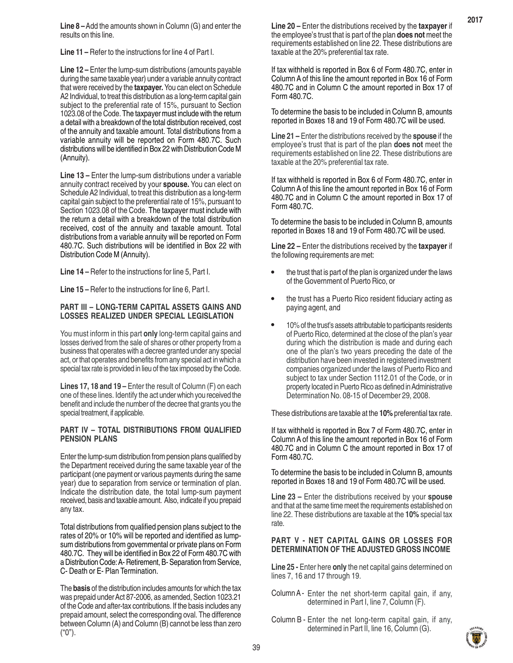**Line 8 –** Add the amounts shown in Column (G) and enter the results on this line.

**Line 11 –** Refer to the instructions for line 4 of Part I.

**Line 12 –** Enter the lump-sum distributions (amounts payable during the same taxable year) under a variable annuity contract that were received by the **taxpayer.** You can elect on Schedule A2 Individual, to treat this distribution as a long-term capital gain subject to the preferential rate of 15%, pursuant to Section 1023.08 of the Code. The taxpayer must include with the return a detail with a breakdown of the total distribution received, cost of the annuity and taxable amount. Total distributions from a variable annuity will be reported on Form 480.7C. Such distributions will be identified in Box 22 with Distribution Code M (Annuity).

**Line 13 –** Enter the lump-sum distributions under a variable annuity contract received by your **spouse.** You can elect on Schedule A2 Individual, to treat this distribution as a long-term capital gain subject to the preferential rate of 15%, pursuant to Section 1023.08 of the Code. The taxpayer must include with the return a detail with a breakdown of the total distribution received, cost of the annuity and taxable amount. Total distributions from a variable annuity will be reported on Form 480.7C. Such distributions will be identified in Box 22 with Distribution Code M (Annuity).

**Line 14 –** Refer to the instructions for line 5, Part I.

**Line 15 –** Refer to the instructions for line 6, Part I.

#### **PART III – LONG-TERM CAPITAL ASSETS GAINS AND LOSSES REALIZED UNDER SPECIAL LEGISLATION**

You must inform in this part **only** long-term capital gains and losses derived from the sale of shares or other property from a business that operates with a decree granted under any special act, or that operates and benefits from any special act in which a special tax rate is provided in lieu of the tax imposed by the Code.

Lines 17, 18 and 19 – Enter the result of Column (F) on each one of these lines. Identify the act under which you received the benefit and include the number of the decree that grants you the special treatment, if applicable.

#### **PART IV – TOTAL DISTRIBUTIONS FROM QUALIFIED PENSION PLANS**

Enter the lump-sum distribution from pension plans qualified by the Department received during the same taxable year of the participant (one payment or various payments during the same year) due to separation from service or termination of plan. Indicate the distribution date, the total lump-sum payment received, basis and taxable amount. Also, indicate if you prepaid any tax.

Total distributions from qualified pension plans subject to the rates of 20% or 10% will be reported and identified as lumpsum distributions from governmental or private plans on Form 480.7C. They will be identified in Box 22 of Form 480.7C with a Distribution Code: A- Retirement, B- Separation from Service, C- Death or E- Plan Termination.

The **basis** of the distribution includes amounts for which the tax was prepaid under Act 87-2006, as amended, Section 1023.21 of the Code and after-tax contributions. If the basis includes any prepaid amount, select the corresponding oval. The difference between Column (A) and Column (B) cannot be less than zero ("0").

**Line 20 –** Enter the distributions received by the **taxpayer** if the employee's trust that is part of the plan **does not** meet the requirements established on line 22. These distributions are taxable at the 20% preferential tax rate.

If tax withheld is reported in Box 6 of Form 480.7C, enter in Column A of this line the amount reported in Box 16 of Form 480.7C and in Column C the amount reported in Box 17 of Form 480.7C.

To determine the basis to be included in Column B, amounts reported in Boxes 18 and 19 of Form 480.7C will be used.

**Line 21 –** Enter the distributions received by the **spouse** if the employee's trust that is part of the plan **does not** meet the requirements established on line 22. These distributions are taxable at the 20% preferential tax rate.

If tax withheld is reported in Box 6 of Form 480.7C, enter in Column A of this line the amount reported in Box 16 of Form 480.7C and in Column C the amount reported in Box 17 of Form 480.7C.

To determine the basis to be included in Column B, amounts reported in Boxes 18 and 19 of Form 480.7C will be used.

**Line 22 –** Enter the distributions received by the **taxpayer** if the following requirements are met:

- the trust that is part of the plan is organized under the laws of the Government of Puerto Rico, or •
- the trust has a Puerto Rico resident fiduciary acting as paying agent, and •
- 10% of the trust's assets attributable to participants residents of Puerto Rico, determined at the close of the plan's year during which the distribution is made and during each one of the plan's two years preceding the date of the distribution have been invested in registered investment companies organized under the laws of Puerto Rico and subject to tax under Section 1112.01 of the Code, or in property located in Puerto Rico as defined in Administrative Determination No. 08-15 of December 29, 2008. •

These distributions are taxable at the **10%** preferential tax rate.

If tax withheld is reported in Box 7 of Form 480.7C, enter in Column A of this line the amount reported in Box 16 of Form 480.7C and in Column C the amount reported in Box 17 of Form 480.7C.

To determine the basis to be included in Column B, amounts reported in Boxes 18 and 19 of Form 480.7C will be used.

**Line 23 –** Enter the distributions received by your **spouse** and that at the same time meet the requirements established on line 22. These distributions are taxable at the **10%** special tax rate.

#### **PART V - NET CAPITAL GAINS OR LOSSES FOR DETERMINATION OF THE ADJUSTED GROSS INCOME**

**Line 25 -** Enter here **only** the net capital gains determined on lines 7, 16 and 17 through 19.

- Column A Enter the net short-term capital gain, if any, determined in Part I, line 7, Column (F).
- Column B Enter the net long-term capital gain, if any, determined in Part II, line 16, Column (G).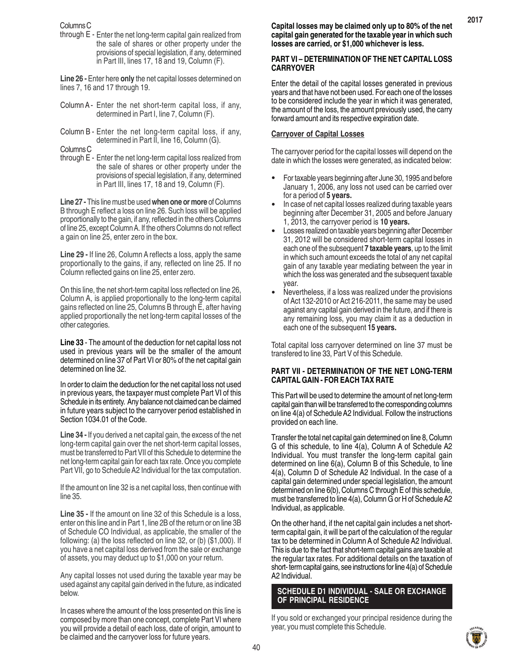Columns C

through E - Enter the net long-term capital gain realized from the sale of shares or other property under the provisions of special legislation, if any, determined in Part III, lines 17, 18 and 19, Column (F).

**Line 26 -** Enter here **only** the net capital losses determined on lines 7, 16 and 17 through 19.

- Column A Enter the net short-term capital loss, if any, determined in Part I, line 7, Column (F).
- Column B Enter the net long-term capital loss, if any, determined in Part II, line 16, Column (G).

Columns C

through E - Enter the net long-term capital loss realized from the sale of shares or other property under the provisions of special legislation, if any, determined in Part III, lines 17, 18 and 19, Column (F).

**Line 27 -** This line must be used **when one or more** of Columns B through E reflect a loss on line 26. Such loss will be applied proportionally to the gain, if any, reflected in the others Columns of line 25, except Column A. If the others Columns do not reflect a gain on line 25, enter zero in the box.

**Line 29 -** If line 26, Column A reflects a loss, apply the same proportionally to the gains, if any, reflected on line 25. If no Column reflected gains on line 25, enter zero.

On this line, the net short-term capital loss reflected on line 26, Column A, is applied proportionally to the long-term capital gains reflected on line 25, Columns B through E, after having applied proportionally the net long-term capital losses of the other categories.

**Line 33** - The amount of the deduction for net capital loss not used in previous years will be the smaller of the amount determined on line 37 of Part VI or 80% of the net capital gain determined on line 32.

In order to claim the deduction for the net capital loss not used in previous years, the taxpayer must complete Part VI of this Schedule in its entirety. Any balance not claimed can be claimed in future years subject to the carryover period established in Section 1034.01 of the Code.

**Line 34 -** If you derived a net capital gain, the excess of the net long-term capital gain over the net short-term capital losses, must be transferred to Part VII of this Schedule to determine the net long-term capital gain for each tax rate. Once you complete Part VII, go to Schedule A2 Individual for the tax computation.

If the amount on line 32 is a net capital loss, then continue with line 35.

**Line 35 -** If the amount on line 32 of this Schedule is a loss, enter on this line and in Part 1, line 2B of the return or on line 3B of Schedule CO Individual, as applicable, the smaller of the following: (a) the loss reflected on line 32, or (b) (\$1,000). If you have a net capital loss derived from the sale or exchange of assets, you may deduct up to \$1,000 on your return.

Any capital losses not used during the taxable year may be used against any capital gain derived in the future, as indicated below.

In cases where the amount of the loss presented on this line is composed by more than one concept, complete Part VI where you will provide a detail of each loss, date of origin, amount to be claimed and the carryover loss for future years.

#### **PART VI – DETERMINATION OF THE NET CAPITAL LOSS CARRYOVER**

Enter the detail of the capital losses generated in previous years and that have not been used. For each one of the losses to be considered include the year in which it was generated, the amount of the loss, the amount previously used, the carry forward amount and its respective expiration date.

# **Carryover of Capital Losses**

The carryover period for the capital losses will depend on the date in which the losses were generated, as indicated below:

- For taxable years beginning after June 30, 1995 and before January 1, 2006, any loss not used can be carried over for a period of **5 years.** •
- In case of net capital losses realized during taxable years beginning after December 31, 2005 and before January 1, 2013, the carryover period is **10 years.** •
- Losses realized on taxable years beginning after December 31, 2012 will be considered short-term capital losses in each one of the subsequent **7 taxable years**, up to the limit in which such amount exceeds the total of any net capital gain of any taxable year mediating between the year in which the loss was generated and the subsequent taxable year. •
- Nevertheless, if a loss was realized under the provisions of Act 132-2010 or Act 216-2011, the same may be used against any capital gain derived in the future, and if there is any remaining loss, you may claim it as a deduction in each one of the subsequent **15 years.** •

Total capital loss carryover determined on line 37 must be transfered to line 33, Part V of this Schedule.

#### **PART VII - DETERMINATION OF THE NET LONG-TERM CAPITAL GAIN - FOR EACH TAX RATE**

This Part will be used to determine the amount of net long-term capital gain than will be transferred to the corresponding columns on line 4(a) of Schedule A2 Individual. Follow the instructions provided on each line.

Transfer the total net capital gain determined on line 8, Column G of this schedule, to line 4(a), Column A of Schedule A2 Individual. You must transfer the long-term capital gain determined on line 6(a), Column B of this Schedule, to line 4(a), Column D of Schedule A2 Individual. In the case of a capital gain determined under special legislation, the amount determined on line 6(b), Columns C through E of this schedule, must be transferred to line 4(a), Column G or H of Schedule A2 Individual, as applicable.

On the other hand, if the net capital gain includes a net shortterm capital gain, it will be part of the calculation of the regular tax to be determined in Column A of Schedule A2 Individual. This is due to the fact that short-term capital gains are taxable at the regular tax rates. For additional details on the taxation of short- term capital gains, see instructions for line 4(a) of Schedule A2 Individual.

#### **SCHEDULE D1 INDIVIDUAL - SALE OR EXCHANGE OF PRINCIPAL RESIDENCE**

If you sold or exchanged your principal residence during the year, you must complete this Schedule.

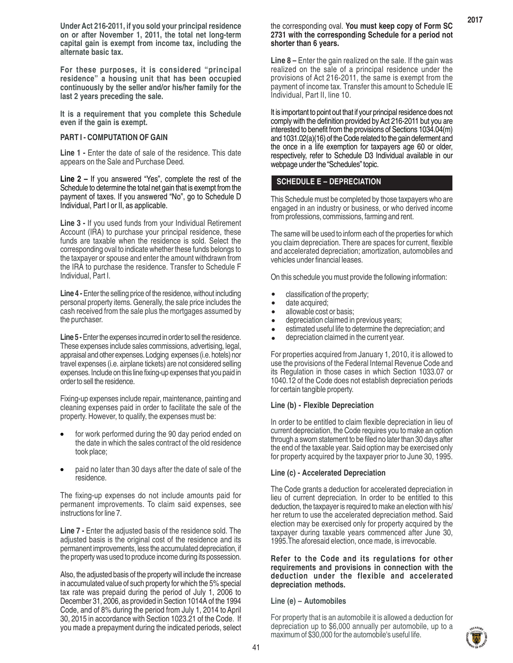**Under Act 216-2011, if you sold your principal residence on or after November 1, 2011, the total net long-term capital gain is exempt from income tax, including the alternate basic tax.**

**For these purposes, it is considered "principal residence" a housing unit that has been occupied continuously by the seller and/or his/her family for the last 2 years preceding the sale.**

**It is a requirement that you complete this Schedule even if the gain is exempt.**

#### **PART I - COMPUTATION OF GAIN**

Line 1 - Enter the date of sale of the residence. This date appears on the Sale and Purchase Deed.

**Line 2 –** If you answered "Yes", complete the rest of the Schedule to determine the total net gain that is exempt from the payment of taxes. If you answered "No", go to Schedule D Individual, Part I or II, as applicable.

**Line 3 -** If you used funds from your Individual Retirement Account (IRA) to purchase your principal residence, these funds are taxable when the residence is sold. Select the corresponding oval to indicate whether these funds belongs to the taxpayer or spouse and enter the amount withdrawn from the IRA to purchase the residence. Transfer to Schedule F Individual, Part I.

**Line 4 - Enter the selling price of the residence, without including** personal property items. Generally, the sale price includes the cash received from the sale plus the mortgages assumed by the purchaser.

Line 5 - Enter the expenses incurred in order to sell the residence. These expenses include sales commissions, advertising, legal, appraisal and other expenses. Lodging expenses (i.e. hotels) nor travel expenses (i.e. airplane tickets) are not considered selling expenses. Include on this line fixing-up expenses that you paid in order to sell the residence.

Fixing-up expenses include repair, maintenance, painting and cleaning expenses paid in order to facilitate the sale of the property. However, to qualify, the expenses must be:

- for work performed during the 90 day period ended on the date in which the sales contract of the old residence took place; •
- paid no later than 30 days after the date of sale of the residence. •

The fixing-up expenses do not include amounts paid for permanent improvements. To claim said expenses, see instructions for line 7.

**Line 7 - Enter the adjusted basis of the residence sold. The** adjusted basis is the original cost of the residence and its permanent improvements, less the accumulated depreciation, if the property was used to produce income during its possession.

Also, the adjusted basis of the property will include the increase in accumulated value of such property for which the 5% special tax rate was prepaid during the period of July 1, 2006 to December 31, 2006, as provided in Section 1014A of the 1994 Code, and of 8% during the period from July 1, 2014 to April 30, 2015 in accordance with Section 1023.21 of the Code. If you made a prepayment during the indicated periods, select **2017**

**Line 8 –** Enter the gain realized on the sale. If the gain was realized on the sale of a principal residence under the provisions of Act 216-2011, the same is exempt from the payment of income tax. Transfer this amount to Schedule IE Individual, Part II, line 10.

It is important to point out that if your principal residence does not comply with the definition provided by Act 216-2011 but you are interested to benefit from the provisions of Sections 1034.04(m) and 1031.02(a)(16) of the Code related to the gain deferment and the once in a life exemption for taxpayers age 60 or older, respectively, refer to Schedule D3 Individual available in our webpage under the "Schedules" topic.

# **SCHEDULE E – DEPRECIATION**

This Schedule must be completed by those taxpayers who are engaged in an industry or business, or who derived income from professions, commissions, farming and rent.

The same will be used to inform each of the properties for which you claim depreciation. There are spaces for current, flexible and accelerated depreciation; amortization, automobiles and vehicles under financial leases.

On this schedule you must provide the following information:

- classification of the property; •
- date acquired; •
- allowable cost or basis; •
- depreciation claimed in previous years; •
- estimated useful life to determine the depreciation; and •
- depreciation claimed in the current year. •

For properties acquired from January 1, 2010, it is allowed to use the provisions of the Federal Internal Revenue Code and its Regulation in those cases in which Section 1033.07 or 1040.12 of the Code does not establish depreciation periods for certain tangible property.

#### **Line (b) - Flexible Depreciation**

In order to be entitled to claim flexible depreciation in lieu of current depreciation, the Code requires you to make an option through a sworn statement to be filed no later than 30 days after the end of the taxable year. Said option may be exercised only for property acquired by the taxpayer prior to June 30, 1995.

#### **Line (c) - Accelerated Depreciation**

The Code grants a deduction for accelerated depreciation in lieu of current depreciation. In order to be entitled to this deduction, the taxpayer is required to make an election with his/ her return to use the accelerated depreciation method. Said election may be exercised only for property acquired by the taxpayer during taxable years commenced after June 30, 1995.The aforesaid election, once made, is irrevocable.

**Refer to the Code and its regulations for other requirements and provisions in connection with the deduction under the flexible and accelerated depreciation methods.**

#### **Line (e) – Automobiles**

For property that is an automobile it is allowed a deduction for depreciation up to \$6,000 annually per automobile, up to a maximum of \$30,000 for the automobile's useful life.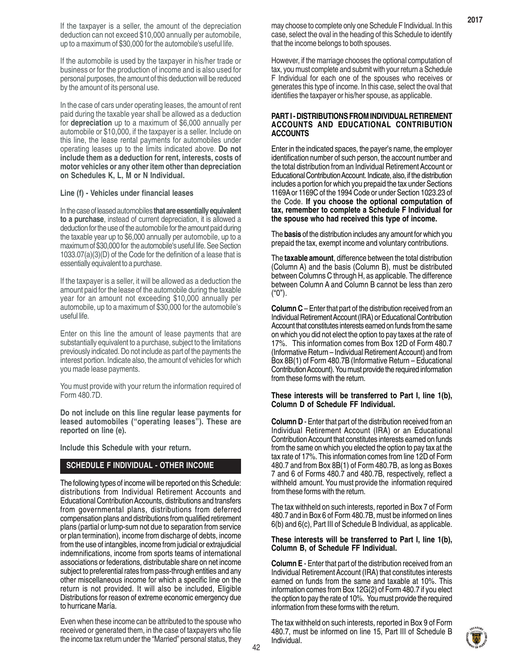If the taxpayer is a seller, the amount of the depreciation deduction can not exceed \$10,000 annually per automobile, up to a maximum of \$30,000 for the automobile's useful life.

If the automobile is used by the taxpayer in his/her trade or business or for the production of income and is also used for personal purposes, the amount of this deduction will be reduced by the amount of its personal use.

In the case of cars under operating leases, the amount of rent paid during the taxable year shall be allowed as a deduction for **depreciation** up to a maximum of \$6,000 annually per automobile or \$10,000, if the taxpayer is a seller. Include on this line, the lease rental payments for automobiles under operating leases up to the limits indicated above. **Do not include them as a deduction for rent, interests, costs of motor vehicles or any other item other than depreciation on Schedules K, L, M or N Individual.**

#### **Line (f) - Vehicles under financial leases**

In the case of leased automobiles **that are essentially equivalent to a purchase**, instead of current depreciation, it is allowed a deduction for the use of the automobile for the amount paid during the taxable year up to \$6,000 annually per automobile, up to a maximum of \$30,000 for the automobile's useful life. See Section 1033.07(a)(3)(D) of the Code for the definition of a lease that is essentially equivalent to a purchase.

If the taxpayer is a seller, it will be allowed as a deduction the amount paid for the lease of the automobile during the taxable year for an amount not exceeding \$10,000 annually per automobile, up to a maximum of \$30,000 for the automobile's useful life.

Enter on this line the amount of lease payments that are substantially equivalent to a purchase, subject to the limitations previously indicated. Do not include as part of the payments the interest portion. Indicate also, the amount of vehicles for which you made lease payments.

You must provide with your return the information required of Form 480.7D.

**Do not include on this line regular lease payments for leased automobiles ("operating leases"). These are reported on line (e).**

**Include this Schedule with your return.**

## **SCHEDULE F INDIVIDUAL - OTHER INCOME**

The following types of income will be reported on this Schedule: distributions from Individual Retirement Accounts and Educational Contribution Accounts, distributions and transfers from governmental plans, distributions from deferred compensation plans and distributions from qualified retirement plans (partial or lump-sum not due to separation from service or plan termination), income from discharge of debts, income from the use of intangibles, income from judicial or extrajudicial indemnifications, income from sports teams of international associations or federations, distributable share on net income subject to preferential rates from pass-through entities and any other miscellaneous income for which a specific line on the return is not provided. It will also be included, Eligible Distributions for reason of extreme economic emergency due to hurricane María.

Even when these income can be attributed to the spouse who received or generated them, in the case of taxpayers who file the income tax return under the "Married" personal status, they may choose to complete only one Schedule F Individual. In this case, select the oval in the heading of this Schedule to identify that the income belongs to both spouses.

However, if the marriage chooses the optional computation of tax, you must complete and submit with your return a Schedule F Individual for each one of the spouses who receives or generates this type of income. In this case, select the oval that identifies the taxpayer or his/her spouse, as applicable.

#### **PART I - DISTRIBUTIONS FROM INDIVIDUAL RETIREMENT ACCOUNTS AND EDUCATIONAL CONTRIBUTION ACCOUNTS**

Enter in the indicated spaces, the payer's name, the employer identification number of such person, the account number and the total distribution from an Individual Retirement Account or Educational Contribution Account. Indicate, also, if the distribution includes a portion for which you prepaid the tax under Sections 1169A or 1169C of the 1994 Code or under Section 1023.23 of the Code. **If you choose the optional computation of tax, remember to complete a Schedule F Individual for the spouse who had received this type of income.**

The **basis** of the distribution includes any amount for which you prepaid the tax, exempt income and voluntary contributions.

The **taxable amount**, difference between the total distribution (Column A) and the basis (Column B), must be distributed between Columns C through H, as applicable. The difference between Column A and Column B cannot be less than zero ("0").

**Column C** – Enter that part of the distribution received from an Individual Retirement Account (IRA) or Educational Contribution Account that constitutes interests earned on funds from the same on which you did not elect the option to pay taxes at the rate of 17%. This information comes from Box 12D of Form 480.7 (Informative Return – Individual Retirement Account) and from Box 8B(1) of Form 480.7B (Informative Return – Educational Contribution Account). You must provide the required information from these forms with the return.

#### **These interests will be transferred to Part I, line 1(b), Column D of Schedule FF Individual.**

**Column D** - Enter that part of the distribution received from an Individual Retirement Account (IRA) or an Educational Contribution Account that constitutes interests earned on funds from the same on which you elected the option to pay tax at the tax rate of 17%. This information comes from line 12D of Form 480.7 and from Box 8B(1) of Form 480.7B, as long as Boxes 7 and 6 of Forms 480.7 and 480.7B, respectively, reflect a withheld amount. You must provide the information required from these forms with the return.

The tax withheld on such interests, reported in Box 7 of Form 480.7 and in Box 6 of Form 480.7B, must be informed on lines 6(b) and 6(c), Part III of Schedule B Individual, as applicable.

#### **These interests will be transferred to Part I, line 1(b), Column B, of Schedule FF Individual.**

**Column E** - Enter that part of the distribution received from an Individual Retirement Account (IRA) that constitutes interests earned on funds from the same and taxable at 10%. This information comes from Box 12G(2) of Form 480.7 if you elect the option to pay the rate of 10%. You must provide the required information from these forms with the return.

The tax withheld on such interests, reported in Box 9 of Form 480.7, must be informed on line 15, Part III of Schedule B Individual.

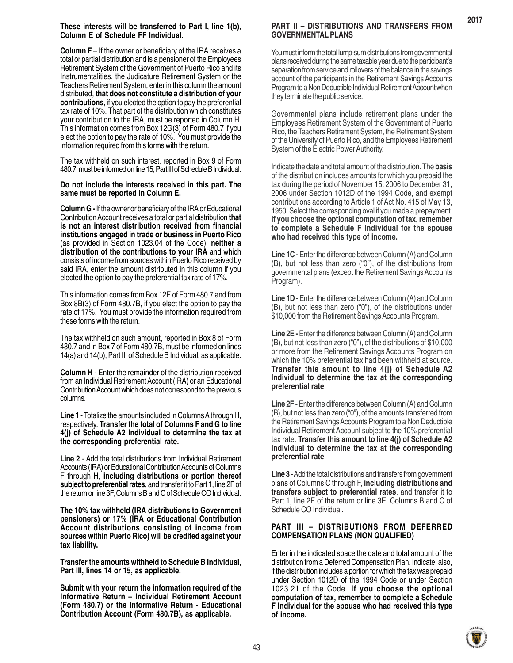**Column F** – If the owner or beneficiary of the IRA receives a total or partial distribution and is a pensioner of the Employees Retirement System of the Government of Puerto Rico and its Instrumentalities, the Judicature Retirement System or the Teachers Retirement System, enter in this column the amount distributed, **that does not constitute a distribution of your contributions**, if you elected the option to pay the preferential tax rate of 10%. That part of the distribution which constitutes your contribution to the IRA, must be reported in Column H. This information comes from Box 12G(3) of Form 480.7 if you elect the option to pay the rate of 10%. You must provide the information required from this forms with the return.

The tax withheld on such interest, reported in Box 9 of Form 480.7, must be informed on line 15, Part III of Schedule B Individual.

#### **Do not include the interests received in this part. The same must be reported in Column E.**

**Column G -** If the owner or beneficiary of the IRA or Educational Contribution Account receives a total or partial distribution **that is not an interest distribution received from financial institutions engaged in trade or business in Puerto Rico** (as provided in Section 1023.04 of the Code), **neither a distribution of the contributions to your IRA** and which consists of income from sources within Puerto Rico received by said IRA, enter the amount distributed in this column if you elected the option to pay the preferential tax rate of 17%.

This information comes from Box 12E of Form 480.7 and from Box 8B(3) of Form 480.7B, if you elect the option to pay the rate of 17%. You must provide the information required from these forms with the return.

The tax withheld on such amount, reported in Box 8 of Form 480.7 and in Box 7 of Form 480.7B, must be informed on lines 14(a) and 14(b), Part III of Schedule B Individual, as applicable.

**Column H** - Enter the remainder of the distribution received from an Individual Retirement Account (IRA) or an Educational Contribution Account which does not correspond to the previous columns.

**Line 1** - Totalize the amounts included in Columns A through H, respectively. **Transfer the total of Columns F and G to line 4(j) of Schedule A2 Individual to determine the tax at the corresponding preferential rate.**

**Line 2** - Add the total distributions from Individual Retirement Accounts (IRA) or Educational Contribution Accounts of Columns F through H, **including distributions or portion thereof subject to preferential rates**, and transfer it to Part 1, line 2F of the return or line 3F, Columns B and C of Schedule CO Individual.

**The 10% tax withheld (IRA distributions to Government pensioners) or 17% (IRA or Educational Contribution Account distributions consisting of income from sources within Puerto Rico) will be credited against your tax liability.**

**Transfer the amounts withheld to Schedule B Individual, Part III, lines 14 or 15, as applicable.**

**Submit with your return the information required of the Informative Return – Individual Retirement Account (Form 480.7) or the Informative Return - Educational Contribution Account (Form 480.7B), as applicable.**

# **PART II – DISTRIBUTIONS AND TRANSFERS FROM GOVERNMENTAL PLANS**

**2017**

You must inform the total lump-sum distributions from governmental plans received during the same taxable year due to the participant's separation from service and rollovers of the balance in the savings account of the participants in the Retirement Savings Accounts Program to a Non Deductible Individual Retirement Account when they terminate the public service.

Governmental plans include retirement plans under the Employees Retirement System of the Government of Puerto Rico, the Teachers Retirement System, the Retirement System of the University of Puerto Rico, and the Employees Retirement System of the Electric Power Authority.

Indicate the date and total amount of the distribution. The **basis** of the distribution includes amounts for which you prepaid the tax during the period of November 15, 2006 to December 31, 2006 under Section 1012D of the 1994 Code, and exempt contributions according to Article 1 of Act No. 415 of May 13, 1950. Select the corresponding oval if you made a prepayment. **If you choose the optional computation of tax, remember to complete a Schedule F Individual for the spouse who had received this type of income.**

**Line 1C - Enter the difference between Column (A) and Column** (B), but not less than zero ("0"), of the distributions from governmental plans (except the Retirement Savings Accounts Program).

**Line 1D - Enter the difference between Column (A) and Column** (B), but not less than zero ("0"), of the distributions under \$10,000 from the Retirement Savings Accounts Program.

**Line 2E -** Enter the difference between Column (A) and Column (B), but not less than zero ("0"), of the distributions of \$10,000 or more from the Retirement Savings Accounts Program on which the 10% preferential tax had been withheld at source. **Transfer this amount to line 4(j) of Schedule A2 Individual to determine the tax at the corresponding preferential rate**.

**Line 2F -** Enter the difference between Column (A) and Column (B), but not less than zero ("0"), of the amounts transferred from the Retirement Savings Accounts Program to a Non Deductible Individual Retirement Account subject to the 10% preferential tax rate. **Transfer this amount to line 4(j) of Schedule A2 Individual to determine the tax at the corresponding preferential rate**.

**Line 3** - Add the total distributions and transfers from government plans of Columns C through F, **including distributions and transfers subject to preferential rates**, and transfer it to Part 1, line 2E of the return or line 3E, Columns B and C of Schedule CO Individual.

#### **PART III – DISTRIBUTIONS FROM DEFERRED COMPENSATION PLANS (NON QUALIFIED)**

Enter in the indicated space the date and total amount of the distribution from a Deferred Compensation Plan. Indicate, also, if the distribution includes a portion for which the tax was prepaid under Section 1012D of the 1994 Code or under Section 1023.21 of the Code. **If you choose the optional computation of tax, remember to complete a Schedule F Individual for the spouse who had received this type of income.**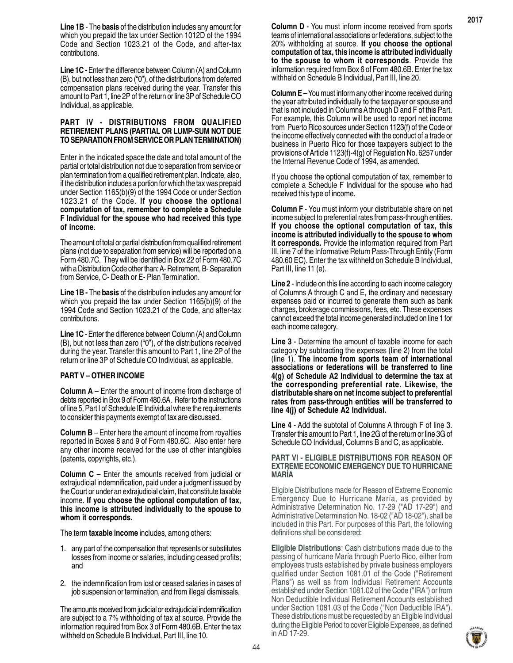**Line 1B** - The **basis** of the distribution includes any amount for which you prepaid the tax under Section 1012D of the 1994 Code and Section 1023.21 of the Code, and after-tax contributions.

**Line 1C - Enter the difference between Column (A) and Column** (B), but not less than zero ("0"), of the distributions from deferred compensation plans received during the year. Transfer this amount to Part 1, line 2P of the return or line 3P of Schedule CO Individual, as applicable.

#### **PART IV - DISTRIBUTIONS FROM QUALIFIED RETIREMENT PLANS (PARTIAL OR LUMP-SUM NOT DUE TO SEPARATION FROM SERVICE OR PLAN TERMINATION)**

Enter in the indicated space the date and total amount of the partial or total distribution not due to separation from service or plan termination from a qualified retirement plan. Indicate, also, if the distribution includes a portion for which the tax was prepaid under Section 1165(b)(9) of the 1994 Code or under Section 1023.21 of the Code. **If you choose the optional computation of tax, remember to complete a Schedule F Individual for the spouse who had received this type of income**.

The amount of total or partial distribution from qualified retirement plans (not due to separation from service) will be reported on a Form 480.7C. They will be identified in Box 22 of Form 480.7C with a Distribution Code other than: A- Retirement, B- Separation from Service, C- Death or E- Plan Termination.

**Line 1B -** The **basis** of the distribution includes any amount for which you prepaid the tax under Section 1165(b)(9) of the 1994 Code and Section 1023.21 of the Code, and after-tax contributions.

**Line 1C** - Enter the difference between Column (A) and Column (B), but not less than zero ("0"), of the distributions received during the year. Transfer this amount to Part 1, line 2P of the return or line 3P of Schedule CO Individual, as applicable.

#### **PART V – OTHER INCOME**

**Column A** – Enter the amount of income from discharge of debts reported in Box 9 of Form 480.6A. Refer to the instructions of line 5, Part I of Schedule IE Individual where the requirements to consider this payments exempt of tax are discussed.

**Column B** – Enter here the amount of income from royalties reported in Boxes 8 and 9 of Form 480.6C. Also enter here any other income received for the use of other intangibles (patents, copyrights, etc.).

**Column C** – Enter the amounts received from judicial or extrajudicial indemnification, paid under a judgment issued by the Court or under an extrajudicial claim, that constitute taxable income. **If you choose the optional computation of tax, this income is attributed individually to the spouse to whom it corresponds.**

The term **taxable income** includes, among others:

- 1. any part of the compensation that represents or substitutes losses from income or salaries, including ceased profits; and
- 2. the indemnification from lost or ceased salaries in cases of job suspension or termination, and from illegal dismissals.

The amounts received from judicial or extrajudicial indemnification are subject to a 7% withholding of tax at source. Provide the information required from Box 3 of Form 480.6B. Enter the tax withheld on Schedule B Individual, Part III, line 10.

**Column D** - You must inform income received from sports teams of international associations or federations, subject to the 20% withholding at source. **If you choose the optional computation of tax, this income is attributed individually to the spouse to whom it corresponds**. Provide the information required from Box 6 of Form 480.6B. Enter the tax withheld on Schedule B Individual, Part III, line 20.

**Column E** – You must inform any other income received during the year attributed individually to the taxpayer or spouse and that is not included in Columns A through D and F of this Part. For example, this Column will be used to report net income from Puerto Rico sources under Section 1123(f) of the Code or the income effectively connected with the conduct of a trade or business in Puerto Rico for those taxpayers subject to the provisions of Article 1123(f)-4(g) of Regulation No. 6257 under the Internal Revenue Code of 1994, as amended.

If you choose the optional computation of tax, remember to complete a Schedule F Individual for the spouse who had received this type of income.

**Column F** - You must inform your distributable share on net income subject to preferential rates from pass-through entities. **If you choose the optional computation of tax, this income is attributed individually to the spouse to whom it corresponds.** Provide the information required from Part III, line 7 of the Informative Return Pass-Through Entity (Form 480.60 EC). Enter the tax withheld on Schedule B Individual, Part III, line 11 (e).

**Line 2** - Include on this line according to each income category of Columns A through C and E, the ordinary and necessary expenses paid or incurred to generate them such as bank charges, brokerage commissions, fees, etc. These expenses cannot exceed the total income generated included on line 1 for each income category.

**Line 3** - Determine the amount of taxable income for each category by subtracting the expenses (line 2) from the total (line 1). **The income from sports team of international associations or federations will be transferred to line 4(g) of Schedule A2 Individual to determine the tax at the corresponding preferential rate. Likewise, the distributable share on net income subject to preferential rates from pass-through entities will be transferred to line 4(j) of Schedule A2 Individual.**

**Line 4** - Add the subtotal of Columns A through F of line 3. Transfer this amount to Part 1, line 2G of the return or line 3G of Schedule CO Individual, Columns B and C, as applicable.

#### **PART VI - ELIGIBLE DISTRIBUTIONS FOR REASON OF EXTREME ECONOMIC EMERGENCY DUE TO HURRICANE MARÍA**

Eligible Distributions made for Reason of Extreme Economic Emergency Due to Hurricane María, as provided by Administrative Determination No. 17-29 ("AD 17-29") and Administrative Determination No. 18-02 ("AD 18-02"), shall be included in this Part. For purposes of this Part, the following definitions shall be considered:

**Eligible Distributions**: Cash distributions made due to the passing of hurricane María through Puerto Rico, either from employees trusts established by private business employers qualified under Section 1081.01 of the Code ("Retirement Plans") as well as from Individual Retirement Accounts established under Section 1081.02 of the Code ("IRA") or from Non Deductible Individual Retirement Accounts established under Section 1081.03 of the Code ("Non Deductible IRA"). These distributions must be requested by an Eligible Individual during the Eligible Period to cover Eligible Expenses, as defined in AD 17-29.

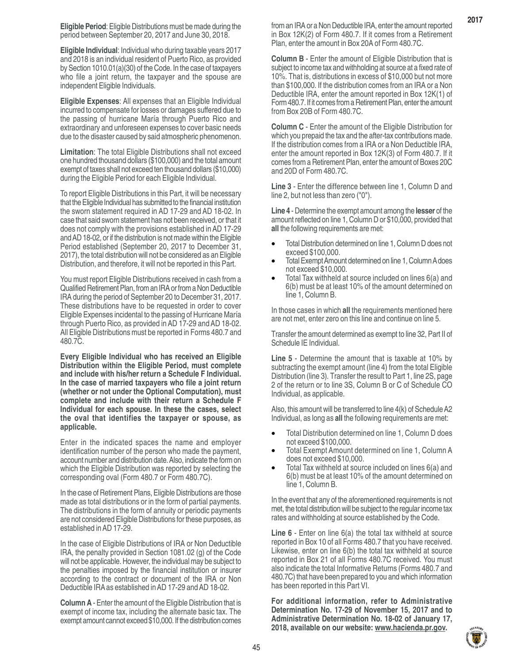**Eligible Individual**: Individual who during taxable years 2017 and 2018 is an individual resident of Puerto Rico, as provided by Section 1010.01(a)(30) of the Code. In the case of taxpayers who file a joint return, the taxpayer and the spouse are independent Eligible Individuals.

**Eligible Expenses**: All expenses that an Eligible Individual incurred to compensate for losses or damages suffered due to the passing of hurricane María through Puerto Rico and extraordinary and unforeseen expenses to cover basic needs due to the disaster caused by said atmospheric phenomenon.

**Limitation**: The total Eligible Distributions shall not exceed one hundred thousand dollars (\$100,000) and the total amount exempt of taxes shall not exceed ten thousand dollars (\$10,000) during the Eligible Period for each Eligible Individual.

To report Eligible Distributions in this Part, it will be necessary that the Eligible Individual has submitted to the financial institution the sworn statement required in AD 17-29 and AD 18-02. In case that said sworn statement has not been received, or that it does not comply with the provisions established in AD 17-29 and AD 18-02, or if the distribution is not made within the Eligible Period established (September 20, 2017 to December 31, 2017), the total distribution will not be considered as an Eligible Distribution, and therefore, it will not be reported in this Part.

You must report Eligible Distributions received in cash from a Qualified Retirement Plan, from an IRA or from a Non Deductible IRA during the period of September 20 to December 31, 2017. These distributions have to be requested in order to cover Eligible Expenses incidental to the passing of Hurricane María through Puerto Rico, as provided in AD 17-29 and AD 18-02. All Eligible Distributions must be reported in Forms 480.7 and 480.7C.

**Every Eligible Individual who has received an Eligible Distribution within the Eligible Period, must complete and include with his/her return a Schedule F Individual. In the case of married taxpayers who file a joint return (whether or not under the Optional Computation), must complete and include with their return a Schedule F Individual for each spouse. In these the cases, select the oval that identifies the taxpayer or spouse, as applicable.**

Enter in the indicated spaces the name and employer identification number of the person who made the payment, account number and distribution date. Also, indicate the form on which the Eligible Distribution was reported by selecting the corresponding oval (Form 480.7 or Form 480.7C).

In the case of Retirement Plans, Eligible Distributions are those made as total distributions or in the form of partial payments. The distributions in the form of annuity or periodic payments are not considered Eligible Distributions for these purposes, as established in AD 17-29.

In the case of Eligible Distributions of IRA or Non Deductible IRA, the penalty provided in Section 1081.02 (g) of the Code will not be applicable. However, the individual may be subject to the penalties imposed by the financial institution or insurer according to the contract or document of the IRA or Non Deductible IRA as established in AD 17-29 and AD 18-02.

**Column A** - Enter the amount of the Eligible Distribution that is exempt of income tax, including the alternate basic tax. The exempt amount cannot exceed \$10,000. If the distribution comes from an IRA or a Non Deductible IRA, enter the amount reported in Box 12K(2) of Form 480.7. If it comes from a Retirement Plan, enter the amount in Box 20A of Form 480.7C.

**Column B** - Enter the amount of Eligible Distribution that is subject to income tax and withholding at source at a fixed rate of 10%. That is, distributions in excess of \$10,000 but not more than \$100,000. If the distribution comes from an IRA or a Non Deductible IRA, enter the amount reported in Box 12K(1) of Form 480.7. If it comes from a Retirement Plan, enter the amount from Box 20B of Form 480.7C.

**Column C** - Enter the amount of the Eligible Distribution for which you prepaid the tax and the after-tax contributions made. If the distribution comes from a IRA or a Non Deductible IRA, enter the amount reported in Box 12K(3) of Form 480.7. If it comes from a Retirement Plan, enter the amount of Boxes 20C and 20D of Form 480.7C.

**Line 3** - Enter the difference between line 1, Column D and line 2, but not less than zero ("0").

**Line 4** - Determine the exempt amount among the **lesser** of the amount reflected on line 1, Column D or \$10,000, provided that **all** the following requirements are met:

- Total Distribution determined on line 1, Column D does not exceed \$100,000.
- Total Exempt Amount determined on line 1, Column A does not exceed \$10,000.
- Total Tax withheld at source included on lines 6(a) and 6(b) must be at least 10% of the amount determined on line 1, Column B.

In those cases in which **all** the requirements mentioned here are not met, enter zero on this line and continue on line 5.

Transfer the amount determined as exempt to line 32, Part II of Schedule IE Individual.

**Line 5** - Determine the amount that is taxable at 10% by subtracting the exempt amount (line 4) from the total Eligible Distribution (line 3). Transfer the result to Part 1, line 2S, page 2 of the return or to line 3S, Column B or C of Schedule CO Individual, as applicable.

Also, this amount will be transferred to line 4(k) of Schedule A2 Individual, as long as **all** the following requirements are met:

- Total Distribution determined on line 1, Column D does not exceed \$100,000.
- Total Exempt Amount determined on line 1, Column A does not exceed \$10,000.
- Total Tax withheld at source included on lines 6(a) and 6(b) must be at least 10% of the amount determined on line 1, Column B.

In the event that any of the aforementioned requirements is not met, the total distribution will be subject to the regular income tax rates and withholding at source established by the Code.

**Line 6** - Enter on line 6(a) the total tax withheld at source reported in Box 10 of all Forms 480.7 that you have received. Likewise, enter on line 6(b) the total tax withheld at source reported in Box 21 of all Forms 480.7C received. You must also indicate the total Informative Returns (Forms 480.7 and 480.7C) that have been prepared to you and which information has been reported in this Part VI.

**For additional information, refer to Administrative Determination No. 17-29 of November 15, 2017 and to Administrative Determination No. 18-02 of January 17, 2018, available on our website: www.hacienda.pr.gov.**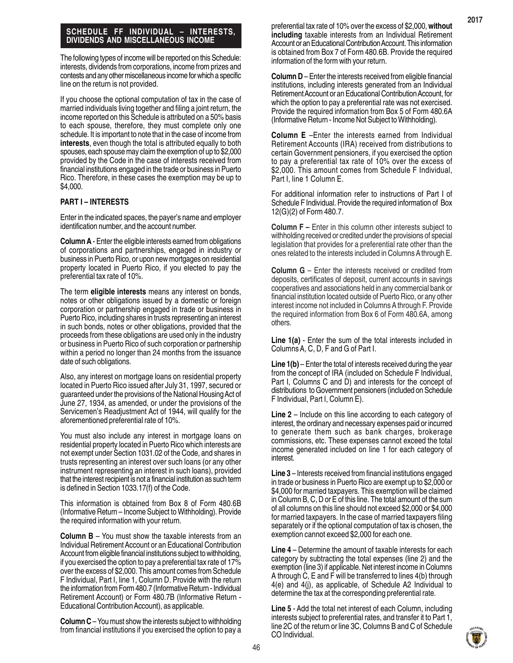#### **SCHEDULE FF INDIVIDUAL – INTERESTS, DIVIDENDS AND MISCELLANEOUS INCOME**

The following types of income will be reported on this Schedule: interests, dividends from corporations, income from prizes and contests and any other miscellaneous income for which a specific line on the return is not provided.

If you choose the optional computation of tax in the case of married individuals living together and filing a joint return, the income reported on this Schedule is attributed on a 50% basis to each spouse, therefore, they must complete only one schedule. It is important to note that in the case of income from **interests**, even though the total is attributed equally to both spouses, each spouse may claim the exemption of up to \$2,000 provided by the Code in the case of interests received from financial institutions engaged in the trade or business in Puerto Rico. Therefore, in these cases the exemption may be up to \$4,000.

#### **PART I – INTERESTS**

Enter in the indicated spaces, the payer's name and employer identification number, and the account number.

**Column A** - Enter the eligible interests earned from obligations of corporations and partnerships, engaged in industry or business in Puerto Rico, or upon new mortgages on residential property located in Puerto Rico, if you elected to pay the preferential tax rate of 10%.

The term **eligible interests** means any interest on bonds, notes or other obligations issued by a domestic or foreign corporation or partnership engaged in trade or business in Puerto Rico, including shares in trusts representing an interest in such bonds, notes or other obligations, provided that the proceeds from these obligations are used only in the industry or business in Puerto Rico of such corporation or partnership within a period no longer than 24 months from the issuance date of such obligations.

Also, any interest on mortgage loans on residential property located in Puerto Rico issued after July 31, 1997, secured or guaranteed under the provisions of the National Housing Act of June 27, 1934, as amended, or under the provisions of the Servicemen's Readjustment Act of 1944, will qualify for the aforementioned preferential rate of 10%.

You must also include any interest in mortgage loans on residential property located in Puerto Rico which interests are not exempt under Section 1031.02 of the Code, and shares in trusts representing an interest over such loans (or any other instrument representing an interest in such loans), provided that the interest recipient is not a financial institution as such term is defined in Section 1033.17(f) of the Code.

This information is obtained from Box 8 of Form 480.6B (Informative Return – Income Subject to Withholding). Provide the required information with your return.

**Column B** – You must show the taxable interests from an Individual Retirement Account or an Educational Contribution Account from eligible financial institutions subject to withholding, if you exercised the option to pay a preferential tax rate of 17% over the excess of \$2,000. This amount comes from Schedule F Individual, Part I, line 1, Column D. Provide with the return the information from Form 480.7 (Informative Return - Individual Retirement Account) or Form 480.7B (Informative Return - Educational Contribution Account), as applicable.

**Column C** – You must show the interests subject to withholding from financial institutions if you exercised the option to pay a preferential tax rate of 10% over the excess of \$2,000, **without including** taxable interests from an Individual Retirement Account or an Educational Contribution Account. This information is obtained from Box 7 of Form 480.6B. Provide the required information of the form with your return.

**Column D** – Enter the interests received from eligible financial institutions, including interests generated from an Individual Retirement Account or an Educational Contribution Account, for which the option to pay a preferential rate was not exercised. Provide the required information from Box 5 of Form 480.6A (Informative Return - Income Not Subject to Withholding).

**Column E** –Enter the interests earned from Individual Retirement Accounts (IRA) received from distributions to certain Government pensioners, if you exercised the option to pay a preferential tax rate of 10% over the excess of \$2,000. This amount comes from Schedule F Individual, Part I, line 1 Column E.

For additional information refer to instructions of Part I of Schedule F Individual. Provide the required information of Box 12(G)(2) of Form 480.7.

**Column F** – Enter in this column other interests subject to withholding received or credited under the provisions of special legislation that provides for a preferential rate other than the ones related to the interests included in Columns A through E.

**Column G** – Enter the interests received or credited from deposits, certificates of deposit, current accounts in savings cooperatives and associations held in any commercial bank or financial institution located outside of Puerto Rico, or any other interest income not included in Columns A through F. Provide the required information from Box 6 of Form 480.6A, among others.

**Line 1(a)** - Enter the sum of the total interests included in Columns A, C, D, F and G of Part I.

**Line 1(b)** – Enter the total of interests received during the year from the concept of IRA (included on Schedule F Individual, Part I, Columns C and D) and interests for the concept of distributions to Government pensioners (included on Schedule F Individual, Part I, Column E).

**Line 2** – Include on this line according to each category of interest, the ordinary and necessary expenses paid or incurred to generate them such as bank charges, brokerage commissions, etc. These expenses cannot exceed the total income generated included on line 1 for each category of interest.

**Line 3** – Interests received from financial institutions engaged in trade or business in Puerto Rico are exempt up to \$2,000 or \$4,000 for married taxpayers. This exemption will be claimed in Column B, C, D or E of this line. The total amount of the sum of all columns on this line should not exceed \$2,000 or \$4,000 for married taxpayers. In the case of married taxpayers filing separately or if the optional computation of tax is chosen, the exemption cannot exceed \$2,000 for each one.

**Line 4** – Determine the amount of taxable interests for each category by subtracting the total expenses (line 2) and the exemption (line 3) if applicable. Net interest income in Columns A through C, E and F will be transferred to lines 4(b) through 4(e) and 4(j), as applicable, of Schedule A2 Individual to determine the tax at the corresponding preferential rate.

**Line 5** - Add the total net interest of each Column, including interests subject to preferential rates, and transfer it to Part 1, line 2C of the return or line 3C, Columns B and C of Schedule CO Individual.

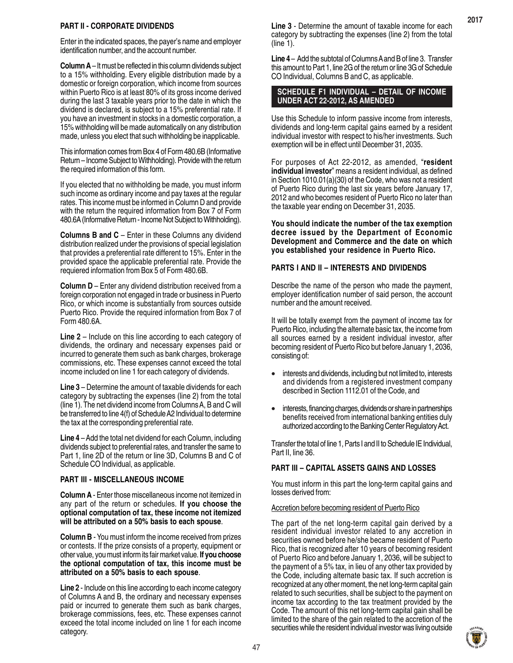## **PART II - CORPORATE DIVIDENDS**

Enter in the indicated spaces, the payer's name and employer identification number, and the account number.

**Column A** – It must be reflected in this column dividends subject to a 15% withholding. Every eligible distribution made by a domestic or foreign corporation, which income from sources within Puerto Rico is at least 80% of its gross income derived during the last 3 taxable years prior to the date in which the dividend is declared, is subject to a 15% preferential rate. If you have an investment in stocks in a domestic corporation, a 15% withholding will be made automatically on any distribution made, unless you elect that such withholding be inapplicable.

This information comes from Box 4 of Form 480.6B (Informative Return – Income Subject to Withholding). Provide with the return the required information of this form.

If you elected that no withholding be made, you must inform such income as ordinary income and pay taxes at the regular rates. This income must be informed in Column D and provide with the return the required information from Box 7 of Form 480.6A (Informative Return - Income Not Subject to Withholding).

**Columns B and C** – Enter in these Columns any dividend distribution realized under the provisions of special legislation that provides a preferential rate different to 15%. Enter in the provided space the applicable preferential rate. Provide the requiered information from Box 5 of Form 480.6B.

**Column D** – Enter any dividend distribution received from a foreign corporation not engaged in trade or business in Puerto Rico, or which income is substantially from sources outside Puerto Rico. Provide the required information from Box 7 of Form 480.6A.

**Line 2** – Include on this line according to each category of dividends, the ordinary and necessary expenses paid or incurred to generate them such as bank charges, brokerage commissions, etc. These expenses cannot exceed the total income included on line 1 for each category of dividends.

**Line 3** – Determine the amount of taxable dividends for each category by subtracting the expenses (line 2) from the total (line 1). The net dividend income from Columns A, B and C will be transferred to line 4(f) of Schedule A2 Individual to determine the tax at the corresponding preferential rate.

**Line 4** – Add the total net dividend for each Column, including dividends subject to preferential rates, and transfer the same to Part 1, line 2D of the return or line 3D, Columns B and C of Schedule CO Individual, as applicable.

# **PART III - MISCELLANEOUS INCOME**

**Column A** - Enter those miscellaneous income not itemized in any part of the return or schedules. **If you choose the optional computation of tax, these income not itemized will be attributed on a 50% basis to each spouse**.

**Column B** - You must inform the income received from prizes or contests. If the prize consists of a property, equipment or other value, you must inform its fair market value. **If you choose the optional computation of tax, this income must be attributed on a 50% basis to each spouse**.

**Line 2** - Include on this line according to each income category of Columns A and B, the ordinary and necessary expenses paid or incurred to generate them such as bank charges, brokerage commissions, fees, etc. These expenses cannot exceed the total income included on line 1 for each income category.

**Line 3** - Determine the amount of taxable income for each category by subtracting the expenses (line 2) from the total (line 1).

**Line 4** – Add the subtotal of Columns A and B of line 3. Transfer this amount to Part 1, line 2G of the return or line 3G of Schedule CO Individual, Columns B and C, as applicable.

# **SCHEDULE F1 INDIVIDUAL – DETAIL OF INCOME UNDER ACT 22-2012, AS AMENDED**

Use this Schedule to inform passive income from interests, dividends and long-term capital gains earned by a resident individual investor with respect to his/her investments. Such exemption will be in effect until December 31, 2035.

For purposes of Act 22-2012, as amended, "**resident individual investor**" means a resident individual, as defined in Section 1010.01(a)(30) of the Code, who was not a resident of Puerto Rico during the last six years before January 17, 2012 and who becomes resident of Puerto Rico no later than the taxable year ending on December 31, 2035.

**You should indicate the number of the tax exemption decree issued by the Department of Economic Development and Commerce and the date on which you established your residence in Puerto Rico.**

# **PARTS I AND II – INTERESTS AND DIVIDENDS**

Describe the name of the person who made the payment, employer identification number of said person, the account number and the amount received.

It will be totally exempt from the payment of income tax for Puerto Rico, including the alternate basic tax, the income from all sources earned by a resident individual investor, after becoming resident of Puerto Rico but before January 1, 2036, consisting of:

- interests and dividends, including but not limited to, interests and dividends from a registered investment company described in Section 1112.01 of the Code, and
- interests, financing charges, dividends or share in partnerships benefits received from international banking entities duly authorized according to the Banking Center Regulatory Act.

Transfer the total of line 1, Parts I and II to Schedule IE Individual, Part II, line 36.

# **PART III – CAPITAL ASSETS GAINS AND LOSSES**

You must inform in this part the long-term capital gains and losses derived from:

# Accretion before becoming resident of Puerto Rico

The part of the net long-term capital gain derived by a resident individual investor related to any accretion in securities owned before he/she became resident of Puerto Rico, that is recognized after 10 years of becoming resident of Puerto Rico and before January 1, 2036, will be subject to the payment of a 5% tax, in lieu of any other tax provided by the Code, including alternate basic tax. If such accretion is recognized at any other moment, the net long-term capital gain related to such securities, shall be subject to the payment on income tax according to the tax treatment provided by the Code. The amount of this net long-term capital gain shall be limited to the share of the gain related to the accretion of the securities while the resident individual investor was living outside

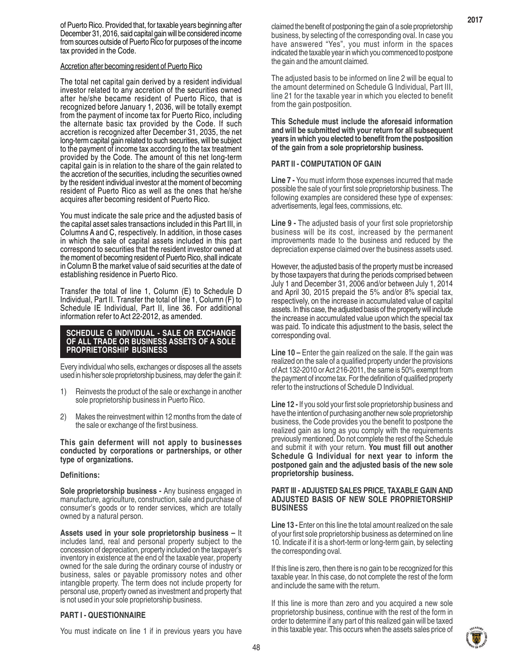of Puerto Rico. Provided that, for taxable years beginning after December 31, 2016, said capital gain will be considered income from sources outside of Puerto Rico for purposes of the income tax provided in the Code.

#### Accretion after becoming resident of Puerto Rico

The total net capital gain derived by a resident individual investor related to any accretion of the securities owned after he/she became resident of Puerto Rico, that is recognized before January 1, 2036, will be totally exempt from the payment of income tax for Puerto Rico, including the alternate basic tax provided by the Code. If such accretion is recognized after December 31, 2035, the net long-term capital gain related to such securities, will be subject to the payment of income tax according to the tax treatment provided by the Code. The amount of this net long-term capital gain is in relation to the share of the gain related to the accretion of the securities, including the securities owned by the resident individual investor at the moment of becoming resident of Puerto Rico as well as the ones that he/she acquires after becoming resident of Puerto Rico.

You must indicate the sale price and the adjusted basis of the capital asset sales transactions included in this Part III, in Columns A and C, respectively. In addition, in those cases in which the sale of capital assets included in this part correspond to securities that the resident investor owned at the moment of becoming resident of Puerto Rico, shall indicate in Column B the market value of said securities at the date of establishing residence in Puerto Rico.

Transfer the total of line 1, Column (E) to Schedule D Individual, Part II. Transfer the total of line 1, Column (F) to Schedule IE Individual, Part II, line 36. For additional information refer to Act 22-2012, as amended.

#### **SCHEDULE G INDIVIDUAL - SALE OR EXCHANGE OF ALL TRADE OR BUSINESS ASSETS OF A SOLE PROPRIETORSHIP BUSINESS**

Every individual who sells, exchanges or disposes all the assets used in his/her sole proprietorship business, may defer the gain if:

- 1) Reinvests the product of the sale or exchange in another sole proprietorship business in Puerto Rico.
- 2) Makes the reinvestment within 12 months from the date of the sale or exchange of the first business.

**This gain deferment will not apply to businesses conducted by corporations or partnerships, or other type of organizations.**

#### **Definitions:**

**Sole proprietorship business -** Any business engaged in manufacture, agriculture, construction, sale and purchase of consumer's goods or to render services, which are totally owned by a natural person.

**Assets used in your sole proprietorship business –** It includes land, real and personal property subject to the concession of depreciation, property included on the taxpayer's inventory in existence at the end of the taxable year, property owned for the sale during the ordinary course of industry or business, sales or payable promissory notes and other intangible property. The term does not include property for personal use, property owned as investment and property that is not used in your sole proprietorship business.

#### **PART I - QUESTIONNAIRE**

You must indicate on line 1 if in previous years you have

claimed the benefit of postponing the gain of a sole proprietorship business, by selecting of the corresponding oval. In case you have answered "Yes", you must inform in the spaces indicated the taxable year in which you commenced to postpone the gain and the amount claimed.

The adjusted basis to be informed on line 2 will be equal to the amount determined on Schedule G Individual, Part III, line 21 for the taxable year in which you elected to benefit from the gain postposition.

**This Schedule must include the aforesaid information and will be submitted with your return for all subsequent years in which you elected to benefit from the postposition of the gain from a sole proprietorship business.**

#### **PART II - COMPUTATION OF GAIN**

**Line 7 -** You must inform those expenses incurred that made possible the sale of your first sole proprietorship business. The following examples are considered these type of expenses: advertisements, legal fees, commissions, etc.

**Line 9 -** The adjusted basis of your first sole proprietorship business will be its cost, increased by the permanent improvements made to the business and reduced by the depreciation expense claimed over the business assets used.

However, the adjusted basis of the property must be increased by those taxpayers that during the periods comprised between July 1 and December 31, 2006 and/or between July 1, 2014 and April 30, 2015 prepaid the 5% and/or 8% special tax, respectively, on the increase in accumulated value of capital assets. In this case, the adjusted basis of the property will include the increase in accumulated value upon which the special tax was paid. To indicate this adjustment to the basis, select the corresponding oval.

**Line 10 –** Enter the gain realized on the sale. If the gain was realized on the sale of a qualified property under the provisions of Act 132-2010 or Act 216-2011, the same is 50% exempt from the payment of income tax. For the definition of qualified property refer to the instructions of Schedule D Individual.

**Line 12 -** If you sold your first sole proprietorship business and have the intention of purchasing another new sole proprietorship business, the Code provides you the benefit to postpone the realized gain as long as you comply with the requirements previously mentioned. Do not complete the rest of the Schedule and submit it with your return. **You must fill out another Schedule G Individual for next year to inform the postponed gain and the adjusted basis of the new sole proprietorship business.**

#### **PART III - ADJUSTED SALES PRICE, TAXABLE GAIN AND ADJUSTED BASIS OF NEW SOLE PROPRIETORSHIP BUSINESS**

**Line 13 -** Enter on this line the total amount realized on the sale of your first sole proprietorship business as determined on line 10. Indicate if it is a short-term or long-term gain, by selecting the corresponding oval.

If this line is zero, then there is no gain to be recognized for this taxable year. In this case, do not complete the rest of the form and include the same with the return.

If this line is more than zero and you acquired a new sole proprietorship business, continue with the rest of the form in order to determine if any part of this realized gain will be taxed in this taxable year. This occurs when the assets sales price of

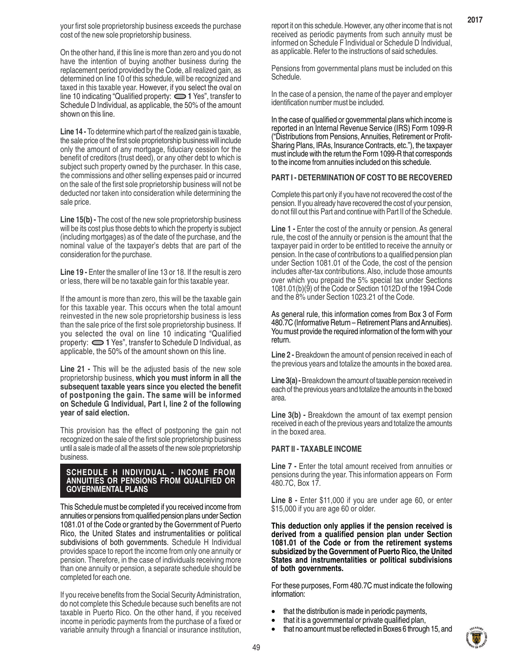On the other hand, if this line is more than zero and you do not have the intention of buying another business during the replacement period provided by the Code, all realized gain, as determined on line 10 of this schedule, will be recognized and taxed in this taxable year. However, if you select the oval on line 10 indicating "Qualified property:  $\bigcirc$  1 Yes", transfer to Schedule D Individual, as applicable, the 50% of the amount shown on this line.

**Line 14 -** To determine which part of the realized gain is taxable, the sale price of the first sole proprietorship business will include only the amount of any mortgage, fiduciary cession for the benefit of creditors (trust deed), or any other debt to which is subject such property owned by the purchaser. In this case, the commissions and other selling expenses paid or incurred on the sale of the first sole proprietorship business will not be deducted nor taken into consideration while determining the sale price.

**Line 15(b) -** The cost of the new sole proprietorship business will be its cost plus those debts to which the property is subject (including mortgages) as of the date of the purchase, and the nominal value of the taxpayer's debts that are part of the consideration for the purchase.

Line 19 - Enter the smaller of line 13 or 18. If the result is zero or less, there will be no taxable gain for this taxable year.

If the amount is more than zero, this will be the taxable gain for this taxable year. This occurs when the total amount reinvested in the new sole proprietorship business is less than the sale price of the first sole proprietorship business. If you selected the oval on line 10 indicating "Qualified property: **1** Yes", transfer to Schedule D Individual, as applicable, the 50% of the amount shown on this line.

**Line 21 -** This will be the adjusted basis of the new sole proprietorship business, **which you must inform in all the subsequent taxable years since you elected the benefit of postponing the gain. The same will be informed on Schedule G Individual, Part I, line 2 of the following year of said election.**

This provision has the effect of postponing the gain not recognized on the sale of the first sole proprietorship business until a sale is made of all the assets of the new sole proprietorship business.

#### **SCHEDULE H INDIVIDUAL - INCOME FROM ANNUITIES OR PENSIONS FROM QUALIFIED OR GOVERNMENTAL PLANS**

This Schedule must be completed if you received income from annuities or pensions from qualified pension plans under Section 1081.01 of the Code or granted by the Government of Puerto Rico, the United States and instrumentalities or political subdivisions of both governments. Schedule H Individual provides space to report the income from only one annuity or pension. Therefore, in the case of individuals receiving more than one annuity or pension, a separate schedule should be completed for each one.

If you receive benefits from the Social Security Administration, do not complete this Schedule because such benefits are not taxable in Puerto Rico. On the other hand, if you received income in periodic payments from the purchase of a fixed or variable annuity through a financial or insurance institution,

report it on this schedule. However, any other income that is not received as periodic payments from such annuity must be informed on Schedule F Individual or Schedule D Individual, as applicable. Refer to the instructions of said schedules.

Pensions from governmental plans must be included on this Schedule.

In the case of a pension, the name of the payer and employer identification number must be included.

In the case of qualified or governmental plans which income is reported in an Internal Revenue Service (IRS) Form 1099-R ("Distributions from Pensions, Annuities, Retirement or Profit-Sharing Plans, IRAs, Insurance Contracts, etc."), the taxpayer must include with the return the Form 1099-R that corresponds to the income from annuities included on this schedule.

#### **PART I - DETERMINATION OF COST TO BE RECOVERED**

Complete this part only if you have not recovered the cost of the pension. If you already have recovered the cost of your pension, do not fill out this Part and continue with Part II of the Schedule.

**Line 1 - Enter the cost of the annuity or pension. As general** rule, the cost of the annuity or pension is the amount that the taxpayer paid in order to be entitled to receive the annuity or pension. In the case of contributions to a qualified pension plan under Section 1081.01 of the Code, the cost of the pension includes after-tax contributions. Also, include those amounts over which you prepaid the 5% special tax under Sections 1081.01(b)(9) of the Code or Section 1012D of the 1994 Code and the 8% under Section 1023.21 of the Code.

As general rule, this information comes from Box 3 of Form 480.7C (Informative Return – Retirement Plans and Annuities). You must provide the required information of the form with your return.

**Line 2 -** Breakdown the amount of pension received in each of the previous years and totalize the amounts in the boxed area.

Line 3(a) - Breakdown the amount of taxable pension received in each of the previous years and totalize the amounts in the boxed area.

**Line 3(b) -** Breakdown the amount of tax exempt pension received in each of the previous years and totalize the amounts in the boxed area.

#### **PART II - TAXABLE INCOME**

**Line 7 - Enter the total amount received from annuities or** pensions during the year. This information appears on Form 480.7C, Box 17.

**Line 8 -** Enter \$11,000 if you are under age 60, or enter \$15,000 if you are age 60 or older.

**This deduction only applies if the pension received is derived from a qualified pension plan under Section 1081.01 of the Code or from the retirement systems subsidized by the Government of Puerto Rico, the United States and instrumentalities or political subdivisions of both governments.**

For these purposes, Form 480.7C must indicate the following information:

- that the distribution is made in periodic payments,
- that it is a governmental or private qualified plan,
- that no amount must be reflected in Boxes 6 through 15, and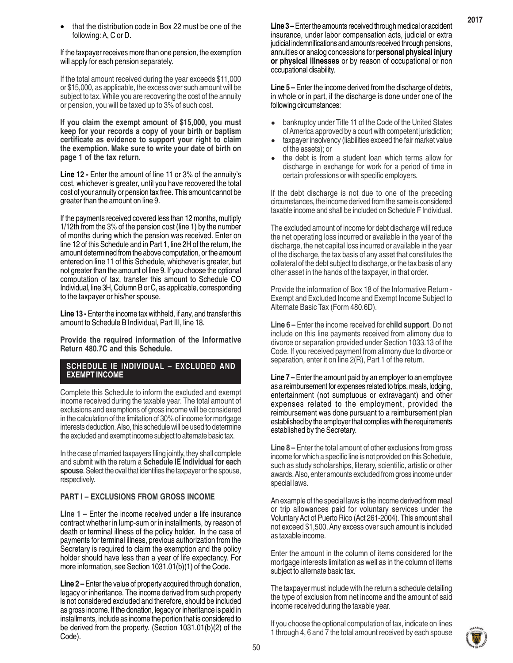If the taxpayer receives more than one pension, the exemption will apply for each pension separately.

If the total amount received during the year exceeds \$11,000 or \$15,000, as applicable, the excess over such amount will be subject to tax. While you are recovering the cost of the annuity or pension, you will be taxed up to 3% of such cost.

**If you claim the exempt amount of \$15,000, you must keep for your records a copy of your birth or baptism certificate as evidence to support your right to claim the exemption. Make sure to write your date of birth on page 1 of the tax return.**

**Line 12 -** Enter the amount of line 11 or 3% of the annuity's cost, whichever is greater, until you have recovered the total cost of your annuity or pension tax free. This amount cannot be greater than the amount on line 9.

If the payments received covered less than 12 months, multiply 1/12th from the 3% of the pension cost (line 1) by the number of months during which the pension was received. Enter on line 12 of this Schedule and in Part 1, line 2H of the return, the amount determined from the above computation, or the amount entered on line 11 of this Schedule, whichever is greater, but not greater than the amount of line 9. If you choose the optional computation of tax, transfer this amount to Schedule CO Individual, line 3H, Column B or C, as applicable, corresponding to the taxpayer or his/her spouse.

**Line 13 - Enter the income tax withheld, if any, and transfer this** amount to Schedule B Individual, Part III, line 18.

**Provide the required information of the Informative Return 480.7C and this Schedule.**

# **SCHEDULE IE INDIVIDUAL – EXCLUDED AND EXEMPT INCOME**

Complete this Schedule to inform the excluded and exempt income received during the taxable year. The total amount of exclusions and exemptions of gross income will be considered in the calculation of the limitation of 30% of income for mortgage interests deduction. Also, this schedule will be used to determine the excluded and exempt income subject to alternate basic tax.

In the case of married taxpayers filing jointly, they shall complete and submit with the return a **Schedule IE Individual for each spouse**. Select the oval that identifies the taxpayer or the spouse, respectively.

# **PART I – EXCLUSIONS FROM GROSS INCOME**

**Line 1 –** Enter the income received under a life insurance contract whether in lump-sum or in installments, by reason of death or terminal illness of the policy holder. In the case of payments for terminal illness, previous authorization from the Secretary is required to claim the exemption and the policy holder should have less than a year of life expectancy. For more information, see Section 1031.01(b)(1) of the Code.

**Line 2 –** Enter the value of property acquired through donation, legacy or inheritance. The income derived from such property is not considered excluded and therefore, should be included as gross income. If the donation, legacy or inheritance is paid in installments, include as income the portion that is considered to be derived from the property. (Section 1031.01(b)(2) of the Code).

**Line 3 –** Enter the amounts received through medical or accident insurance, under labor compensation acts, judicial or extra judicial indemnifications and amounts received through pensions, annuities or analog concessions for **personal physical injury or physical illnesses** or by reason of occupational or non occupational disability.

**Line 5 –** Enter the income derived from the discharge of debts, in whole or in part, if the discharge is done under one of the following circumstances:

- bankruptcy under Title 11 of the Code of the United States of America approved by a court with competent jurisdiction; •
- taxpayer insolvency (liabilities exceed the fair market value of the assets); or •
- the debt is from a student loan which terms allow for discharge in exchange for work for a period of time in certain professions or with specific employers. •

If the debt discharge is not due to one of the preceding circumstances, the income derived from the same is considered taxable income and shall be included on Schedule F Individual.

The excluded amount of income for debt discharge will reduce the net operating loss incurred or available in the year of the discharge, the net capital loss incurred or available in the year of the discharge, the tax basis of any asset that constitutes the collateral of the debt subject to discharge, or the tax basis of any other asset in the hands of the taxpayer, in that order.

Provide the information of Box 18 of the Informative Return - Exempt and Excluded Income and Exempt Income Subject to Alternate Basic Tax (Form 480.6D).

**Line 6 –** Enter the income received for **child support**. Do not include on this line payments received from alimony due to divorce or separation provided under Section 1033.13 of the Code. If you received payment from alimony due to divorce or separation, enter it on line 2(R), Part 1 of the return.

**Line 7 –** Enter the amount paid by an employer to an employee as a reimbursement for expenses related to trips, meals, lodging, entertainment (not sumptuous or extravagant) and other expenses related to the employment, provided the reimbursement was done pursuant to a reimbursement plan established by the employer that complies with the requirements established by the Secretary.

**Line 8 –** Enter the total amount of other exclusions from gross income for which a specific line is not provided on this Schedule, such as study scholarships, literary, scientific, artistic or other awards. Also, enter amounts excluded from gross income under special laws.

An example of the special laws is the income derived from meal or trip allowances paid for voluntary services under the Voluntary Act of Puerto Rico (Act 261-2004). This amount shall not exceed \$1,500. Any excess over such amount is included as taxable income.

Enter the amount in the column of items considered for the mortgage interests limitation as well as in the column of items subject to alternate basic tax.

The taxpayer must include with the return a schedule detailing the type of exclusion from net income and the amount of said income received during the taxable year.

If you choose the optional computation of tax, indicate on lines 1 through 4, 6 and 7 the total amount received by each spouse

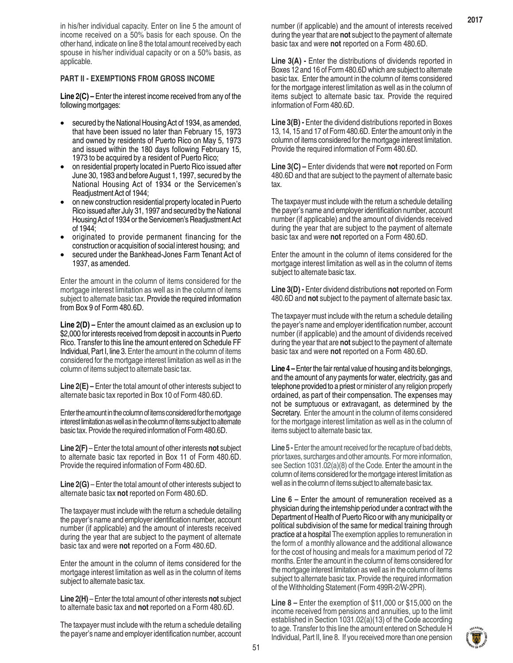in his/her individual capacity. Enter on line 5 the amount of income received on a 50% basis for each spouse. On the other hand, indicate on line 8 the total amount received by each spouse in his/her individual capacity or on a 50% basis, as applicable.

#### **PART II - EXEMPTIONS FROM GROSS INCOME**

**Line 2(C) –** Enter the interest income received from any of the following mortgages:

- secured by the National Housing Act of 1934, as amended, that have been issued no later than February 15, 1973 and owned by residents of Puerto Rico on May 5, 1973 and issued within the 180 days following February 15, 1973 to be acquired by a resident of Puerto Rico; •
- on residential property located in Puerto Rico issued after June 30, 1983 and before August 1, 1997, secured by the National Housing Act of 1934 or the Servicemen's Readjustment Act of 1944; •
- on new construction residential property located in Puerto Rico issued after July 31, 1997 and secured by the National Housing Act of 1934 or the Servicemen's Readjustment Act of 1944; •
- originated to provide permanent financing for the construction or acquisition of social interest housing; and •
- secured under the Bankhead-Jones Farm Tenant Act of 1937, as amended. •

Enter the amount in the column of items considered for the mortgage interest limitation as well as in the column of items subject to alternate basic tax. Provide the required information from Box 9 of Form 480.6D.

**Line 2(D) –** Enter the amount claimed as an exclusion up to \$2,000 for interests received from deposit in accounts in Puerto Rico. Transfer to this line the amount entered on Schedule FF Individual, Part I, line 3. Enter the amount in the column of items considered for the mortgage interest limitation as well as in the column of items subject to alternate basic tax.

**Line 2(E) –** Enter the total amount of other interests subject to alternate basic tax reported in Box 10 of Form 480.6D.

Enter the amount in the column of items considered for the mortgage interest limitation as well as in the column of items subject to alternate basic tax. Provide the required information of Form 480.6D.

**Line 2(F)** – Enter the total amount of other interests **not** subject to alternate basic tax reported in Box 11 of Form 480.6D. Provide the required information of Form 480.6D.

**Line 2(G)** – Enter the total amount of other interests subject to alternate basic tax **not** reported on Form 480.6D.

The taxpayer must include with the return a schedule detailing the payer's name and employer identification number, account number (if applicable) and the amount of interests received during the year that are subject to the payment of alternate basic tax and were **not** reported on a Form 480.6D.

Enter the amount in the column of items considered for the mortgage interest limitation as well as in the column of items subject to alternate basic tax.

**Line 2(H)** – Enter the total amount of other interests **not** subject to alternate basic tax and **not** reported on a Form 480.6D.

The taxpayer must include with the return a schedule detailing the payer's name and employer identification number, account number (if applicable) and the amount of interests received during the year that are **not** subject to the payment of alternate basic tax and were **not** reported on a Form 480.6D.

**Line 3(A) - Enter the distributions of dividends reported in** Boxes 12 and 16 of Form 480.6D which are subject to alternate basic tax. Enter the amount in the column of items considered for the mortgage interest limitation as well as in the column of items subject to alternate basic tax. Provide the required information of Form 480.6D.

**Line 3(B) -** Enter the dividend distributions reported in Boxes 13, 14, 15 and 17 of Form 480.6D. Enter the amount only in the column of items considered for the mortgage interest limitation. Provide the required information of Form 480.6D.

**Line 3(C) –** Enter dividends that were **not** reported on Form 480.6D and that are subject to the payment of alternate basic tax.

The taxpayer must include with the return a schedule detailing the payer's name and employer identification number, account number (if applicable) and the amount of dividends received during the year that are subject to the payment of alternate basic tax and were **not** reported on a Form 480.6D.

Enter the amount in the column of items considered for the mortgage interest limitation as well as in the column of items subject to alternate basic tax.

**Line 3(D) -** Enter dividend distributions **not** reported on Form 480.6D and **not** subject to the payment of alternate basic tax.

The taxpayer must include with the return a schedule detailing the payer's name and employer identification number, account number (if applicable) and the amount of dividends received during the year that are **not** subject to the payment of alternate basic tax and were **not** reported on a Form 480.6D.

**Line 4 –** Enter the fair rental value of housing and its belongings, and the amount of any payments for water, electricity, gas and telephone provided to a priest or minister of any religion properly ordained, as part of their compensation. The expenses may not be sumptuous or extravagant, as determined by the Secretary. Enter the amount in the column of items considered for the mortgage interest limitation as well as in the column of items subject to alternate basic tax.

**Line 5 -** Enter the amount received for the recapture of bad debts, prior taxes, surcharges and other amounts. For more information, see Section 1031.02(a)(8) of the Code. Enter the amount in the column of items considered for the mortgage interest limitation as well as in the column of items subject to alternate basic tax.

**Line 6 –** Enter the amount of remuneration received as a physician during the internship period under a contract with the Department of Health of Puerto Rico or with any municipality or political subdivision of the same for medical training through practice at a hospital The exemption applies to remuneration in the form of a monthly allowance and the additional allowance for the cost of housing and meals for a maximum period of 72 months. Enter the amount in the column of items considered for the mortgage interest limitation as well as in the column of items subject to alternate basic tax. Provide the required information of the Withholding Statement (Form 499R-2/W-2PR).

**Line 8 –** Enter the exemption of \$11,000 or \$15,000 on the income received from pensions and annuities, up to the limit established in Section 1031.02(a)(13) of the Code according to age. Transfer to this line the amount entered on Schedule H Individual, Part II, line 8. If you received more than one pension

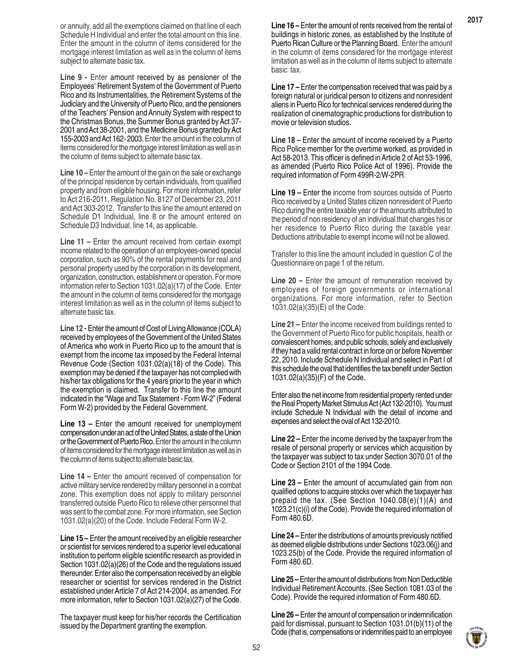or annuity, add all the exemptions claimed on that line of each Schedule H Individual and enter the total amount on this line. Enter the amount in the column of items considered for the mortgage interest limitation as well as in the column of items subject to alternate basic tax.

**Line 9 -** Enter amount received by as pensioner of the Employees' Retirement System of the Government of Puerto Rico and its Instrumentalities, the Retirement Systems of the Judiciary and the University of Puerto Rico, and the pensioners of the Teachers' Pension and Annuity System with respect to the Christmas Bonus, the Summer Bonus granted by Act 37- 2001 and Act 38-2001, and the Medicine Bonus granted by Act 155-2003 and Act 162- 2003. Enter the amount in the column of items considered for the mortgage interest limitation as well as in the column of items subject to alternate basic tax.

**Line 10 –** Enter the amount of the gain on the sale or exchange of the principal residence by certain individuals, from qualified property and from eligible housing. For more information, refer to Act 216-2011, Regulation No. 8127 of December 23, 2011 and Act 303-2012. Transfer to this line the amount entered on Schedule D1 Individual, line 8 or the amount entered on Schedule D3 Individual, line 14, as applicable.

**Line 11 –** Enter the amount received from certain exempt income related to the operation of an employees-owned special corporation, such as 90% of the rental payments for real and personal property used by the corporation in its development, organization, construction, establishment or operation. For more information refer to Section 1031.02(a)(17) of the Code. Enter the amount in the column of items considered for the mortgage interest limitation as well as in the column of items subject to alternate basic tax.

**Line 12 -** Enter the amount of Cost of Living Allowance (COLA) received by employees of the Government of the United States of America who work in Puerto Rico up to the amount that is exempt from the income tax imposed by the Federal Internal Revenue Code (Section 1031.02(a)(18) of the Code). This exemption may be denied if the taxpayer has not complied with his/her tax obligations for the 4 years prior to the year in which the exemption is claimed. Transfer to this line the amount indicated in the "Wage and Tax Statement - Form W-2" (Federal Form W-2) provided by the Federal Government.

**Line 13 –** Enter the amount received for unemployment compensation under an act of the United States, a state of the Union or the Government of Puerto Rico. Enter the amount in the column of items considered for the mortgage interest limitation as well as in the column of items subject to alternate basic tax.

**Line 14 –** Enter the amount received of compensation for active military service rendered by military personnel in a combat zone. This exemption does not apply to military personnel transferred outside Puerto Rico to relieve other personnel that was sent to the combat zone. For more information, see Section 1031.02(a)(20) of the Code. Include Federal Form W-2.

**Line 15 –** Enter the amount received by an eligible researcher or scientist for services rendered to a superior level educational institution to perform eligible scientific research as provided in Section 1031.02(a)(26) of the Code and the regulations issued thereunder. Enter also the compensation received by an eligible researcher or scientist for services rendered in the District established under Article 7 of Act 214-2004, as amended. For more information, refer to Section 1031.02(a)(27) of the Code.

The taxpayer must keep for his/her records the Certification issued by the Department granting the exemption.

**Line 16 –** Enter the amount of rents received from the rental of buildings in historic zones, as established by the Institute of Puerto Rican Culture or the Planning Board. Enter the amount in the column of items considered for the mortgage interest limitation as well as in the column of items subject to alternate basic tax.

**2017**

**Line 17 –** Enter the compensation received that was paid by a foreign natural or juridical person to citizens and nonresident aliens in Puerto Rico for technical services rendered during the realization of cinematographic productions for distribution to movie or television studios.

**Line 18 –** Enter the amount of income received by a Puerto Rico Police member for the overtime worked, as provided in Act 58-2013. This officer is defined in Article 2 of Act 53-1996, as amended (Puerto Rico Police Act of 1996). Provide the required information of Form 499R-2/W-2PR.

**Line 19 –** Enter the income from sources outside of Puerto Rico received by a United States citizen nonresident of Puerto Rico during the entire taxable year or the amounts attributed to the period of non residency of an individual that changes his or her residence to Puerto Rico during the taxable year. Deductions attributable to exempt income will not be allowed.

Transfer to this line the amount included in question C of the Questionnaire on page 1 of the return.

**Line 20 –** Enter the amount of remuneration received by employees of foreign governments or international organizations. For more information, refer to Section 1031.02(a)(35)(E) of the Code.

**Line 21 –** Enter the income received from buildings rented to the Government of Puerto Rico for public hospitals, health or convalescent homes, and public schools, solely and exclusively if they had a valid rental contract in force on or before November 22, 2010. Include Schedule N Individual and select in Part I of this schedule the oval that identifies the tax benefit under Section 1031.02(a)(35)(F) of the Code.

Enter also the net income from residential property rented under the Real Property Market Stimulus Act (Act 132-2010). You must include Schedule N Individual with the detail of income and expenses and select the oval of Act 132-2010.

**Line 22 –** Enter the income derived by the taxpayer from the resale of personal property or services which acquisition by the taxpayer was subject to tax under Section 3070.01 of the Code or Section 2101 of the 1994 Code.

**Line 23 –** Enter the amount of accumulated gain from non qualified options to acquire stocks over which the taxpayer has prepaid the tax. (See Section 1040.08(e)(1)(A) and 1023.21(c)(i) of the Code). Provide the required information of Form 480.6D.

**Line 24 –** Enter the distributions of amounts previously notified as deemed eligible distributions under Sections 1023.06(j) and 1023.25(b) of the Code. Provide the required information of Form 480.6D.

**Line 25 –** Enter the amount of distributions from Non Deductible Individual Retirement Accounts. (See Section 1081.03 of the Code). Provide the required information of Form 480.6D.

**Line 26 –** Enter the amount of compensation or indemnification paid for dismissal, pursuant to Section 1031.01(b)(11) of the Code (that is, compensations or indemnities paid to an employee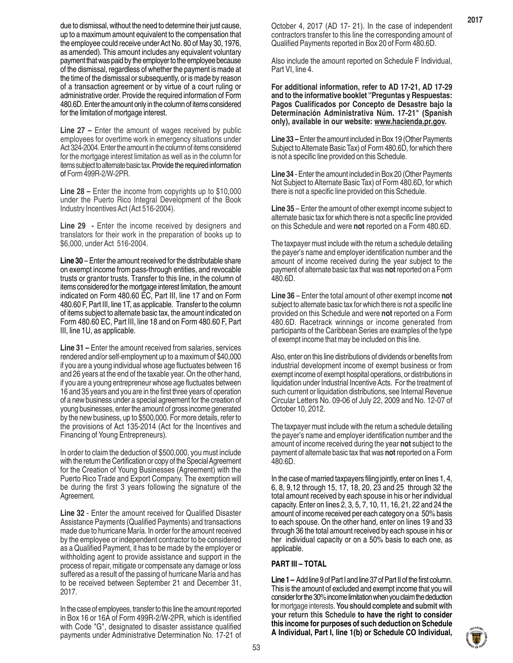due to dismissal, without the need to determine their just cause, up to a maximum amount equivalent to the compensation that the employee could receive under Act No. 80 of May 30, 1976, as amended). This amount includes any equivalent voluntary payment that was paid by the employer to the employee because of the dismissal, regardless of whether the payment is made at the time of the dismissal or subsequently, or is made by reason of a transaction agreement or by virtue of a court ruling or administrative order. Provide the required information of Form 480.6D. Enter the amount only in the column of items considered for the limitation of mortgage interest.

**Line 27 –** Enter the amount of wages received by public employees for overtime work in emergency situations under Act 324-2004. Enter the amount in the column of items considered for the mortgage interest limitation as well as in the column for items subject to alternate basic tax. Provide the required information of Form 499R-2/W-2PR.

**Line 28 –** Enter the income from copyrights up to \$10,000 under the Puerto Rico Integral Development of the Book Industry Incentives Act (Act 516-2004).

**Line 29 -** Enter the income received by designers and translators for their work in the preparation of books up to \$6,000, under Act 516-2004.

**Line 30** – Enter the amount received for the distributable share on exempt income from pass-through entities, and revocable trusts or grantor trusts. Transfer to this line, in the column of items considered for the mortgage interest limitation, the amount indicated on Form 480.60 EC, Part III, line 17 and on Form 480.60 F, Part III, line 1T, as applicable. Transfer to the column of items subject to alternate basic tax, the amount indicated on Form 480.60 EC, Part III, line 18 and on Form 480.60 F, Part III, line 1U, as applicable.

**Line 31 –** Enter the amount received from salaries, services rendered and/or self-employment up to a maximum of \$40,000 if you are a young individual whose age fluctuates between 16 and 26 years at the end of the taxable year. On the other hand, if you are a young entrepreneur whose age fluctuates between 16 and 35 years and you are in the first three years of operation of a new business under a special agreement for the creation of young businesses, enter the amount of gross income generated by the new business, up to \$500,000. For more details, refer to the provisions of Act 135-2014 (Act for the Incentives and Financing of Young Entrepreneurs).

In order to claim the deduction of \$500,000, you must include with the return the Certification or copy of the Special Agreement for the Creation of Young Businesses (Agreement) with the Puerto Rico Trade and Export Company. The exemption will be during the first 3 years following the signature of the Agreement.

**Line 32** - Enter the amount received for Qualified Disaster Assistance Payments (Qualified Payments) and transactions made due to hurricane María. In order for the amount received by the employee or independent contractor to be considered as a Qualified Payment, it has to be made by the employer or withholding agent to provide assistance and support in the process of repair, mitigate or compensate any damage or loss suffered as a result of the passing of hurricane María and has to be received between September 21 and December 31, 2017.

In the case of employees, transfer to this line the amount reported in Box 16 or 16A of Form 499R-2/W-2PR, which is identified with Code "G", designated to disaster assistance qualified payments under Administrative Determination No. 17-21 of October 4, 2017 (AD 17- 21). In the case of independent contractors transfer to this line the corresponding amount of Qualified Payments reported in Box 20 of Form 480.6D.

Also include the amount reported on Schedule F Individual, Part VI, line 4.

**For additional information, refer to AD 17-21, AD 17-29 and to the informative booklet ''Preguntas y Respuestas: Pagos Cualificados por Concepto de Desastre bajo la Determinación Administrativa Núm. 17-21" (Spanish only), available in our website: www.hacienda.pr.gov.**

**Line 33 –** Enter the amount included in Box 19 (Other Payments Subject to Alternate Basic Tax) of Form 480.6D, for which there is not a specific line provided on this Schedule.

**Line 34** - Enter the amount included in Box 20 (Other Payments Not Subject to Alternate Basic Tax) of Form 480.6D, for which there is not a specific line provided on this Schedule.

**Line 35** – Enter the amount of other exempt income subject to alternate basic tax for which there is not a specific line provided on this Schedule and were **not** reported on a Form 480.6D.

The taxpayer must include with the return a schedule detailing the payer's name and employer identification number and the amount of income received during the year subject to the payment of alternate basic tax that was **not** reported on a Form 480.6D.

**Line 36** – Enter the total amount of other exempt income **not** subject to alternate basic tax for which there is not a specific line provided on this Schedule and were **not** reported on a Form 480.6D. Racetrack winnings or income generated from participants of the Caribbean Series are examples of the type of exempt income that may be included on this line.

Also, enter on this line distributions of dividends or benefits from industrial development income of exempt business or from exempt income of exempt hospital operations, or distributions in liquidation under Industrial Incentive Acts. For the treatment of such current or liquidation distributions, see Internal Revenue Circular Letters No. 09-06 of July 22, 2009 and No. 12-07 of October 10, 2012.

The taxpayer must include with the return a schedule detailing the payer's name and employer identification number and the amount of income received during the year **not** subject to the payment of alternate basic tax that was **not** reported on a Form 480.6D.

In the case of married taxpayers filing jointly, enter on lines 1, 4, 6, 8, 9,12 through 15, 17, 18, 20, 23 and 25 through 32 the total amount received by each spouse in his or her individual capacity. Enter on lines 2, 3, 5, 7, 10, 11, 16, 21, 22 and 24 the amount of income received per each category on a 50% basis to each spouse. On the other hand, enter on lines 19 and 33 through 36 the total amount received by each spouse in his or her individual capacity or on a 50% basis to each one, as applicable.

#### **PART III – TOTAL**

**Line 1 –** Add line 9 of Part I and line 37 of Part II of the first column. This is the amount of excluded and exempt income that you will consider for the 30% income limitation when you claim the deduction for mortgage interests. **You should complete and submit with your return this Schedule to have the right to consider this income for purposes of such deduction on Schedule A Individual, Part I, line 1(b) or Schedule CO Individual,**

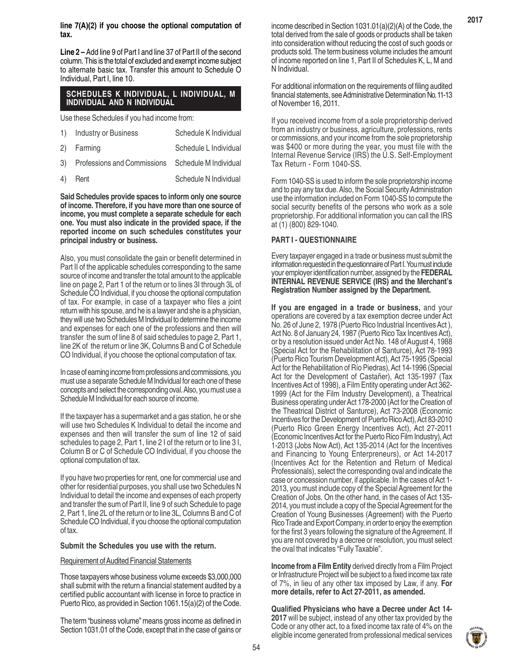**line 7(A)(2) if you choose the optional computation of tax.**

**Line 2 –** Add line 9 of Part I and line 37 of Part II of the second column. This is the total of excluded and exempt income subject to alternate basic tax. Transfer this amount to Schedule O Individual, Part I, line 10.

#### **SCHEDULES K INDIVIDUAL, L INDIVIDUAL, M INDIVIDUAL AND N INDIVIDUAL**

Use these Schedules if you had income from:

| $\left(1\right)$ | <b>Industry or Business</b>    | Schedule K Individual |
|------------------|--------------------------------|-----------------------|
|                  | 2) Farming                     | Schedule L Individual |
|                  | 3) Professions and Commissions | Schedule M Individual |
|                  | 4) Rent                        | Schedule N Individual |

**Said Schedules provide spaces to inform only one source of income. Therefore, if you have more than one source of income, you must complete a separate schedule for each one. You must also indicate in the provided space, if the reported income on such schedules constitutes your principal industry or business.**

Also, you must consolidate the gain or benefit determined in Part II of the applicable schedules corresponding to the same source of income and transfer the total amount to the applicable line on page 2, Part 1 of the return or to lines 3I through 3L of Schedule CO Individual, if you choose the optional computation of tax. For example, in case of a taxpayer who files a joint return with his spouse, and he is a lawyer and she is a physician, they will use two Schedules M Individual to determine the income and expenses for each one of the professions and then will transfer the sum of line 8 of said schedules to page 2, Part 1, line 2K of the return or line 3K, Columns B and C of Schedule CO Individual, if you choose the optional computation of tax.

In case of earning income from professions and commissions, you must use a separate Schedule M Individual for each one of these concepts and select the corresponding oval. Also, you must use a Schedule M Individual for each source of income.

If the taxpayer has a supermarket and a gas station, he or she will use two Schedules K Individual to detail the income and expenses and then will transfer the sum of line 12 of said schedules to page 2, Part 1, line 2 I of the return or to line 3 I, Column B or C of Schedule CO Individual, if you choose the optional computation of tax.

If you have two properties for rent, one for commercial use and other for residential purposes, you shall use two Schedules N Individual to detail the income and expenses of each property and transfer the sum of Part II, line 9 of such Schedule to page 2, Part 1, line 2L of the return or to line 3L, Columns B and C of Schedule CO Individual, if you choose the optional computation of tax.

#### **Submit the Schedules you use with the return.**

#### Requirement of Audited Financial Statements

Those taxpayers whose business volume exceeds \$3,000,000 shall submit with the return a financial statement audited by a certified public accountant with license in force to practice in Puerto Rico, as provided in Section 1061.15(a)(2) of the Code.

The term "business volume" means gross income as defined in Section 1031.01 of the Code, except that in the case of gains or income described in Section 1031.01(a)(2)(A) of the Code, the total derived from the sale of goods or products shall be taken into consideration without reducing the cost of such goods or products sold. The term business volume includes the amount of income reported on line 1, Part II of Schedules K, L, M and N Individual.

For additional information on the requirements of filing audited financial statements, see Administrative Determination No. 11-13 of November 16, 2011.

If you received income from of a sole proprietorship derived from an industry or business, agriculture, professions, rents or commissions, and your income from the sole proprietorship was \$400 or more during the year, you must file with the Internal Revenue Service (IRS) the U.S. Self-Employment Tax Return - Form 1040-SS.

Form 1040-SS is used to inform the sole proprietorship income and to pay any tax due. Also, the Social Security Administration use the information included on Form 1040-SS to compute the social security benefits of the persons who work as a sole proprietorship. For additional information you can call the IRS at (1) (800) 829-1040.

#### **PART I - QUESTIONNAIRE**

Every taxpayer engaged in a trade or business must submit the information requested in the questionnaire of Part I. You must include your employer identification number, assigned by the **FEDERAL INTERNAL REVENUE SERVICE (IRS) and the Merchant's Registration Number assigned by the Department.**

**If you are engaged in a trade or business,** and your operations are covered by a tax exemption decree under Act No. 26 of June 2, 1978 (Puerto Rico Industrial Incentives Act ), Act No. 8 of January 24, 1987 (Puerto Rico Tax Incentives Act), or by a resolution issued under Act No. 148 of August 4, 1988 (Special Act for the Rehabilitation of Santurce), Act 78-1993 (Puerto Rico Tourism Development Act), Act 75-1995 (Special Act for the Rehabilitation of Río Piedras), Act 14-1996 (Special Act for the Development of Castañer), Act 135-1997 (Tax Incentives Act of 1998), a Film Entity operating under Act 362- 1999 (Act for the Film Industry Development), a Theatrical Business operating under Act 178-2000 (Act for the Creation of the Theatrical District of Santurce), Act 73-2008 (Economic Incentives for the Development of Puerto Rico Act), Act 83-2010 (Puerto Rico Green Energy Incentives Act), Act 27-2011 (Economic Incentives Act for the Puerto Rico Film Industry), Act 1-2013 (Jobs Now Act), Act 135-2014 (Act for the Incentives and Financing to Young Enterpreneurs), or Act 14-2017 (Incentives Act for the Retention and Return of Medical Professionals), select the corresponding oval and indicate the case or concession number, if applicable. In the cases of Act 1- 2013, you must include copy of the Special Agreement for the Creation of Jobs. On the other hand, in the cases of Act 135- 2014, you must include a copy of the Special Agreement for the Creation of Young Businesses (Agreement) with the Puerto Rico Trade and Export Company, in order to enjoy the exemption for the first 3 years following the signature of the Agreement. If you are not covered by a decree or resolution, you must select the oval that indicates "Fully Taxable".

**Income from a Film Entity** derived directly from a Film Project or Infrastructure Project will be subject to a fixed income tax rate of 7%, in lieu of any other tax imposed by Law, if any. **For more details, refer to Act 27-2011, as amended.**

**Qualified Physicians who have a Decree under Act 14- 2017** will be subject, instead of any other tax provided by the Code or any other act, to a fixed income tax rate of 4% on the eligible income generated from professional medical services

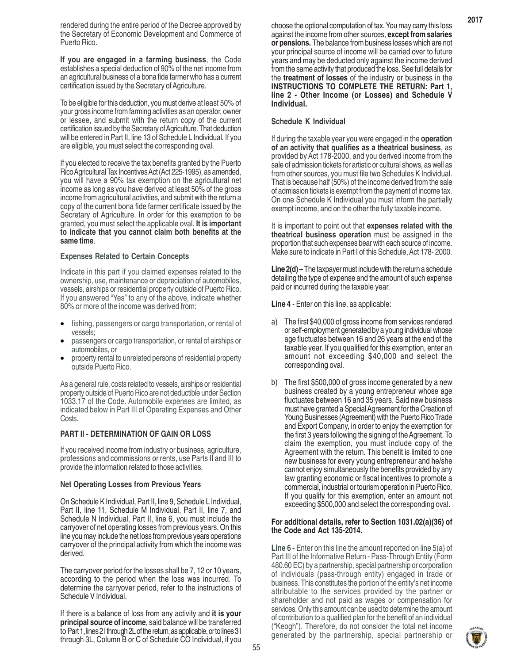rendered during the entire period of the Decree approved by the Secretary of Economic Development and Commerce of Puerto Rico.

**If you are engaged in a farming business**, the Code establishes a special deduction of 90% of the net income from an agricultural business of a bona fide farmer who has a current certification issued by the Secretary of Agriculture.

To be eligible for this deduction, you must derive at least 50% of your gross income from farming activities as an operator, owner or lessee, and submit with the return copy of the current certification issued by the Secretary of Agriculture. That deduction will be entered in Part II, line 13 of Schedule L Individual. If you are eligible, you must select the corresponding oval.

If you elected to receive the tax benefits granted by the Puerto Rico Agricultural Tax Incentives Act (Act 225-1995), as amended, you will have a 90% tax exemption on the agricultural net income as long as you have derived at least 50% of the gross income from agricultural activities, and submit with the return a copy of the current bona fide farmer certificate issued by the Secretary of Agriculture. In order for this exemption to be granted, you must select the applicable oval. **It is important to indicate that you cannot claim both benefits at the same time**.

#### **Expenses Related to Certain Concepts**

Indicate in this part if you claimed expenses related to the ownership, use, maintenance or depreciation of automobiles, vessels, airships or residential property outside of Puerto Rico. If you answered "Yes" to any of the above, indicate whether 80% or more of the income was derived from:

- fishing, passengers or cargo transportation, or rental of vessels;
- passengers or cargo transportation, or rental of airships or automobiles, or
- property rental to unrelated persons of residential property outside Puerto Rico.

As a general rule, costs related to vessels, airships or residential property outside of Puerto Rico are not deductible under Section 1033.17 of the Code. Automobile expenses are limited, as indicated below in Part III of Operating Expenses and Other **Costs**.

#### **PART II - DETERMINATION OF GAIN OR LOSS**

If you received income from industry or business, agriculture, professions and commissions or rents, use Parts II and III to provide the information related to those activities.

#### **Net Operating Losses from Previous Years**

On Schedule K Individual, Part II, line 9, Schedule L Individual, Part II, line 11, Schedule M Individual, Part II, line 7, and Schedule N Individual, Part II, line 6, you must include the carryover of net operating losses from previous years. On this line you may include the net loss from previous years operations carryover of the principal activity from which the income was derived.

The carryover period for the losses shall be 7, 12 or 10 years, according to the period when the loss was incurred. To determine the carryover period, refer to the instructions of Schedule V Individual.

If there is a balance of loss from any activity and **it is your principal source of income**, said balance will be transferred to Part 1, lines 2 I through 2L of the return, as applicable, or to lines 3 I through 3L, Column B or C of Schedule CO Individual, if you choose the optional computation of tax. You may carry this loss against the income from other sources, **except from salaries or pensions.** The balance from business losses which are not your principal source of income will be carried over to future years and may be deducted only against the income derived from the same activity that produced the loss. See full details for the **treatment of losses** of the industry or business in the **INSTRUCTIONS TO COMPLETE THE RETURN: Part 1, line 2 - Other Income (or Losses) and Schedule V Individual.**

#### **Schedule K Individual**

If during the taxable year you were engaged in the **operation of an activity that qualifies as a theatrical business**, as provided by Act 178-2000, and you derived income from the sale of admission tickets for artistic or cultural shows, as well as from other sources, you must file two Schedules K Individual. That is because half (50%) of the income derived from the sale of admission tickets is exempt from the payment of income tax. On one Schedule K Individual you must inform the partially exempt income, and on the other the fully taxable income.

It is important to point out that **expenses related with the theatrical business operation** must be assigned in the proportion that such expenses bear with each source of income. Make sure to indicate in Part I of this Schedule, Act 178- 2000.

**Line 2(d) –** The taxpayer must include with the return a schedule detailing the type of expense and the amount of such expense paid or incurred during the taxable year.

**Line 4** - Enter on this line, as applicable:

- a) The first \$40,000 of gross income from services rendered or self-employment generated by a young individual whose age fluctuates between 16 and 26 years at the end of the taxable year. If you qualified for this exemption, enter an amount not exceeding \$40,000 and select the corresponding oval.
- b) The first \$500,000 of gross income generated by a new business created by a young entrepreneur whose age fluctuates between 16 and 35 years. Said new business must have granted a Special Agreement for the Creation of Young Businesses (Agreement) with the Puerto Rico Trade and Export Company, in order to enjoy the exemption for the first 3 years following the signing of the Agreement. To claim the exemption, you must include copy of the Agreement with the return. This benefit is limited to one new business for every young entrepreneur and he/she cannot enjoy simultaneously the benefits provided by any law granting economic or fiscal incentives to promote a commercial, industrial or tourism operation in Puerto Rico. If you qualify for this exemption, enter an amount not exceeding \$500,000 and select the corresponding oval.

#### **For additional details, refer to Section 1031.02(a)(36) of the Code and Act 135-2014.**

**Line 6 -** Enter on this line the amount reported on line 5(a) of Part III of the Informative Return - Pass-Through Entity (Form 480.60 EC) by a partnership, special partnership or corporation of individuals (pass-through entity) engaged in trade or business. This constitutes the portion of the entity's net income attributable to the services provided by the partner or shareholder and not paid as wages or compensation for services. Only this amount can be used to determine the amount of contribution to a qualified plan for the benefit of an individual ("Keogh"). Therefore, do not consider the total net income generated by the partnership, special partnership or

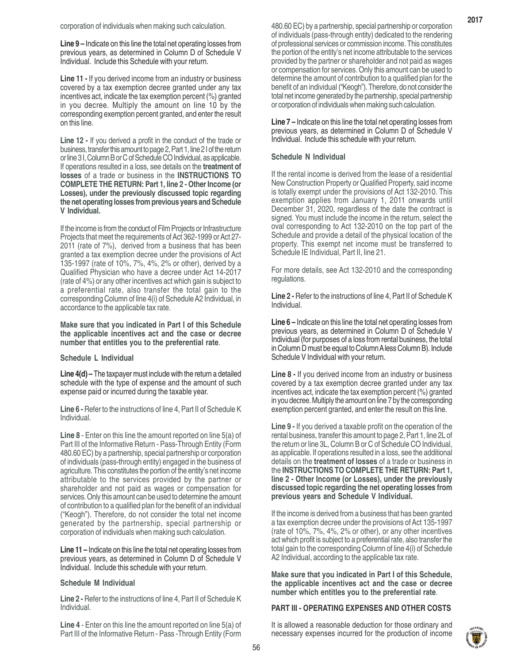**Line 9 –** Indicate on this line the total net operating losses from previous years, as determined in Column D of Schedule V Individual. Include this Schedule with your return.

**Line 11 -** If you derived income from an industry or business covered by a tax exemption decree granted under any tax incentives act, indicate the tax exemption percent (%) granted in you decree. Multiply the amount on line 10 by the corresponding exemption percent granted, and enter the result on this line.

**Line 12 -** If you derived a profit in the conduct of the trade or business, transfer this amount to page 2, Part 1, line 2 I of the return or line 3 I, Column B or C of Schedule CO Individual, as applicable. If operations resulted in a loss, see details on the **treatment of losses** of a trade or business in the **INSTRUCTIONS TO COMPLETE THE RETURN: Part 1, line 2 - Other Income (or Losses), under the previously discussed topic regarding the net operating losses from previous years and Schedule V Individual.**

If the income is from the conduct of Film Projects or Infrastructure Projects that meet the requirements of Act 362-1999 or Act 27- 2011 (rate of 7%), derived from a business that has been granted a tax exemption decree under the provisions of Act 135-1997 (rate of 10%, 7%, 4%, 2% or other), derived by a Qualified Physician who have a decree under Act 14-2017 (rate of 4%) or any other incentives act which gain is subject to a preferential rate, also transfer the total gain to the corresponding Column of line 4(i) of Schedule A2 Individual, in accordance to the applicable tax rate.

**Make sure that you indicated in Part I of this Schedule the applicable incentives act and the case or decree number that entitles you to the preferential rate**.

#### **Schedule L Individual**

**Line 4(d) –** The taxpayer must include with the return a detailed schedule with the type of expense and the amount of such expense paid or incurred during the taxable year.

**Line 6 -** Refer to the instructions of line 4, Part II of Schedule K Individual.

**Line 8** - Enter on this line the amount reported on line 5(a) of Part III of the Informative Return - Pass-Through Entity (Form 480.60 EC) by a partnership, special partnership or corporation of individuals (pass-through entity) engaged in the business of agriculture. This constitutes the portion of the entity's net income attributable to the services provided by the partner or shareholder and not paid as wages or compensation for services. Only this amount can be used to determine the amount of contribution to a qualified plan for the benefit of an individual ("Keogh"). Therefore, do not consider the total net income generated by the partnership, special partnership or corporation of individuals when making such calculation.

**Line 11 –** Indicate on this line the total net operating losses from previous years, as determined in Column D of Schedule V Individual. Include this schedule with your return.

#### **Schedule M Individual**

**Line 2 -** Refer to the instructions of line 4, Part II of Schedule K Individual.

**Line 4** - Enter on this line the amount reported on line 5(a) of Part III of the Informative Return - Pass -Through Entity (Form **Line 7 –** Indicate on this line the total net operating losses from previous years, as determined in Column D of Schedule V Individual. Include this schedule with your return.

#### **Schedule N Individual**

If the rental income is derived from the lease of a residential New Construction Property or Qualified Property, said income is totally exempt under the provisions of Act 132-2010. This exemption applies from January 1, 2011 onwards until December 31, 2020, regardless of the date the contract is signed. You must include the income in the return, select the oval corresponding to Act 132-2010 on the top part of the Schedule and provide a detail of the physical location of the property. This exempt net income must be transferred to Schedule IE Individual, Part II, line 21.

For more details, see Act 132-2010 and the corresponding regulations.

**Line 2 -** Refer to the instructions of line 4, Part II of Schedule K Individual.

**Line 6 –** Indicate on this line the total net operating losses from previous years, as determined in Column D of Schedule V Individual (for purposes of a loss from rental business, the total in Column D must be equal to Column A less Column B). Include Schedule V Individual with your return.

**Line 8 -** If you derived income from an industry or business covered by a tax exemption decree granted under any tax incentives act, indicate the tax exemption percent (%) granted in you decree. Multiply the amount on line 7 by the corresponding exemption percent granted, and enter the result on this line.

**Line 9 -** If you derived a taxable profit on the operation of the rental business, transfer this amount to page 2, Part 1, line 2L of the return or line 3L, Column B or C of Schedule CO Individual, as applicable. If operations resulted in a loss, see the additional details on the **treatment of losses** of a trade or business in the **INSTRUCTIONS TO COMPLETE THE RETURN: Part 1, line 2 - Other Income (or Losses), under the previously discussed topic regarding the net operating losses from previous years and Schedule V Individual.**

If the income is derived from a business that has been granted a tax exemption decree under the provisions of Act 135-1997 (rate of 10%, 7%, 4%, 2% or other), or any other incentives act which profit is subject to a preferential rate, also transfer the total gain to the corresponding Column of line 4(i) of Schedule A2 Individual, according to the applicable tax rate.

**Make sure that you indicated in Part I of this Schedule, the applicable incentives act and the case or decree number which entitles you to the preferential rate**.

### **PART III - OPERATING EXPENSES AND OTHER COSTS**

It is allowed a reasonable deduction for those ordinary and necessary expenses incurred for the production of income

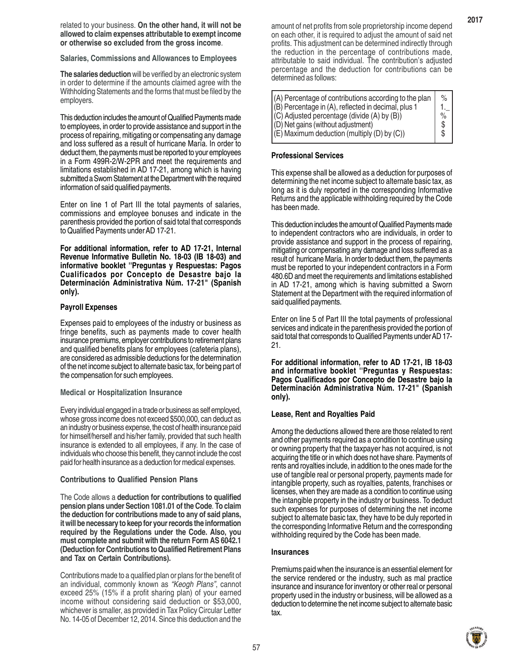related to your business. **On the other hand, it will not be allowed to claim expenses attributable to exempt income or otherwise so excluded from the gross income**.

**Salaries, Commissions and Allowances to Employees**

**The salaries deduction** will be verified by an electronic system in order to determine if the amounts claimed agree with the Withholding Statements and the forms that must be filed by the employers.

This deduction includes the amount of Qualified Payments made to employees, in order to provide assistance and support in the process of repairing, mitigating or compensating any damage and loss suffered as a result of hurricane María. In order to deduct them, the payments must be reported to your employees in a Form 499R-2/W-2PR and meet the requirements and limitations established in AD 17-21, among which is having submitted a Sworn Statement at the Department with the required information of said qualified payments.

Enter on line 1 of Part III the total payments of salaries, commissions and employee bonuses and indicate in the parenthesis provided the portion of said total that corresponds to Qualified Payments under AD 17-21.

**For additional information, refer to AD 17-21, Internal Revenue Informative Bulletin No. 18-03 (IB 18-03) and informative booklet ''Preguntas y Respuestas: Pagos Cualificados por Concepto de Desastre bajo la Determinación Administrativa Núm. 17-21" (Spanish only).**

#### **Payroll Expenses**

Expenses paid to employees of the industry or business as fringe benefits, such as payments made to cover health insurance premiums, employer contributions to retirement plans and qualified benefits plans for employees (cafeteria plans), are considered as admissible deductions for the determination of the net income subject to alternate basic tax, for being part of the compensation for such employees.

#### **Medical or Hospitalization Insurance**

Every individual engaged in a trade or business as self employed, whose gross income does not exceed \$500,000, can deduct as an industry or business expense, the cost of health insurance paid for himself/herself and his/her family, provided that such health insurance is extended to all employees, if any. In the case of individuals who choose this benefit, they cannot include the cost paid for health insurance as a deduction for medical expenses.

#### **Contributions to Qualified Pension Plans**

The Code allows a **deduction for contributions to qualified pension plans under Section 1081.01 of the Code**. **To claim the deduction for contributions made to any of said plans, it will be necessary to keep for your records the information required by the Regulations under the Code. Also, you must complete and submit with the return Form AS 6042.1 (Deduction for Contributions to Qualified Retirement Plans and Tax on Certain Contributions).**

Contributions made to a qualified plan or plans for the benefit of an individual, commonly known as *"Keogh Plans"*, cannot exceed 25% (15% if a profit sharing plan) of your earned income without considering said deduction or \$53,000, whichever is smaller, as provided in Tax Policy Circular Letter No. 14-05 of December 12, 2014. Since this deduction and the amount of net profits from sole proprietorship income depend on each other, it is required to adjust the amount of said net profits. This adjustment can be determined indirectly through the reduction in the percentage of contributions made, attributable to said individual. The contribution's adjusted percentage and the deduction for contributions can be determined as follows:

| $\%$ |
|------|
|      |
| %    |
|      |
|      |
|      |

# **Professional Services**

This expense shall be allowed as a deduction for purposes of determining the net income subject to alternate basic tax, as long as it is duly reported in the corresponding Informative Returns and the applicable withholding required by the Code has been made.

This deduction includes the amount of Qualified Payments made to independent contractors who are individuals, in order to provide assistance and support in the process of repairing, mitigating or compensating any damage and loss suffered as a result of hurricane María. In order to deduct them, the payments must be reported to your independent contractors in a Form 480.6D and meet the requirements and limitations established in AD 17-21, among which is having submitted a Sworn Statement at the Department with the required information of said qualified payments.

Enter on line 5 of Part III the total payments of professional services and indicate in the parenthesis provided the portion of said total that corresponds to Qualified Payments under AD 17- 21.

**For additional information, refer to AD 17-21, IB 18-03 and informative booklet ''Preguntas y Respuestas: Pagos Cualificados por Concepto de Desastre bajo la Determinación Administrativa Núm. 17-21" (Spanish only).**

#### **Lease, Rent and Royalties Paid**

Among the deductions allowed there are those related to rent and other payments required as a condition to continue using or owning property that the taxpayer has not acquired, is not acquiring the title or in which does not have share. Payments of rents and royalties include, in addition to the ones made for the use of tangible real or personal property, payments made for intangible property, such as royalties, patents, franchises or licenses, when they are made as a condition to continue using the intangible property in the industry or business. To deduct such expenses for purposes of determining the net income subject to alternate basic tax, they have to be duly reported in the corresponding Informative Return and the corresponding withholding required by the Code has been made.

#### **Insurances**

Premiums paid when the insurance is an essential element for the service rendered or the industry, such as mal practice insurance and insurance for inventory or other real or personal property used in the industry or business, will be allowed as a deduction to determine the net income subject to alternate basic tax.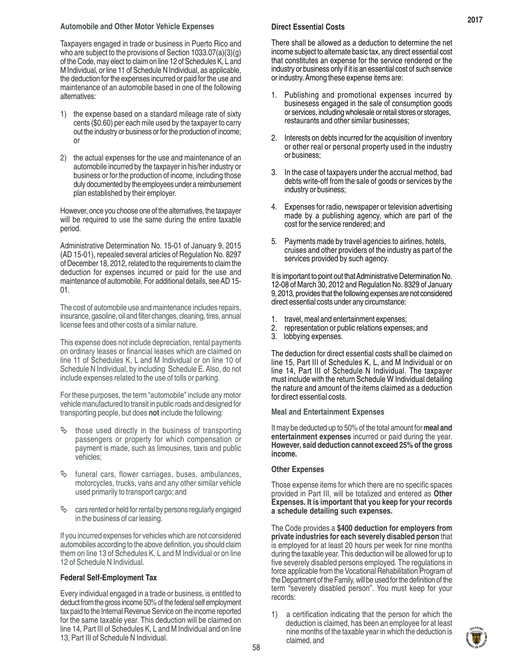#### **Automobile and Other Motor Vehicle Expenses**

Taxpayers engaged in trade or business in Puerto Rico and who are subject to the provisions of Section 1033.07(a)(3)(g) of the Code, may elect to claim on line 12 of Schedules K, L and M Individual, or line 11 of Schedule N Individual, as applicable, the deduction for the expenses incurred or paid for the use and maintenance of an automobile based in one of the following alternatives:

- 1) the expense based on a standard mileage rate of sixty cents (\$0.60) per each mile used by the taxpayer to carry out the industry or business or for the production of income; or
- 2) the actual expenses for the use and maintenance of an automobile incurred by the taxpayer in his/her industry or business or for the production of income, including those duly documented by the employees under a reimbursement plan established by their employer.

However, once you choose one of the alternatives, the taxpayer will be required to use the same during the entire taxable period.

Administrative Determination No. 15-01 of January 9, 2015 (AD 15-01), repealed several articles of Regulation No. 8297 of December 18, 2012, related to the requirements to claim the deduction for expenses incurred or paid for the use and maintenance of automobile. For additional details, see AD 15- 01.

The cost of automobile use and maintenance includes repairs, insurance, gasoline, oil and filter changes, cleaning, tires, annual license fees and other costs of a similar nature.

This expense does not include depreciation, rental payments on ordinary leases or financial leases which are claimed on line 11 of Schedules K, L and M Individual or on line 10 of Schedule N Individual, by including Schedule E. Also, do not include expenses related to the use of tolls or parking.

For these purposes, the term "automobile" include any motor vehicle manufactured to transit in public roads and designed for transporting people, but does **not** include the following:

- $\&$  those used directly in the business of transporting passengers or property for which compensation or payment is made, such as limousines, taxis and public vehicles;
- $\&$  funeral cars, flower carriages, buses, ambulances, motorcycles, trucks, vans and any other similar vehicle used primarily to transport cargo; and
- $\%$  cars rented or held for rental by persons regularly engaged in the business of car leasing.

If you incurred expenses for vehicles which are not considered automobiles according to the above definition, you should claim them on line 13 of Schedules K, L and M Individual or on line 12 of Schedule N Individual.

#### **Federal Self-Employment Tax**

Every individual engaged in a trade or business, is entitled to deduct from the gross income 50% of the federal self employment tax paid to the Internal Revenue Service on the income reported for the same taxable year. This deduction will be claimed on line 14, Part III of Schedules K, L and M Individual and on line 13, Part III of Schedule N Individual.

#### **Direct Essential Costs**

There shall be allowed as a deduction to determine the net income subject to alternate basic tax, any direct essential cost that constitutes an expense for the service rendered or the industry or business only if it is an essential cost of such service or industry. Among these expense items are:

- 1. Publishing and promotional expenses incurred by businesess engaged in the sale of consumption goods or services, including wholesale or retail stores or storages, restaurants and other similar businesses;
- 2. Interests on debts incurred for the acquisition of inventory or other real or personal property used in the industry or business;
- In the case of taxpayers under the accrual method, bad debts write-off from the sale of goods or services by the industry or business;
- 4. Expenses for radio, newspaper or television advertising made by a publishing agency, which are part of the cost for the service rendered; and
- 5. Payments made by travel agencies to airlines, hotels, cruises and other providers of the industry as part of the services provided by such agency.

It is important to point out that Administrative Determination No. 12-08 of March 30, 2012 and Regulation No. 8329 of January 9, 2013, provides that the following expenses are not considered direct essential costs under any circumstance:

- 1. travel, meal and entertainment expenses;
- 2. representation or public relations expenses; and<br>3. lobbying expenses.
- lobbying expenses.

The deduction for direct essential costs shall be claimed on line 15, Part III of Schedules K, L, and M Individual or on line 14, Part III of Schedule N Individual. The taxpayer must include with the return Schedule W Individual detailing the nature and amount of the items claimed as a deduction for direct essential costs.

#### **Meal and Entertainment Expenses**

It may be deducted up to 50% of the total amount for **meal and entertainment expenses** incurred or paid during the year. **However, said deduction cannot exceed 25% of the gross income.**

#### **Other Expenses**

Those expense items for which there are no specific spaces provided in Part III, will be totalized and entered as **Other Expenses. It is important that you keep for your records a schedule detailing such expenses.**

The Code provides a **\$400 deduction for employers from private industries for each severely disabled person** that is employed for at least 20 hours per week for nine months during the taxable year. This deduction will be allowed for up to five severely disabled persons employed. The regulations in force applicable from the Vocational Rehabilitation Program of the Department of the Family, will be used for the definition of the term "severely disabled person". You must keep for your records:

1) a certification indicating that the person for which the deduction is claimed, has been an employee for at least nine months of the taxable year in which the deduction is claimed, and



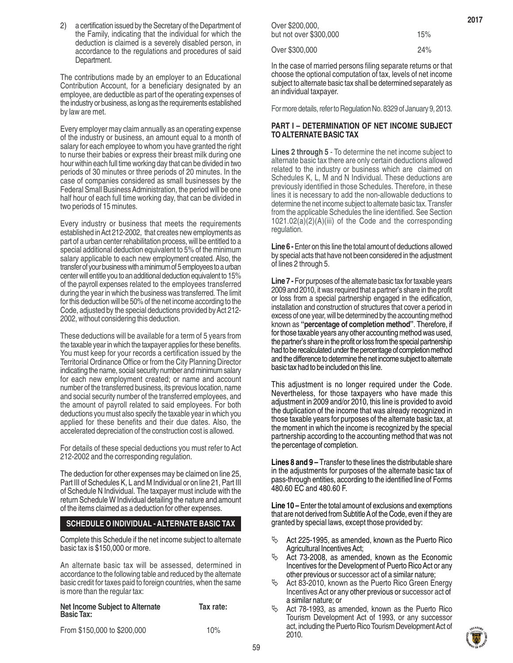2) a certification issued by the Secretary of the Department of the Family, indicating that the individual for which the deduction is claimed is a severely disabled person, in accordance to the regulations and procedures of said Department.

The contributions made by an employer to an Educational Contribution Account, for a beneficiary designated by an employee, are deductible as part of the operating expenses of the industry or business, as long as the requirements established by law are met.

Every employer may claim annually as an operating expense of the industry or business, an amount equal to a month of salary for each employee to whom you have granted the right to nurse their babies or express their breast milk during one hour within each full time working day that can be divided in two periods of 30 minutes or three periods of 20 minutes. In the case of companies considered as small businesses by the Federal Small Business Administration, the period will be one half hour of each full time working day, that can be divided in two periods of 15 minutes.

Every industry or business that meets the requirements established in Act 212-2002, that creates new employments as part of a urban center rehabilitation process, will be entitled to a special additional deduction equivalent to 5% of the minimum salary applicable to each new employment created. Also, the transfer of your business with a minimum of 5 employees to a urban center will entitle you to an additional deduction equivalent to 15% of the payroll expenses related to the employees transferred during the year in which the business was transferred. The limit for this deduction will be 50% of the net income according to the Code, adjusted by the special deductions provided by Act 212- 2002, without considering this deduction.

These deductions will be available for a term of 5 years from the taxable year in which the taxpayer applies for these benefits. You must keep for your records a certification issued by the Territorial Ordinance Office or from the City Planning Director indicating the name, social security number and minimum salary for each new employment created; or name and account number of the transferred business, its previous location, name and social security number of the transferred employees, and the amount of payroll related to said employees. For both deductions you must also specify the taxable year in which you applied for these benefits and their due dates. Also, the accelerated depreciation of the construction cost is allowed.

For details of these special deductions you must refer to Act 212-2002 and the corresponding regulation.

The deduction for other expenses may be claimed on line 25, Part III of Schedules K, L and M Individual or on line 21, Part III of Schedule N Individual. The taxpayer must include with the return Schedule W Individual detailing the nature and amount of the items claimed as a deduction for other expenses.

#### **SCHEDULE O INDIVIDUAL - ALTERNATE BASIC TAX**

Complete this Schedule if the net income subject to alternate basic tax is \$150,000 or more.

An alternate basic tax will be assessed, determined in accordance to the following table and reduced by the alternate basic credit for taxes paid to foreign countries, when the same is more than the regular tax:

| Net Income Subject to Alternate<br><b>Basic Tax:</b> | Tax rate: |
|------------------------------------------------------|-----------|
| From \$150,000 to \$200,000                          | 10%       |

| Over \$200,000,        |     |
|------------------------|-----|
| but not over \$300,000 | 15% |

Over \$300,000 24%

In the case of married persons filing separate returns or that choose the optional computation of tax, levels of net income subject to alternate basic tax shall be determined separately as an individual taxpayer.

For more details, refer to Regulation No. 8329 of January 9, 2013.

#### **PART I – DETERMINATION OF NET INCOME SUBJECT TO ALTERNATE BASIC TAX**

**Lines 2 through 5** - To determine the net income subject to alternate basic tax there are only certain deductions allowed related to the industry or business which are claimed on Schedules K, L, M and N Individual. These deductions are previously identified in those Schedules. Therefore, in these lines it is necessary to add the non-allowable deductions to determine the net income subject to alternate basic tax. Transfer from the applicable Schedules the line identified. See Section 1021.02(a)(2)(A)(iii) of the Code and the corresponding regulation.

**Line 6 -** Enter on this line the total amount of deductions allowed by special acts that have not been considered in the adjustment of lines 2 through 5.

**Line 7 -** For purposes of the alternate basic tax for taxable years 2009 and 2010, it was required that a partner's share in the profit or loss from a special partnership engaged in the edification, installation and construction of structures that cover a period in excess of one year, will be determined by the accounting method known as **"percentage of completion method"**. Therefore, if for those taxable years any other accounting method was used, the partner's share in the profit or loss from the special partnership had to be recalculated under the percentage of completion method and the difference to determine the net income subject to alternate basic tax had to be included on this line.

This adjustment is no longer required under the Code. Nevertheless, for those taxpayers who have made this adjustment in 2009 and/or 2010, this line is provided to avoid the duplication of the income that was already recognized in those taxable years for purposes of the alternate basic tax, at the moment in which the income is recognized by the special partnership according to the accounting method that was not the percentage of completion.

**Lines 8 and 9 –** Transfer to these lines the distributable share in the adjustments for purposes of the alternate basic tax of pass-through entities, according to the identified line of Forms 480.60 EC and 480.60 F.

**Line 10 –** Enter the total amount of exclusions and exemptions that are not derived from Subtitle A of the Code, even if they are granted by special laws, except those provided by:

- $\%$  Act 225-1995, as amended, known as the Puerto Rico Agricultural Incentives Act;
- Act 73-2008, as amended, known as the Economic Incentives for the Development of Puerto Rico Act or any other previous or successor act of a similar nature;
- Act 83-2010, known as the Puerto Rico Green Energy Incentives Act or any other previous or successor act of a similar nature; or
- Act 78-1993, as amended, known as the Puerto Rico Tourism Development Act of 1993, or any successor act, including the Puerto Rico Tourism Development Act of 2010.

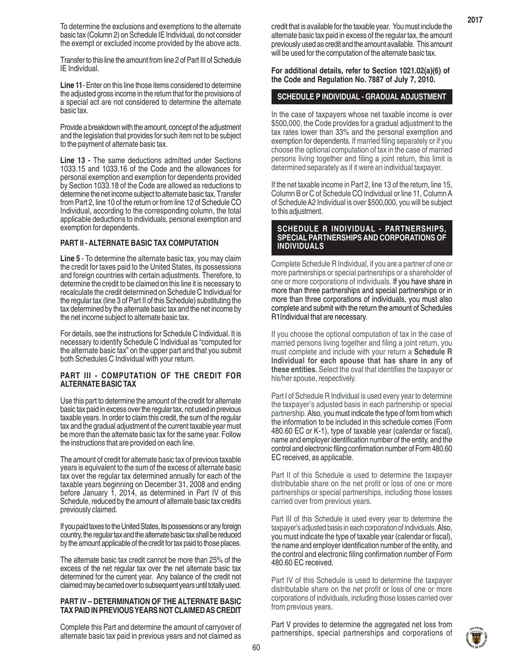To determine the exclusions and exemptions to the alternate basic tax (Column 2) on Schedule IE Individual, do not consider the exempt or excluded income provided by the above acts.

Transfer to this line the amount from line 2 of Part III of Schedule IE Individual.

**Line 11**- Enter on this line those items considered to determine the adjusted gross income in the return that for the provisions of a special act are not considered to determine the alternate basic tax.

Provide a breakdown with the amount, concept of the adjustment and the legislation that provides for such item not to be subject to the payment of alternate basic tax.

**Line 13 -** The same deductions admitted under Sections 1033.15 and 1033.16 of the Code and the allowances for personal exemption and exemption for dependents provided by Section 1033.18 of the Code are allowed as reductions to determine the net income subject to alternate basic tax. Transfer from Part 2, line 10 of the return or from line 12 of Schedule CO Individual, according to the corresponding column, the total applicable deductions to individuals, personal exemption and exemption for dependents.

#### **PART II - ALTERNATE BASIC TAX COMPUTATION**

**Line 5** - To determine the alternate basic tax, you may claim the credit for taxes paid to the United States, its possessions and foreign countries with certain adjustments. Therefore, to determine the credit to be claimed on this line it is necessary to recalculate the credit determined on Schedule C Individual for the regular tax (line 3 of Part II of this Schedule) substituting the tax determined by the alternate basic tax and the net income by the net income subject to alternate basic tax.

For details, see the instructions for Schedule C Individual. It is necessary to identify Schedule C Individual as "computed for the alternate basic tax" on the upper part and that you submit both Schedules C Individual with your return.

#### **PART III - COMPUTATION OF THE CREDIT FOR ALTERNATE BASIC TAX**

Use this part to determine the amount of the credit for alternate basic tax paid in excess over the regular tax, not used in previous taxable years. In order to claim this credit, the sum of the regular tax and the gradual adjustment of the current taxable year must be more than the alternate basic tax for the same year. Follow the instructions that are provided on each line.

The amount of credit for alternate basic tax of previous taxable years is equivalent to the sum of the excess of alternate basic tax over the regular tax determined annually for each of the taxable years beginning on December 31, 2008 and ending before January 1, 2014, as determined in Part IV of this Schedule, reduced by the amount of alternate basic tax credits previously claimed.

If you paid taxes to the United States, its possessions or any foreign country, the regular tax and the alternate basic tax shall be reduced by the amount applicable of the credit for tax paid to those places.

The alternate basic tax credit cannot be more than 25% of the excess of the net regular tax over the net alternate basic tax determined for the current year. Any balance of the credit not claimed may be carried over to subsequent years until totally used.

#### **PART IV – DETERMINATION OF THE ALTERNATE BASIC TAX PAID IN PREVIOUS YEARS NOT CLAIMED AS CREDIT**

Complete this Part and determine the amount of carryover of alternate basic tax paid in previous years and not claimed as

credit that is available for the taxable year. You must include the alternate basic tax paid in excess of the regular tax, the amount previously used as credit and the amount available. This amount will be used for the computation of the alternate basic tax.

**For additional details, refer to Section 1021.02(a)(6) of the Code and Regulation No. 7887 of July 7, 2010.**

#### **SCHEDULE P INDIVIDUAL - GRADUAL ADJUSTMENT**

In the case of taxpayers whose net taxable income is over \$500,000, the Code provides for a gradual adjustment to the tax rates lower than 33% and the personal exemption and exemption for dependents. If married filing separately or if you choose the optional computation of tax in the case of married persons living together and filing a joint return, this limit is determined separately as if it were an individual taxpayer.

If the net taxable income in Part 2, line 13 of the return, line 15, Column B or C of Schedule CO Individual or line 11, Column A of Schedule A2 Individual is over \$500,000, you will be subject to this adjustment.

#### **SCHEDULE R INDIVIDUAL - PARTNERSHIPS, SPECIAL PARTNERSHIPS AND CORPORATIONS OF INDIVIDUALS**

Complete Schedule R Individual, if you are a partner of one or more partnerships or special partnerships or a shareholder of one or more corporations of individuals. If you have share in more than three partnerships and special partnerships or in more than three corporations of individuals, you must also complete and submit with the return the amount of Schedules R1Individual that are necessary.

If you choose the optional computation of tax in the case of married persons living together and filing a joint return, you must complete and include with your return a **Schedule R Individual for each spouse that has share in any of these entities.** Select the oval that identifies the taxpayer or his/her spouse, respectively.

Part I of Schedule R Individual is used every year to determine the taxpayer's adjusted basis in each partnership or special partnership. Also, you must indicate the type of form from which the information to be included in this schedule comes (Form 480.60 EC or K-1), type of taxable year (calendar or fiscal), name and employer identification number of the entity, and the control and electronic filing confirmation number of Form 480.60 EC received, as applicable.

Part II of this Schedule is used to determine the taxpayer distributable share on the net profit or loss of one or more partnerships or special partnerships, including those losses carried over from previous years.

Part III of this Schedule is used every year to determine the taxpayer's adjusted basis in each corporation of individuals. Also, you must indicate the type of taxable year (calendar or fiscal), the name and employer identification number of the entity, and the control and electronic filing confirmation number of Form 480.60 EC received.

Part IV of this Schedule is used to determine the taxpayer distributable share on the net profit or loss of one or more corporations of individuals, including those losses carried over from previous years.

Part V provides to determine the aggregated net loss from partnerships, special partnerships and corporations of

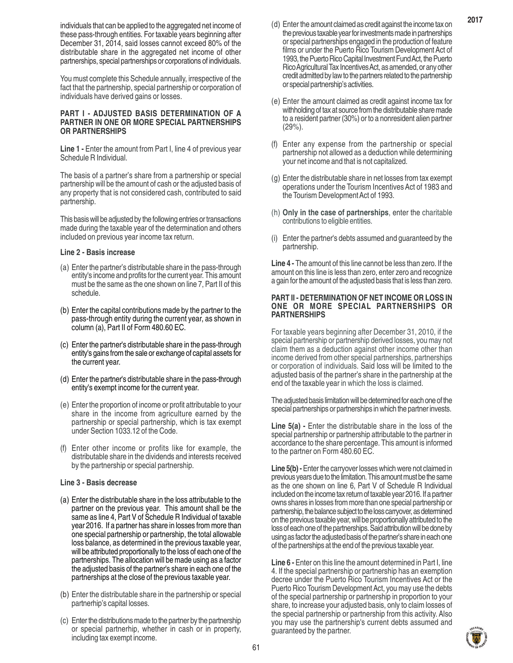individuals that can be applied to the aggregated net income of these pass-through entities. For taxable years beginning after December 31, 2014, said losses cannot exceed 80% of the distributable share in the aggregated net income of other partnerships, special partnerships or corporations of individuals.

You must complete this Schedule annually, irrespective of the fact that the partnership, special partnership or corporation of individuals have derived gains or losses.

#### **PART I - ADJUSTED BASIS DETERMINATION OF A PARTNER IN ONE OR MORE SPECIAL PARTNERSHIPS OR PARTNERSHIPS**

**Line 1 -** Enter the amount from Part I, line 4 of previous year Schedule R Individual.

The basis of a partner's share from a partnership or special partnership will be the amount of cash or the adjusted basis of any property that is not considered cash, contributed to said partnership.

This basis will be adjusted by the following entries or transactions made during the taxable year of the determination and others included on previous year income tax return.

#### **Line 2 - Basis increase**

- (a) Enter the partner's distributable share in the pass-through entity's income and profits for the current year. This amount must be the same as the one shown on line 7, Part II of this schedule.
- (b) Enter the capital contributions made by the partner to the pass-through entity during the current year, as shown in column (a), Part II of Form 480.60 EC.
- (c) Enter the partner's distributable share in the pass-through entity's gains from the sale or exchange of capital assets for the current year.
- (d) Enter the partner's distributable share in the pass-through entity's exempt income for the current year.
- (e) Enter the proportion of income or profit attributable to your share in the income from agriculture earned by the partnership or special partnership, which is tax exempt under Section 1033.12 of the Code.
- (f) Enter other income or profits like for example, the distributable share in the dividends and interests received by the partnership or special partnership.

#### **Line 3 - Basis decrease**

- (a) Enter the distributable share in the loss attributable to the partner on the previous year. This amount shall be the same as line 4, Part V of Schedule R Individual of taxable year 2016. If a partner has share in losses from more than one special partnership or partnership, the total allowable loss balance, as determined in the previous taxable year, will be attributed proportionally to the loss of each one of the partnerships. The allocation will be made using as a factor the adjusted basis of the partner's share in each one of the partnerships at the close of the previous taxable year.
- (b) Enter the distributable share in the partnership or special partnerhip's capital losses.
- (c) Enter the distributions made to the partner by the partnership or special partnerhip, whether in cash or in property, including tax exempt income.
- (d) Enter the amount claimed as credit against the income tax on the previous taxable year for investments made in partnerships or special partnerships engaged in the production of feature films or under the Puerto Rico Tourism Development Act of 1993, the Puerto Rico Capital Investment Fund Act, the Puerto Rico Agricultural Tax Incentives Act, as amended, or any other credit admitted by law to the partners related to the partnership or special partnership's activities.
- (e) Enter the amount claimed as credit against income tax for withholding of tax at source from the distributable share made to a resident partner (30%) or to a nonresident alien partner (29%).
- (f) Enter any expense from the partnership or special partnership not allowed as a deduction while determining your net income and that is not capitalized.
- (g) Enter the distributable share in net losses from tax exempt operations under the Tourism Incentives Act of 1983 and the Tourism Development Act of 1993.
- (h) **Only in the case of partnerships**, enter the charitable contributions to eligible entities.
- (i) Enter the partner's debts assumed and guaranteed by the partnership.

**Line 4 -** The amount of this line cannot be less than zero. If the amount on this line is less than zero, enter zero and recognize a gain for the amount of the adjusted basis that is less than zero.

#### **PART II - DETERMINATION OF NET INCOME OR LOSS IN ONE OR MORE SPECIAL PARTNERSHIPS OR PARTNERSHIPS**

For taxable years beginning after December 31, 2010, if the special partnership or partnership derived losses, you may not claim them as a deduction against other income other than income derived from other special partnerships, partnerships or corporation of individuals. Said loss will be limited to the adjusted basis of the partner's share in the partnership at the end of the taxable year in which the loss is claimed.

The adjusted basis limitation will be determined for each one of the special partnerships or partnerships in which the partner invests.

**Line 5(a)** - Enter the distributable share in the loss of the special partnership or partnership attributable to the partner in accordance to the share percentage. This amount is informed to the partner on Form 480.60 EC.

**Line 5(b) -** Enter the carryover losses which were not claimed in previous years due to the limitation. This amount must be the same as the one shown on line 6, Part V of Schedule R Individual included on the income tax return of taxable year 2016. If a partner owns shares in losses from more than one special partnership or partnership, the balance subject to the loss carryover, as determined on the previous taxable year, will be proportionally attributed to the loss of each one of the partnerships. Said attribution will be done by using as factor the adjusted basis of the partner's share in each one of the partnerships at the end of the previous taxable year.

**Line 6 -** Enter on this line the amount determined in Part I, line 4. If the special partnership or partnership has an exemption decree under the Puerto Rico Tourism Incentives Act or the Puerto Rico Tourism Development Act, you may use the debts of the special partnership or partnership in proportion to your share, to increase your adjusted basis, only to claim losses of the special partnership or partnership from this activity. Also you may use the partnership's current debts assumed and guaranteed by the partner.

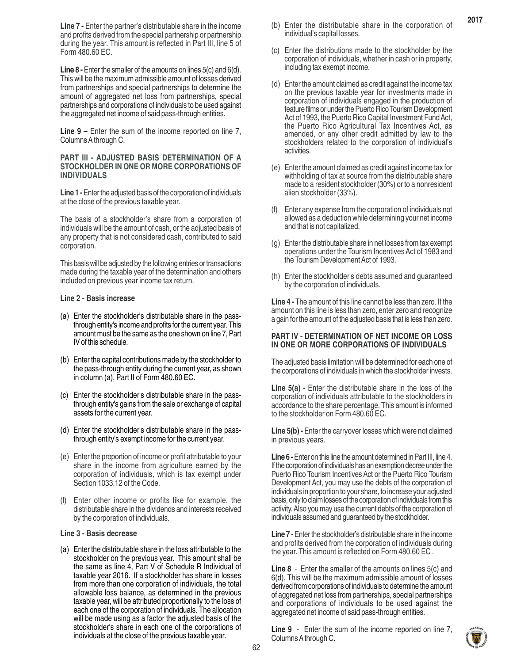**Line 7 -** Enter the partner's distributable share in the income and profits derived from the special partnership or partnership during the year. This amount is reflected in Part III, line 5 of Form 480.60 EC.

**Line 8 -** Enter the smaller of the amounts on lines 5(c) and 6(d). This will be the maximum admissible amount of losses derived from partnerships and special partnerships to determine the amount of aggregated net loss from partnerships, special partnerships and corporations of individuals to be used against the aggregated net income of said pass-through entities.

**Line 9 –** Enter the sum of the income reported on line 7, Columns A through C.

#### **PART III - ADJUSTED BASIS DETERMINATION OF A STOCKHOLDER IN ONE OR MORE CORPORATIONS OF INDIVIDUALS**

**Line 1 -** Enter the adjusted basis of the corporation of individuals at the close of the previous taxable year.

The basis of a stockholder's share from a corporation of individuals will be the amount of cash, or the adjusted basis of any property that is not considered cash, contributed to said corporation.

This basis will be adjusted by the following entries or transactions made during the taxable year of the determination and others included on previous year income tax return.

#### **Line 2 - Basis increase**

- (a) Enter the stockholder's distributable share in the passthrough entity's income and profits for the current year. This amount must be the same as the one shown on line 7, Part IV of this schedule.
- (b) Enter the capital contributions made by the stockholder to the pass-through entity during the current year, as shown in column (a), Part II of Form 480.60 EC.
- (c) Enter the stockholder's distributable share in the passthrough entity's gains from the sale or exchange of capital assets for the current year.
- (d) Enter the stockholder's distributable share in the passthrough entity's exempt income for the current year.
- (e) Enter the proportion of income or profit attributable to your share in the income from agriculture earned by the corporation of individuals, which is tax exempt under Section 1033.12 of the Code.
- (f) Enter other income or profits like for example, the distributable share in the dividends and interests received by the corporation of individuals.

#### **Line 3 - Basis decrease**

(a) Enter the distributable share in the loss attributable to the stockholder on the previous year. This amount shall be the same as line 4, Part V of Schedule R Individual of taxable year 2016. If a stockholder has share in losses from more than one corporation of individuals, the total allowable loss balance, as determined in the previous taxable year, will be attributed proportionally to the loss of each one of the corporation of individuals. The allocation will be made using as a factor the adjusted basis of the stockholder's share in each one of the corporations of individuals at the close of the previous taxable year.

- (b) Enter the distributable share in the corporation of individual's capital losses.
- (c) Enter the distributions made to the stockholder by the corporation of individuals, whether in cash or in property, including tax exempt income.
- (d) Enter the amount claimed as credit against the income tax on the previous taxable year for investments made in corporation of individuals engaged in the production of feature films or under the Puerto Rico Tourism Development Act of 1993, the Puerto Rico Capital Investment Fund Act, the Puerto Rico Agricultural Tax Incentives Act, as amended, or any other credit admitted by law to the stockholders related to the corporation of individual's activities.
- (e) Enter the amount claimed as credit against income tax for withholding of tax at source from the distributable share made to a resident stockholder (30%) or to a nonresident alien stockholder (33%).
- Enter any expense from the corporation of individuals not allowed as a deduction while determining your net income and that is not capitalized.
- (g) Enter the distributable share in net losses from tax exempt operations under the Tourism Incentives Act of 1983 and the Tourism Development Act of 1993.
- (h) Enter the stockholder's debts assumed and guaranteed by the corporation of individuals.

**Line 4 -** The amount of this line cannot be less than zero. If the amount on this line is less than zero, enter zero and recognize a gain for the amount of the adjusted basis that is less than zero. .

#### **PART IV - DETERMINATION OF NET INCOME OR LOSS IN ONE OR MORE CORPORATIONS OF INDIVIDUALS**

The adjusted basis limitation will be determined for each one of the corporations of individuals in which the stockholder invests.

**Line 5(a)** - Enter the distributable share in the loss of the corporation of individuals attributable to the stockholders in accordance to the share percentage. This amount is informed to the stockholder on Form 480.60 EC.

Line 5(b) - Enter the carryover losses which were not claimed in previous years.

**Line 6 -** Enter on this line the amount determined in Part III, line 4. If the corporation of individuals has an exemption decree under the Puerto Rico Tourism Incentives Act or the Puerto Rico Tourism Development Act, you may use the debts of the corporation of individuals in proportion to your share, to increase your adjusted basis, only to claim losses of the corporation of individuals from this activity. Also you may use the current debts of the corporation of individuals assumed and guaranteed by the stockholder.

**Line 7 -** Enter the stockholder's distributable share in the income and profits derived from the corporation of individuals during the year. This amount is reflected on Form 480.60 EC .

**Line 8** - Enter the smaller of the amounts on lines 5(c) and 6(d). This will be the maximum admissible amount of losses derived from corporations of individuals to determine the amount of aggregated net loss from partnerships, special partnerships and corporations of individuals to be used against the aggregated net income of said pass-through entities.

**Line 9** - Enter the sum of the income reported on line 7, Columns A through C.

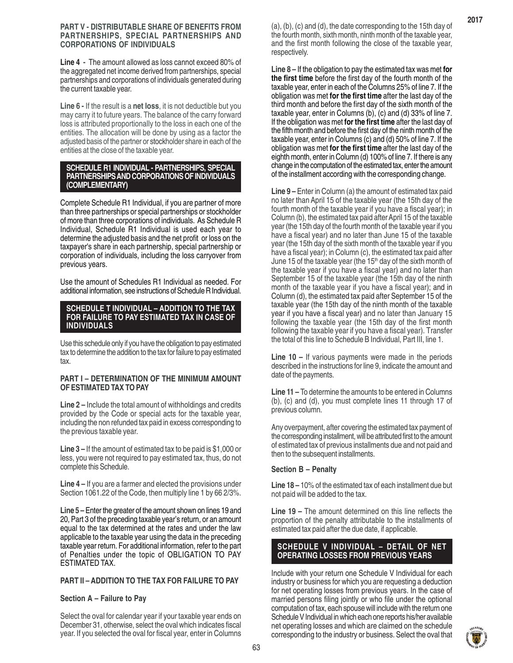#### **PART V - DISTRIBUTABLE SHARE OF BENEFITS FROM PARTNERSHIPS, SPECIAL PARTNERSHIPS AND CORPORATIONS OF INDIVIDUALS**

**Line 4 -** The amount allowed as loss cannot exceed 80% of the aggregated net income derived from partnerships, special partnerships and corporations of individuals generated during the current taxable year.

**Line 6 -** If the result is a **net loss**, it is not deductible but you may carry it to future years. The balance of the carry forward loss is attributed proportionally to the loss in each one of the entities. The allocation will be done by using as a factor the adjusted basis of the partner or stockholder share in each of the entities at the close of the taxable year.

#### **SCHEDULE R1 INDIVIDUAL - PARTNERSHIPS, SPECIAL PARTNERSHIPS AND CORPORATIONS OF INDIVIDUALS (COMPLEMENTARY)**

Complete Schedule R1 Individual, if you are partner of more than three partnerships or special partnerships or stockholder of more than three corporations of individuals. As Schedule R Individual, Schedule R1 Individual is used each year to determine the adjusted basis and the net profit or loss on the taxpayer's share in each partnership, special partnership or corporation of individuals, including the loss carryover from previous years.

Use the amount of Schedules R1 Individual as needed. For additional information, see instructions of Schedule R Individual.

#### **SCHEDULE T INDIVIDUAL – ADDITION TO THE TAX FOR FAILURE TO PAY ESTIMATED TAX IN CASE OF INDIVIDUALS**

Use this schedule only if you have the obligation to pay estimated tax to determine the addition to the tax for failure to pay estimated tax.

#### **PART I – DETERMINATION OF THE MINIMUM AMOUNT OF ESTIMATED TAX TO PAY**

**Line 2 –** Include the total amount of withholdings and credits provided by the Code or special acts for the taxable year, including the non refunded tax paid in excess corresponding to the previous taxable year.

**Line 3 –** If the amount of estimated tax to be paid is \$1,000 or less, you were not required to pay estimated tax, thus, do not complete this Schedule.

**Line 4 –** If you are a farmer and elected the provisions under Section 1061.22 of the Code, then multiply line 1 by 66 2/3%.

**Line 5 –** Enter the greater of the amount shown on lines 19 and 20, Part 3 of the preceding taxable year's return, or an amount equal to the tax determined at the rates and under the law applicable to the taxable year using the data in the preceding taxable year return. For additional information, refer to the part of Penalties under the topic of OBLIGATION TO PAY ESTIMATED TAX.

#### **PART II – ADDITION TO THE TAX FOR FAILURE TO PAY**

#### **Section A – Failure to Pay**

Select the oval for calendar year if your taxable year ends on December 31, otherwise, select the oval which indicates fiscal year. If you selected the oval for fiscal year, enter in Columns

(a), (b), (c) and (d), the date corresponding to the 15th day of the fourth month, sixth month, ninth month of the taxable year, and the first month following the close of the taxable year, respectively.

**Line 8 –** If the obligation to pay the estimated tax was met **for the first time** before the first day of the fourth month of the taxable year, enter in each of the Columns 25% of line 7. If the obligation was met **for the first time** after the last day of the third month and before the first day of the sixth month of the taxable year, enter in Columns (b), (c) and (d) 33% of line 7. If the obligation was met **for the first time** after the last day of the fifth month and before the first day of the ninth month of the taxable year, enter in Columns (c) and (d) 50% of line 7. If the obligation was met **for the first time** after the last day of the eighth month, enter in Column (d) 100% of line 7. If there is any change in the computation of the estimated tax, enter the amount of the installment according with the corresponding change.

**Line 9 –** Enter in Column (a) the amount of estimated tax paid no later than April 15 of the taxable year (the 15th day of the fourth month of the taxable year if you have a fiscal year); in Column (b), the estimated tax paid after April 15 of the taxable year (the 15th day of the fourth month of the taxable year if you have a fiscal year) and no later than June 15 of the taxable year (the 15th day of the sixth month of the taxable year if you have a fiscal year); in Column (c), the estimated tax paid after June 15 of the taxable year (the 15<sup>th</sup> day of the sixth month of the taxable year if you have a fiscal year) and no later than September 15 of the taxable year (the 15th day of the ninth month of the taxable year if you have a fiscal year); and in Column (d), the estimated tax paid after September 15 of the taxable year (the 15th day of the ninth month of the taxable year if you have a fiscal year) and no later than January 15 following the taxable year (the 15th day of the first month following the taxable year if you have a fiscal year). Transfer the total of this line to Schedule B Individual, Part III, line 1.

**Line 10 –** If various payments were made in the periods described in the instructions for line 9, indicate the amount and date of the payments.

**Line 11 –** To determine the amounts to be entered in Columns (b), (c) and (d), you must complete lines 11 through 17 of previous column.

Any overpayment, after covering the estimated tax payment of the corresponding installment, will be attributed first to the amount of estimated tax of previous installments due and not paid and then to the subsequent installments.

#### **Section B – Penalty**

**Line 18 –** 10% of the estimated tax of each installment due but not paid will be added to the tax.

**Line 19 –** The amount determined on this line reflects the proportion of the penalty attributable to the installments of estimated tax paid after the due date, if applicable.

#### **SCHEDULE V INDIVIDUAL – DETAIL OF NET OPERATING LOSSES FROM PREVIOUS YEARS**

Include with your return one Schedule V Individual for each industry or business for which you are requesting a deduction for net operating losses from previous years. In the case of married persons filing jointly or who file under the optional computation of tax, each spouse will include with the return one Schedule V Individual in which each one reports his/her available net operating losses and which are claimed on the schedule corresponding to the industry or business. Select the oval that

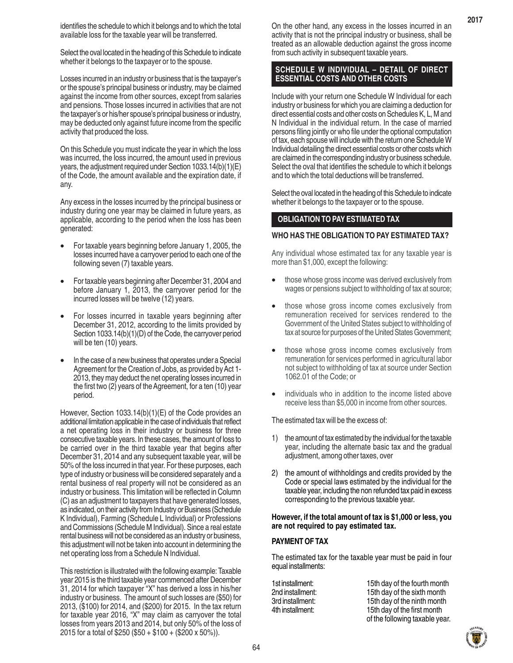Select the oval located in the heading of this Schedule to indicate whether it belongs to the taxpayer or to the spouse.

Losses incurred in an industry or business that is the taxpayer's or the spouse's principal business or industry, may be claimed against the income from other sources, except from salaries and pensions. Those losses incurred in activities that are not the taxpayer's or his/her spouse's principal business or industry, may be deducted only against future income from the specific activity that produced the loss.

On this Schedule you must indicate the year in which the loss was incurred, the loss incurred, the amount used in previous years, the adjustment required under Section 1033.14(b)(1)(E) of the Code, the amount available and the expiration date, if any.

Any excess in the losses incurred by the principal business or industry during one year may be claimed in future years, as applicable, according to the period when the loss has been generated:

- For taxable years beginning before January 1, 2005, the losses incurred have a carryover period to each one of the following seven (7) taxable years.
- For taxable years beginning after December 31, 2004 and before January 1, 2013, the carryover period for the incurred losses will be twelve (12) years.
- For losses incurred in taxable years beginning after December 31, 2012, according to the limits provided by Section 1033.14(b)(1)(D) of the Code, the carryover period will be ten (10) years.
- In the case of a new business that operates under a Special Agreement for the Creation of Jobs, as provided by Act 1- 2013, they may deduct the net operating losses incurred in the first two (2) years of the Agreement, for a ten (10) year period.

However, Section 1033.14(b)(1)(E) of the Code provides an additional limitation applicable in the case of individuals that reflect a net operating loss in their industry or business for three consecutive taxable years. In these cases, the amount of loss to be carried over in the third taxable year that begins after December 31, 2014 and any subsequent taxable year, will be 50% of the loss incurred in that year. For these purposes, each type of industry or business will be considered separately and a rental business of real property will not be considered as an industry or business. This limitation will be reflected in Column (C) as an adjustment to taxpayers that have generated losses, as indicated, on their activity from Industry or Business (Schedule K Individual), Farming (Schedule L Individual) or Professions and Commissions (Schedule M Individual). Since a real estate rental business will not be considered as an industry or business, this adjustment will not be taken into account in determining the net operating loss from a Schedule N Individual.

This restriction is illustrated with the following example: Taxable year 2015 is the third taxable year commenced after December 31, 2014 for which taxpayer "X" has derived a loss in his/her industry or business. The amount of such losses are (\$50) for 2013, (\$100) for 2014, and (\$200) for 2015. In the tax return for taxable year 2016, "X" may claim as carryover the total losses from years 2013 and 2014, but only 50% of the loss of 2015 for a total of \$250 (\$50 + \$100 + (\$200 x 50%)).

On the other hand, any excess in the losses incurred in an activity that is not the principal industry or business, shall be treated as an allowable deduction against the gross income from such activity in subsequent taxable years.

**2017**

# **SCHEDULE W INDIVIDUAL – DETAIL OF DIRECT ESSENTIAL COSTS AND OTHER COSTS**

Include with your return one Schedule W Individual for each industry or business for which you are claiming a deduction for direct essential costs and other costs on Schedules K, L, M and N Individual in the individual return. In the case of married persons filing jointly or who file under the optional computation of tax, each spouse will include with the return one Schedule W Individual detailing the direct essential costs or other costs which are claimed in the corresponding industry or business schedule. Select the oval that identifies the schedule to which it belongs and to which the total deductions will be transferred.

Select the oval located in the heading of this Schedule to indicate whether it belongs to the taxpayer or to the spouse.

# **OBLIGATION TO PAY ESTIMATED TAX**

#### **WHO HAS THE OBLIGATION TO PAY ESTIMATED TAX?**

Any individual whose estimated tax for any taxable year is more than \$1,000, except the following:

- those whose gross income was derived exclusively from wages or pensions subject to withholding of tax at source;
- those whose gross income comes exclusively from remuneration received for services rendered to the Government of the United States subject to withholding of tax at source for purposes of the United States Government;
- those whose gross income comes exclusively from remuneration for services performed in agricultural labor not subject to withholding of tax at source under Section 1062.01 of the Code; or
- individuals who in addition to the income listed above receive less than \$5,000 in income from other sources.

#### The estimated tax will be the excess of:

- 1) the amount of tax estimated by the individual for the taxable year, including the alternate basic tax and the gradual adjustment, among other taxes, over
- 2) the amount of withholdings and credits provided by the Code or special laws estimated by the individual for the taxable year, including the non refunded tax paid in excess corresponding to the previous taxable year.

#### **However, if the total amount of tax is \$1,000 or less, you are not required to pay estimated tax.**

#### **PAYMENT OF TAX**

The estimated tax for the taxable year must be paid in four equal installments:

1st installment: 15th day of the fourth month 2nd installment: 15th day of the sixth month 3rd installment: 15th day of the ninth month 4th installment: 15th day of the first month of the following taxable year.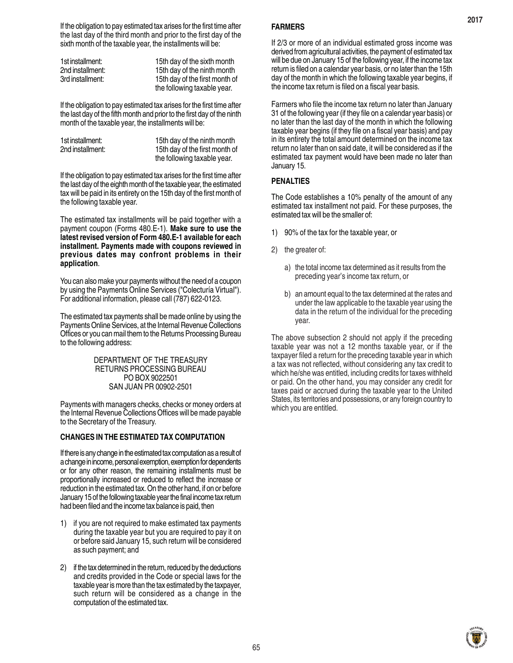If the obligation to pay estimated tax arises for the first time after the last day of the third month and prior to the first day of the sixth month of the taxable year, the installments will be:

| 1st installment: | 15th day of the sixth month    |
|------------------|--------------------------------|
| 2nd installment: | 15th day of the ninth month    |
| 3rd installment: | 15th day of the first month of |
|                  | the following taxable year.    |

If the obligation to pay estimated tax arises for the first time after the last day of the fifth month and prior to the first day of the ninth month of the taxable year, the installments will be:

| 1st installment: | 15th day of the ninth month    |
|------------------|--------------------------------|
| 2nd installment: | 15th day of the first month of |
|                  | the following taxable year.    |

If the obligation to pay estimated tax arises for the first time after the last day of the eighth month of the taxable year, the estimated tax will be paid in its entirety on the 15th day of the first month of the following taxable year.

The estimated tax installments will be paid together with a payment coupon (Forms 480.E-1). **Make sure to use the latest revised version of Form 480.E-1 available for each installment. Payments made with coupons reviewed in previous dates may confront problems in their application**.

You can also make your payments without the need of a coupon by using the Payments Online Services ("Colecturía Virtual"). For additional information, please call (787) 622-0123.

The estimated tax payments shall be made online by using the Payments Online Services, at the Internal Revenue Collections Offices or you can mail them to the Returns Processing Bureau to the following address:

#### DEPARTMENT OF THE TREASURY RETURNS PROCESSING BUREAU PO BOX 9022501 SAN JUAN PR 00902-2501

Payments with managers checks, checks or money orders at the Internal Revenue Collections Offices will be made payable to the Secretary of the Treasury.

#### **CHANGES IN THE ESTIMATED TAX COMPUTATION**

If there is any change in the estimated tax computation as a result of a change in income, personal exemption, exemption for dependents or for any other reason, the remaining installments must be proportionally increased or reduced to reflect the increase or reduction in the estimated tax. On the other hand, if on or before January 15 of the following taxable year the final income tax return had been filed and the income tax balance is paid, then

- 1) if you are not required to make estimated tax payments during the taxable year but you are required to pay it on or before said January 15, such return will be considered as such payment; and
- 2) if the tax determined in the return, reduced by the deductions and credits provided in the Code or special laws for the taxable year is more than the tax estimated by the taxpayer, such return will be considered as a change in the computation of the estimated tax.

#### **FARMERS**

If 2/3 or more of an individual estimated gross income was derived from agricultural activities, the payment of estimated tax will be due on January 15 of the following year, if the income tax return is filed on a calendar year basis, or no later than the 15th day of the month in which the following taxable year begins, if the income tax return is filed on a fiscal year basis.

Farmers who file the income tax return no later than January 31 of the following year (if they file on a calendar year basis) or no later than the last day of the month in which the following taxable year begins (if they file on a fiscal year basis) and pay in its entirety the total amount determined on the income tax return no later than on said date, it will be considered as if the estimated tax payment would have been made no later than January 15.

#### **PENALTIES**

The Code establishes a 10% penalty of the amount of any estimated tax installment not paid. For these purposes, the estimated tax will be the smaller of:

- 1) 90% of the tax for the taxable year, or
- 2) the greater of:
	- a) the total income tax determined as it results from the preceding year's income tax return, or
	- b) an amount equal to the tax determined at the rates and under the law applicable to the taxable year using the data in the return of the individual for the preceding year.

The above subsection 2 should not apply if the preceding taxable year was not a 12 months taxable year, or if the taxpayer filed a return for the preceding taxable year in which a tax was not reflected, without considering any tax credit to which he/she was entitled, including credits for taxes withheld or paid. On the other hand, you may consider any credit for taxes paid or accrued during the taxable year to the United States, its territories and possessions, or any foreign country to which you are entitled.

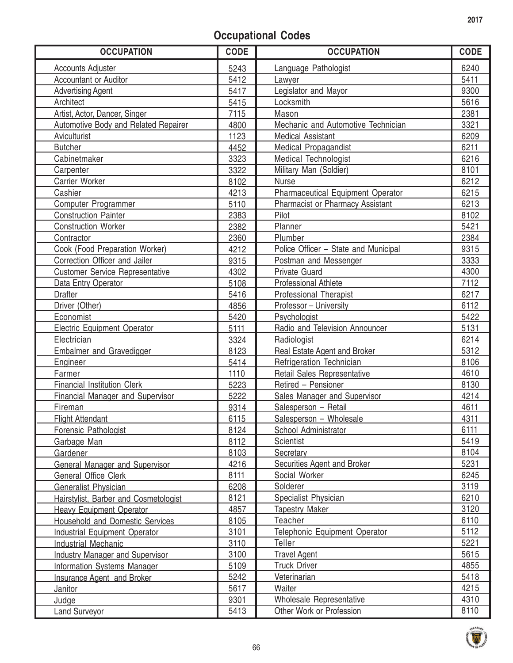# **Occupational Codes**

| <b>OCCUPATION</b>                      | <b>CODE</b> | <b>OCCUPATION</b>                       | <b>CODE</b> |
|----------------------------------------|-------------|-----------------------------------------|-------------|
| <b>Accounts Adjuster</b>               | 5243        | Language Pathologist                    | 6240        |
| <b>Accountant or Auditor</b>           | 5412        | Lawyer                                  | 5411        |
| <b>Advertising Agent</b>               | 5417        | Legislator and Mayor                    | 9300        |
| Architect                              | 5415        | Locksmith                               | 5616        |
| Artist, Actor, Dancer, Singer          | 7115        | Mason                                   | 2381        |
| Automotive Body and Related Repairer   | 4800        | Mechanic and Automotive Technician      | 3321        |
| Aviculturist                           | 1123        | <b>Medical Assistant</b>                | 6209        |
| <b>Butcher</b>                         | 4452        | Medical Propagandist                    | 6211        |
| Cabinetmaker                           | 3323        | Medical Technologist                    | 6216        |
| Carpenter                              | 3322        | Military Man (Soldier)                  | 8101        |
| Carrier Worker                         | 8102        | <b>Nurse</b>                            | 6212        |
| Cashier                                | 4213        | Pharmaceutical Equipment Operator       | 6215        |
| Computer Programmer                    | 5110        | <b>Pharmacist or Pharmacy Assistant</b> | 6213        |
| <b>Construction Painter</b>            | 2383        | Pilot                                   | 8102        |
| <b>Construction Worker</b>             | 2382        | Planner                                 | 5421        |
| Contractor                             | 2360        | Plumber                                 | 2384        |
| Cook (Food Preparation Worker)         | 4212        | Police Officer - State and Municipal    | 9315        |
| Correction Officer and Jailer          | 9315        | Postman and Messenger                   | 3333        |
| <b>Customer Service Representative</b> | 4302        | <b>Private Guard</b>                    | 4300        |
| Data Entry Operator                    | 5108        | <b>Professional Athlete</b>             | 7112        |
| <b>Drafter</b>                         | 5416        | <b>Professional Therapist</b>           | 6217        |
| Driver (Other)                         | 4856        | Professor - University                  | 6112        |
| Economist                              | 5420        | Psychologist                            | 5422        |
| <b>Electric Equipment Operator</b>     | 5111        | Radio and Television Announcer          | 5131        |
| Electrician                            | 3324        | Radiologist                             | 6214        |
| Embalmer and Gravedigger               | 8123        | Real Estate Agent and Broker            | 5312        |
| Engineer                               | 5414        | Refrigeration Technician                | 8106        |
| Farmer                                 | 1110        | Retail Sales Representative             | 4610        |
| <b>Financial Institution Clerk</b>     | 5223        | Retired - Pensioner                     | 8130        |
| Financial Manager and Supervisor       | 5222        | Sales Manager and Supervisor            | 4214        |
| Fireman                                | 9314        | Salesperson - Retail                    | 4611        |
| <b>Flight Attendant</b>                | 6115        | Salesperson - Wholesale                 | 4311        |
| Forensic Pathologist                   | 8124        | School Administrator                    | 6111        |
| Garbage Man                            | 8112        | Scientist                               | 5419        |
| <b>Gardener</b>                        | 8103        | Secretary                               | 8104        |
| <b>General Manager and Supervisor</b>  | 4216        | Securities Agent and Broker             | 5231        |
| General Office Clerk                   | 8111        | Social Worker                           | 6245        |
| Generalist Physician                   | 6208        | Solderer                                | 3119        |
| Hairstylist, Barber and Cosmetologist  | 8121        | Specialist Physician                    | 6210        |
| <b>Heavy Equipment Operator</b>        | 4857        | <b>Tapestry Maker</b>                   | 3120        |
| <b>Household and Domestic Services</b> | 8105        | Teacher                                 | 6110        |
| <b>Industrial Equipment Operator</b>   | 3101        | Telephonic Equipment Operator           | 5112        |
| <b>Industrial Mechanic</b>             | 3110        | Teller                                  | 5221        |
| <b>Industry Manager and Supervisor</b> | 3100        | <b>Travel Agent</b>                     | 5615        |
| <b>Information Systems Manager</b>     | 5109        | <b>Truck Driver</b>                     | 4855        |
| Insurance Agent and Broker             | 5242        | Veterinarian                            | 5418        |
| <b>Janitor</b>                         | 5617        | Waiter                                  | 4215        |
| Judge                                  | 9301        | Wholesale Representative                | 4310        |
| <b>Land Surveyor</b>                   | 5413        | Other Work or Profession                | 8110        |
|                                        |             |                                         |             |

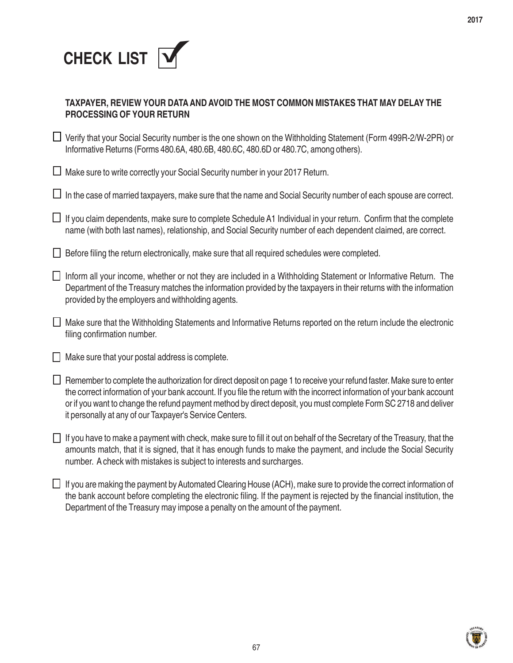

| TAXPAYER, REVIEW YOUR DATA AND AVOID THE MOST COMMON MISTAKES THAT MAY DELAY THE |
|----------------------------------------------------------------------------------|
| <b>PROCESSING OF YOUR RETURN</b>                                                 |

■ Verify that your Social Security number is the one shown on the Withholding Statement (Form 499R-2/W-2PR) or Informative Returns (Forms 480.6A, 480.6B, 480.6C, 480.6D or 480.7C, among others).

 $\Box$  Make sure to write correctly your Social Security number in your 2017 Return.

 $\Box$  In the case of married taxpayers, make sure that the name and Social Security number of each spouse are correct.

 $\Box$  If you claim dependents, make sure to complete Schedule A1 Individual in your return. Confirm that the complete name (with both last names), relationship, and Social Security number of each dependent claimed, are correct.

 $\Box$  Before filing the return electronically, make sure that all required schedules were completed.

- Inform all your income, whether or not they are included in a Withholding Statement or Informative Return. The Department of the Treasury matches the information provided by the taxpayers in their returns with the information provided by the employers and withholding agents.
- Make sure that the Withholding Statements and Informative Returns reported on the return include the electronic filing confirmation number.
- $\Box$  Make sure that your postal address is complete.
- $\Box$  Remember to complete the authorization for direct deposit on page 1 to receive your refund faster. Make sure to enter the correct information of your bank account. If you file the return with the incorrect information of your bank account or if you want to change the refund payment method by direct deposit, you must complete Form SC 2718 and deliver it personally at any of our Taxpayer's Service Centers.
- $\Box$  If you have to make a payment with check, make sure to fill it out on behalf of the Secretary of the Treasury, that the amounts match, that it is signed, that it has enough funds to make the payment, and include the Social Security number. A check with mistakes is subject to interests and surcharges.
- If you are making the payment by Automated Clearing House (ACH), make sure to provide the correct information of the bank account before completing the electronic filing. If the payment is rejected by the financial institution, the Department of the Treasury may impose a penalty on the amount of the payment.